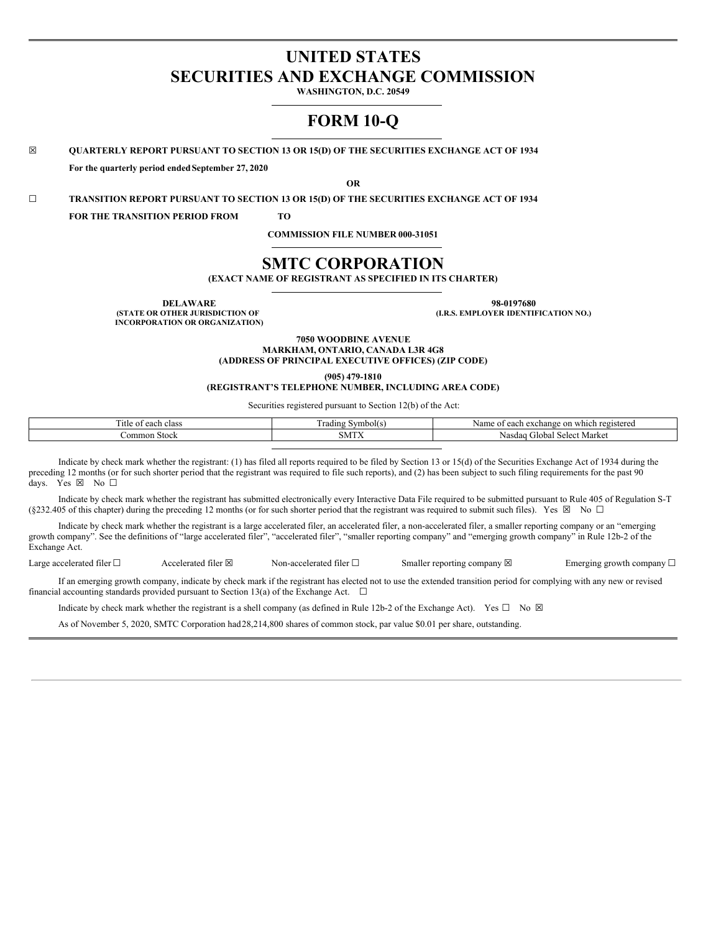# **UNITED STATES SECURITIES AND EXCHANGE COMMISSION**

**WASHINGTON, D.C. 20549**

# **FORM 10-Q**

**☒ QUARTERLY REPORT PURSUANT TO SECTION 13 OR 15(D) OF THE SECURITIES EXCHANGE ACT OF 1934**

**For the quarterly period endedSeptember 27, 2020**

**OR**

**☐ TRANSITION REPORT PURSUANT TO SECTION 13 OR 15(D) OF THE SECURITIES EXCHANGE ACT OF 1934**

**FOR THE TRANSITION PERIOD FROM TO**

**COMMISSION FILE NUMBER 000-31051**

# **SMTC CORPORATION**

**(EXACT NAME OF REGISTRANT AS SPECIFIED IN ITS CHARTER)**

**DELAWARE 98-0197680**

**(STATE OR OTHER JURISDICTION OF INCORPORATION OR ORGANIZATION)** **(I.R.S. EMPLOYER IDENTIFICATION NO.)**

**7050 WOODBINE AVENUE MARKHAM, ONTARIO, CANADA L3R 4G8 (ADDRESS OF PRINCIPAL EXECUTIVE OFFICES) (ZIP CODE)**

**(905) 479-1810**

**(REGISTRANT'S TELEPHONE NUMBER, INCLUDING AREA CODE)**

Securities registered pursuant to Section 12(b) of the Act:

| --<br>itle of<br>each<br>class | Symbol(S)<br>. radıng | Name<br>wh1<br>1 registered<br>each<br>. exchange .<br>on<br>$\mathbf{U}$ |
|--------------------------------|-----------------------|---------------------------------------------------------------------------|
| .`ommon<br>. Stock             | <b>COLLA</b><br>SML   | Marke<br><b>NAIA01</b><br>tiobal<br>Nasd<br>71 C X<br>KIN.                |

Indicate by check mark whether the registrant: (1) has filed all reports required to be filed by Section 13 or 15(d) of the Securities Exchange Act of 1934 during the preceding 12 months (or for such shorter period that the registrant was required to file such reports), and (2) has been subject to such filing requirements for the past 90 days. Yes ⊠ No □

Indicate by check mark whether the registrant has submitted electronically every Interactive Data File required to be submitted pursuant to Rule 405 of Regulation S-T (§232.405 of this chapter) during the preceding 12 months (or for such shorter period that the registrant was required to submit such files). Yes ⊠ No □

Indicate by check mark whether the registrant is a large accelerated filer, an accelerated filer, a non-accelerated filer, a smaller reporting company or an "emerging growth company". See the definitions of "large accelerated filer", "accelerated filer", "smaller reporting company" and "emerging growth company" in Rule 12b-2 of the Exchange Act.

Large accelerated filer □ Accelerated filer ⊠ Non-accelerated filer □ Smaller reporting company ⊠ Emerging growth company □

If an emerging growth company, indicate by check mark if the registrant has elected not to use the extended transition period for complying with any new or revised financial accounting standards provided pursuant to Section 13(a) of the Exchange Act.  $\Box$ 

Indicate by check mark whether the registrant is a shell company (as defined in Rule 12b-2 of the Exchange Act). Yes  $\square$  No  $\boxtimes$ 

As of November 5, 2020, SMTC Corporation had28,214,800 shares of common stock, par value \$0.01 per share, outstanding.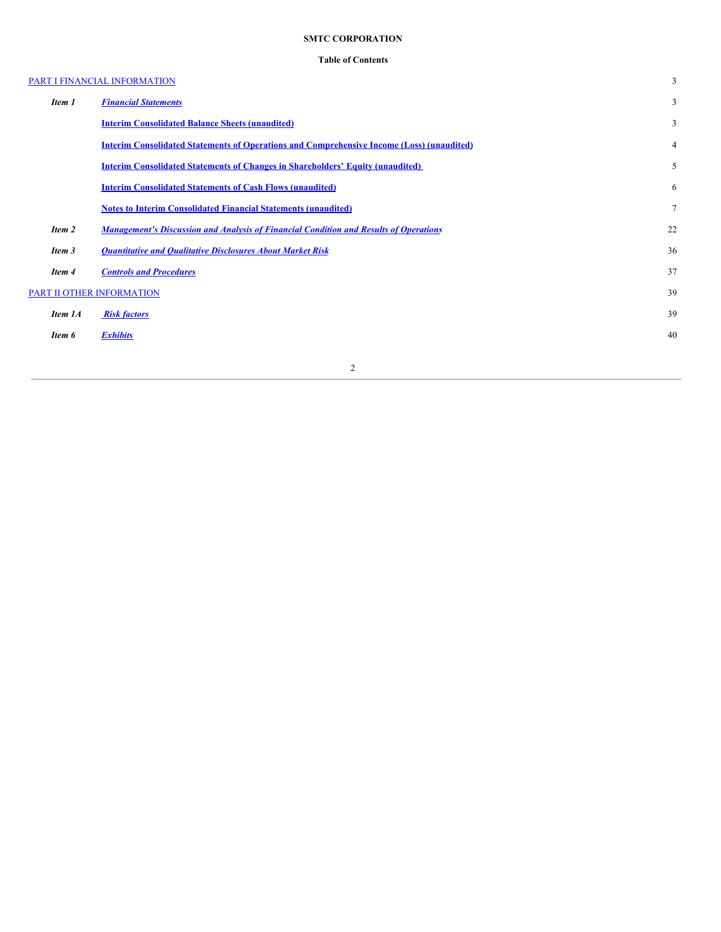# **SMTC CORPORATION**

# **Table of Contents**

|         | PART I FINANCIAL INFORMATION                                                                     | 3  |
|---------|--------------------------------------------------------------------------------------------------|----|
| Item 1  | <b>Financial Statements</b>                                                                      | 3  |
|         | <b>Interim Consolidated Balance Sheets (unaudited)</b>                                           | 3  |
|         | <b>Interim Consolidated Statements of Operations and Comprehensive Income (Loss) (unaudited)</b> | 4  |
|         | <b>Interim Consolidated Statements of Changes in Shareholders' Equity (unaudited)</b>            | 5  |
|         | <b>Interim Consolidated Statements of Cash Flows (unaudited)</b>                                 | 6  |
|         | <b>Notes to Interim Consolidated Financial Statements (unaudited)</b>                            | 7  |
| Item 2  | <b>Management's Discussion and Analysis of Financial Condition and Results of Operations</b>     | 22 |
| Item 3  | <b>Quantitative and Qualitative Disclosures About Market Risk</b>                                | 36 |
| Item 4  | <b>Controls and Procedures</b>                                                                   | 37 |
|         | PART II OTHER INFORMATION                                                                        | 39 |
| Item 1A | <b>Risk factors</b>                                                                              | 39 |
| Item 6  | <b>Exhibits</b>                                                                                  | 40 |
|         |                                                                                                  |    |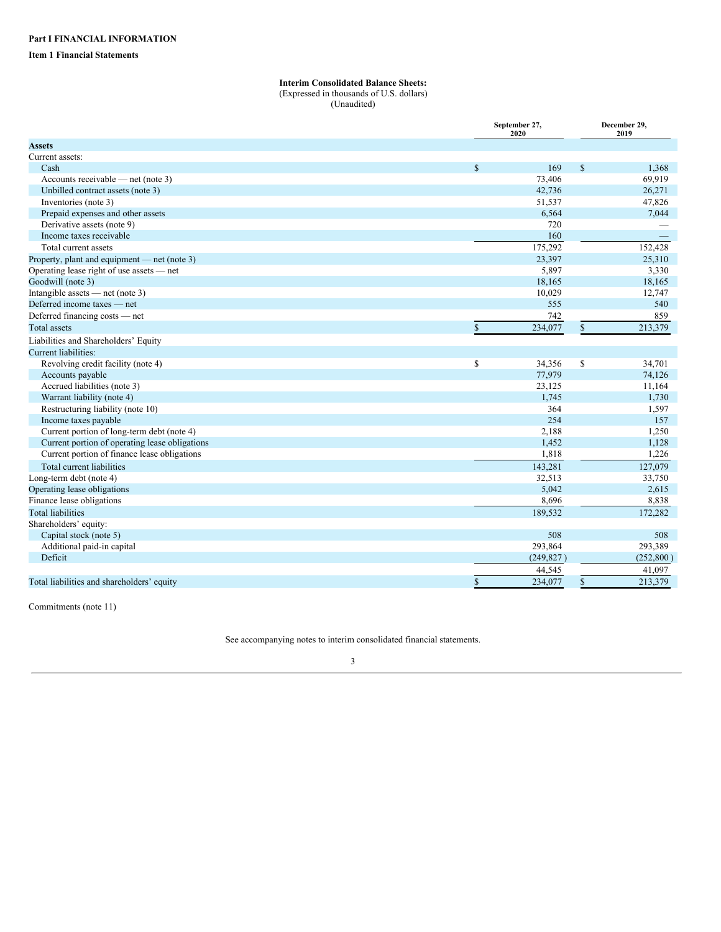## <span id="page-2-2"></span><span id="page-2-1"></span><span id="page-2-0"></span>**Item 1 Financial Statements**

# **Interim Consolidated Balance Sheets:**

(Expressed in thousands of U.S. dollars)

(Unaudited)

|                                                |               | September 27,<br>2020 | December 29,<br>2019 |            |  |
|------------------------------------------------|---------------|-----------------------|----------------------|------------|--|
| <b>Assets</b>                                  |               |                       |                      |            |  |
| Current assets:                                |               |                       |                      |            |  |
| Cash                                           | $\mathbf S$   | 169                   | $\mathbb{S}$         | 1,368      |  |
| Accounts receivable — net (note 3)             |               | 73,406                |                      | 69,919     |  |
| Unbilled contract assets (note 3)              |               | 42,736                |                      | 26,271     |  |
| Inventories (note 3)                           |               | 51,537                |                      | 47,826     |  |
| Prepaid expenses and other assets              |               | 6,564                 |                      | 7,044      |  |
| Derivative assets (note 9)                     |               | 720                   |                      |            |  |
| Income taxes receivable                        |               | 160                   |                      |            |  |
| Total current assets                           |               | 175,292               |                      | 152,428    |  |
| Property, plant and equipment — net (note 3)   |               | 23,397                |                      | 25,310     |  |
| Operating lease right of use assets — net      |               | 5,897                 |                      | 3,330      |  |
| Goodwill (note 3)                              |               | 18,165                |                      | 18,165     |  |
| Intangible assets - net (note 3)               |               | 10,029                |                      | 12,747     |  |
| Deferred income taxes — net                    |               | 555                   |                      | 540        |  |
| Deferred financing costs - net                 |               | 742                   |                      | 859        |  |
| <b>Total</b> assets                            | $\mathsf{\$}$ | 234,077               | \$                   | 213,379    |  |
| Liabilities and Shareholders' Equity           |               |                       |                      |            |  |
| Current liabilities:                           |               |                       |                      |            |  |
| Revolving credit facility (note 4)             | \$            | 34,356                | \$                   | 34,701     |  |
| Accounts payable                               |               | 77,979                |                      | 74,126     |  |
| Accrued liabilities (note 3)                   |               | 23,125                |                      | 11,164     |  |
| Warrant liability (note 4)                     |               | 1,745                 |                      | 1,730      |  |
| Restructuring liability (note 10)              |               | 364                   |                      | 1,597      |  |
| Income taxes payable                           |               | 254                   |                      | 157        |  |
| Current portion of long-term debt (note 4)     |               | 2,188                 |                      | 1,250      |  |
| Current portion of operating lease obligations |               | 1,452                 |                      | 1,128      |  |
| Current portion of finance lease obligations   |               | 1,818                 |                      | 1,226      |  |
| Total current liabilities                      |               | 143,281               |                      | 127,079    |  |
| Long-term debt (note 4)                        |               | 32,513                |                      | 33,750     |  |
| Operating lease obligations                    |               | 5,042                 |                      | 2,615      |  |
| Finance lease obligations                      |               | 8,696                 |                      | 8,838      |  |
| <b>Total liabilities</b>                       |               | 189,532               |                      | 172,282    |  |
| Shareholders' equity:                          |               |                       |                      |            |  |
| Capital stock (note 5)                         |               | 508                   |                      | 508        |  |
| Additional paid-in capital                     |               | 293,864               |                      | 293,389    |  |
| Deficit                                        |               | (249, 827)            |                      | (252, 800) |  |
|                                                |               | 44,545                |                      | 41,097     |  |
| Total liabilities and shareholders' equity     | \$            | 234,077               | \$                   | 213,379    |  |

Commitments (note 11)

See accompanying notes to interim consolidated financial statements.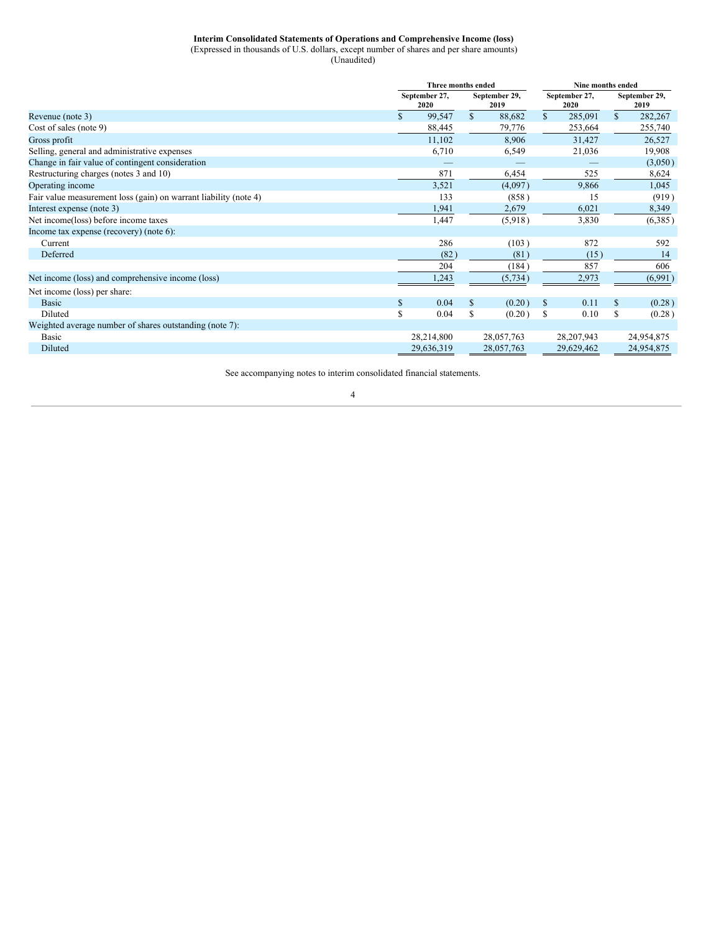## **Interim Consolidated Statements of Operations and Comprehensive Income (loss)**

(Expressed in thousands of U.S. dollars, except number of shares and per share amounts)

(Unaudited)

<span id="page-3-0"></span>

|                                                                  |              | Three months ended    |              |                       | Nine months ended     |              |                       |            |
|------------------------------------------------------------------|--------------|-----------------------|--------------|-----------------------|-----------------------|--------------|-----------------------|------------|
|                                                                  |              | September 27,<br>2020 |              | September 29,<br>2019 | September 27,<br>2020 |              | September 29,<br>2019 |            |
| Revenue (note 3)                                                 |              | 99,547                | $\mathbb{S}$ | 88,682                | $\mathbb{S}$          | 285,091      | $\mathbb{S}$          | 282,267    |
| Cost of sales (note 9)                                           |              | 88,445                |              | 79,776                |                       | 253,664      |                       | 255,740    |
| Gross profit                                                     |              | 11,102                |              | 8,906                 |                       | 31,427       |                       | 26,527     |
| Selling, general and administrative expenses                     |              | 6,710                 |              | 6,549                 |                       | 21,036       |                       | 19,908     |
| Change in fair value of contingent consideration                 |              |                       |              |                       |                       |              |                       | (3,050)    |
| Restructuring charges (notes 3 and 10)                           |              | 871                   |              | 6,454                 |                       | 525          |                       | 8,624      |
| Operating income                                                 |              | 3,521                 |              | (4,097)               |                       | 9,866        |                       | 1,045      |
| Fair value measurement loss (gain) on warrant liability (note 4) |              | 133                   |              | (858)                 |                       | 15           |                       | (919)      |
| Interest expense (note 3)                                        |              | 1,941                 |              | 2,679                 |                       | 6,021        |                       | 8,349      |
| Net income(loss) before income taxes                             |              | 1,447                 |              | (5,918)               |                       | 3,830        |                       | (6,385)    |
| Income tax expense (recovery) (note 6):                          |              |                       |              |                       |                       |              |                       |            |
| Current                                                          |              | 286                   |              | (103)                 |                       | 872          |                       | 592        |
| Deferred                                                         |              | (82)                  |              | (81)                  |                       | (15)         |                       | 14         |
|                                                                  |              | 204                   |              | (184)                 |                       | 857          |                       | 606        |
| Net income (loss) and comprehensive income (loss)                |              | 1,243                 |              | (5, 734)              |                       | 2,973        |                       | (6,991)    |
| Net income (loss) per share:                                     |              |                       |              |                       |                       |              |                       |            |
| <b>Basic</b>                                                     | $\mathbb{S}$ | 0.04                  | \$           | (0.20)                | \$                    | 0.11         | $\mathbf S$           | (0.28)     |
| Diluted                                                          | \$           | 0.04                  | S            | (0.20)                | S                     | 0.10         | \$                    | (0.28)     |
| Weighted average number of shares outstanding (note 7):          |              |                       |              |                       |                       |              |                       |            |
| <b>Basic</b>                                                     |              | 28,214,800            |              | 28,057,763            |                       | 28, 207, 943 |                       | 24,954,875 |
| Diluted                                                          |              | 29,636,319            |              | 28,057,763            |                       | 29,629,462   |                       | 24,954,875 |

See accompanying notes to interim consolidated financial statements.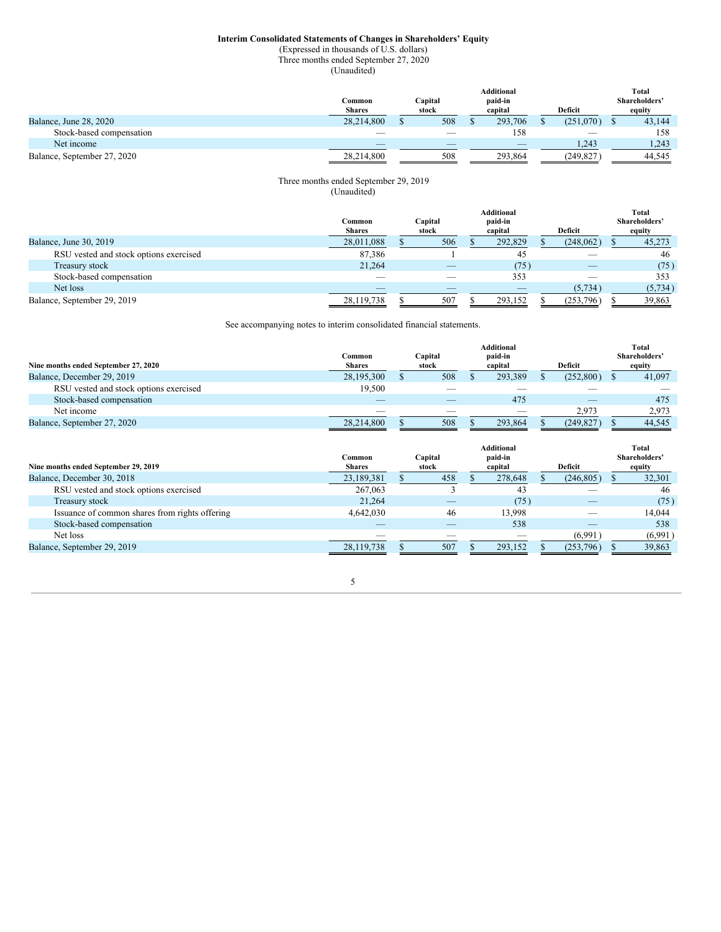## **Interim Consolidated Statements of Changes in Shareholders' Equity**

(Expressed in thousands of U.S. dollars) Three months ended September 27, 2020

(Unaudited)

<span id="page-4-0"></span>

|                             |               |         | Additional               |                          | Total         |
|-----------------------------|---------------|---------|--------------------------|--------------------------|---------------|
|                             | Common        | Capital | paid-in                  |                          | Shareholders' |
|                             | <b>Shares</b> | stock   | capital                  | <b>Deficit</b>           | equity        |
| Balance, June 28, 2020      | 28.214.800    | 508     | 293,706                  | (251.070)                | 43,144        |
| Stock-based compensation    |               | $\sim$  | 158                      | $\overline{\phantom{a}}$ | 158           |
| Net income                  |               |         | $\overline{\phantom{a}}$ | 1.243                    | 1.243         |
| Balance, September 27, 2020 | 28.214.800    | 508     | 293.864                  | (249, 827)               | 44.545        |

## Three months ended September 29, 2019 (Unaudited)

|                                        | Common<br><b>Shares</b> | Capital<br>stock         | Additional<br>paid-in<br>capital | Deficit                  | Total<br>Shareholders'<br>equity |
|----------------------------------------|-------------------------|--------------------------|----------------------------------|--------------------------|----------------------------------|
| Balance, June 30, 2019                 | 28,011,088              | 506                      | 292,829                          | (248,062)                | 45,273                           |
| RSU vested and stock options exercised | 87,386                  |                          | 45                               |                          | 46                               |
| Treasury stock                         | 21.264                  | $\overline{\phantom{a}}$ | (75)                             | $\overline{\phantom{a}}$ | (75)                             |
| Stock-based compensation               |                         |                          | 353                              |                          | 353                              |
| Net loss                               |                         |                          |                                  | (5, 734)                 | (5, 734)                         |
| Balance, September 29, 2019            | 28,119,738              | 507                      | 293,152                          | (253, 796)               | 39,863                           |

See accompanying notes to interim consolidated financial statements.

|                                        |                         | Additional       |  |                          |  |                | Total |               |  |
|----------------------------------------|-------------------------|------------------|--|--------------------------|--|----------------|-------|---------------|--|
| Nine months ended September 27, 2020   | Common<br><b>Shares</b> | Capital<br>stock |  | paid-in<br>capital       |  | <b>Deficit</b> |       | Shareholders' |  |
|                                        |                         |                  |  |                          |  |                |       | equity        |  |
| Balance, December 29, 2019             | 28,195,300              | 508              |  | 293.389                  |  | (252.800)      |       | 41,097        |  |
| RSU vested and stock options exercised | 19.500                  |                  |  |                          |  |                |       |               |  |
| Stock-based compensation               |                         |                  |  | 475                      |  |                |       | 475           |  |
| Net income                             |                         |                  |  | $\overline{\phantom{a}}$ |  | 2.973          |       | 2,973         |  |
| Balance, September 27, 2020            | 28.214.800              | 508              |  | 293.864                  |  | (249.827)      |       | 44.545        |  |

| Nine months ended September 29, 2019           | Common<br><b>Shares</b> | Capital<br>stock | <b>Additional</b><br>paid-in<br>capital | Deficit    | Total<br>Shareholders'<br>equity |
|------------------------------------------------|-------------------------|------------------|-----------------------------------------|------------|----------------------------------|
| Balance, December 30, 2018                     | 23,189,381              | 458              | 278,648                                 | (246, 805) | 32,301                           |
| RSU vested and stock options exercised         | 267,063                 |                  | 43                                      |            | 46                               |
| Treasury stock                                 | 21.264                  |                  | (75)                                    |            | (75)                             |
| Issuance of common shares from rights offering | 4,642,030               | 46               | 13.998                                  |            | 14.044                           |
| Stock-based compensation                       |                         |                  | 538                                     |            | 538                              |
| Net loss                                       |                         |                  | __                                      | (6,991)    | (6,991)                          |
| Balance, September 29, 2019                    | 28.119.738              | 507              | 293.152                                 | (253,796)  | 39,863                           |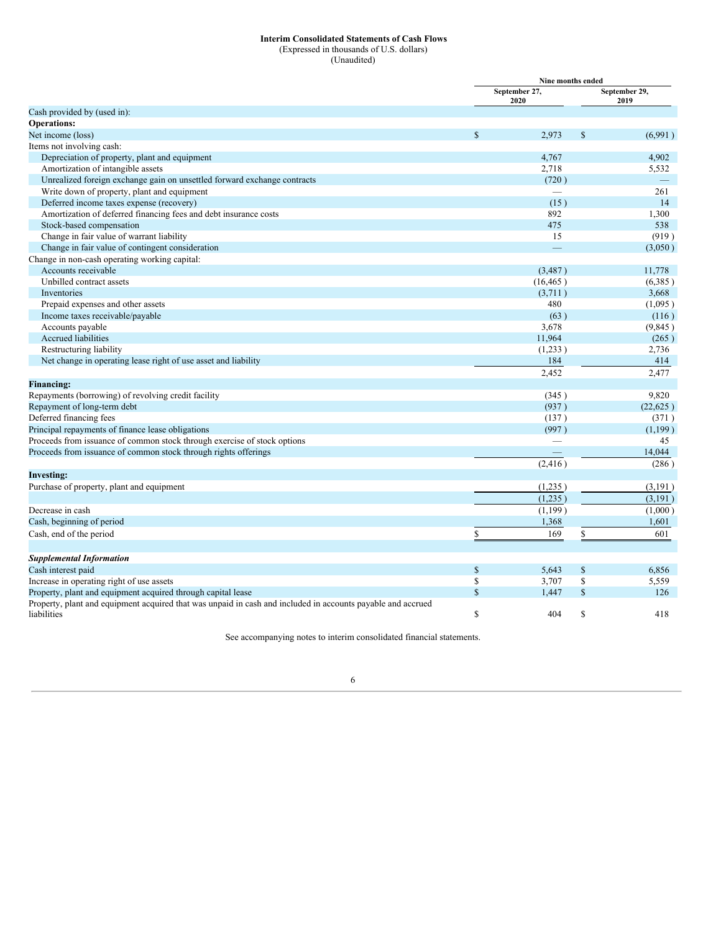## **Interim Consolidated Statements of Cash Flows**

(Expressed in thousands of U.S. dollars) (Unaudited)

<span id="page-5-0"></span>

|                                                                                                             |               | September 27,<br>2020 |              | September 29,<br>2019 |
|-------------------------------------------------------------------------------------------------------------|---------------|-----------------------|--------------|-----------------------|
| Cash provided by (used in):                                                                                 |               |                       |              |                       |
| <b>Operations:</b>                                                                                          |               |                       |              |                       |
| Net income (loss)                                                                                           | <sup>\$</sup> | 2,973                 | $\mathbb{S}$ | (6,991)               |
| Items not involving cash:                                                                                   |               |                       |              |                       |
| Depreciation of property, plant and equipment                                                               |               | 4,767                 |              | 4,902                 |
| Amortization of intangible assets                                                                           |               | 2,718                 |              | 5,532                 |
| Unrealized foreign exchange gain on unsettled forward exchange contracts                                    |               | (720)                 |              |                       |
| Write down of property, plant and equipment                                                                 |               |                       |              | 261                   |
| Deferred income taxes expense (recovery)                                                                    |               | (15)                  |              | 14                    |
| Amortization of deferred financing fees and debt insurance costs                                            |               | 892                   |              | 1,300                 |
| Stock-based compensation                                                                                    |               | 475                   |              | 538                   |
| Change in fair value of warrant liability                                                                   |               | 15                    |              | (919)                 |
| Change in fair value of contingent consideration                                                            |               |                       |              | (3,050)               |
| Change in non-cash operating working capital:                                                               |               |                       |              |                       |
| Accounts receivable                                                                                         |               | (3, 487)              |              | 11,778                |
| Unbilled contract assets                                                                                    |               | (16, 465)             |              | (6,385)               |
| Inventories                                                                                                 |               | (3,711)               |              | 3,668                 |
| Prepaid expenses and other assets                                                                           |               | 480                   |              | (1,095)               |
| Income taxes receivable/payable                                                                             |               | (63)                  |              | (116)                 |
| Accounts payable                                                                                            |               | 3,678                 |              | (9,845)               |
| <b>Accrued liabilities</b>                                                                                  |               | 11,964                |              | (265)                 |
| Restructuring liability                                                                                     |               | (1,233)               |              | 2,736                 |
| Net change in operating lease right of use asset and liability                                              |               | 184                   |              | 414                   |
|                                                                                                             |               | 2,452                 |              | 2,477                 |
| <b>Financing:</b>                                                                                           |               |                       |              |                       |
| Repayments (borrowing) of revolving credit facility                                                         |               | (345)                 |              | 9,820                 |
| Repayment of long-term debt                                                                                 |               | (937)                 |              | (22, 625)             |
| Deferred financing fees                                                                                     |               | (137)                 |              | (371)                 |
| Principal repayments of finance lease obligations                                                           |               | (997)                 |              | (1,199)               |
| Proceeds from issuance of common stock through exercise of stock options                                    |               |                       |              | 45                    |
| Proceeds from issuance of common stock through rights offerings                                             |               |                       |              | 14,044                |
|                                                                                                             |               | (2, 416)              |              | (286)                 |
| <b>Investing:</b>                                                                                           |               |                       |              |                       |
| Purchase of property, plant and equipment                                                                   |               | (1,235)               |              | (3,191)               |
|                                                                                                             |               | (1,235)               |              | (3,191)               |
| Decrease in cash                                                                                            |               | (1,199)               |              | (1,000)               |
| Cash, beginning of period                                                                                   |               | 1,368                 |              | 1,601                 |
| Cash, end of the period                                                                                     | \$            | 169                   | \$           | 601                   |
|                                                                                                             |               |                       |              |                       |
| <b>Supplemental Information</b>                                                                             |               |                       |              |                       |
| Cash interest paid                                                                                          | $\mathbb{S}$  | 5,643                 | $\mathbb S$  | 6,856                 |
| Increase in operating right of use assets                                                                   | \$            | 3,707                 | \$           | 5,559                 |
| Property, plant and equipment acquired through capital lease                                                | $\mathbf S$   | 1,447                 | $\mathbb{S}$ | 126                   |
| Property, plant and equipment acquired that was unpaid in cash and included in accounts payable and accrued |               |                       |              |                       |
| liabilities                                                                                                 | <sup>\$</sup> | 404                   | S            | 418                   |

See accompanying notes to interim consolidated financial statements.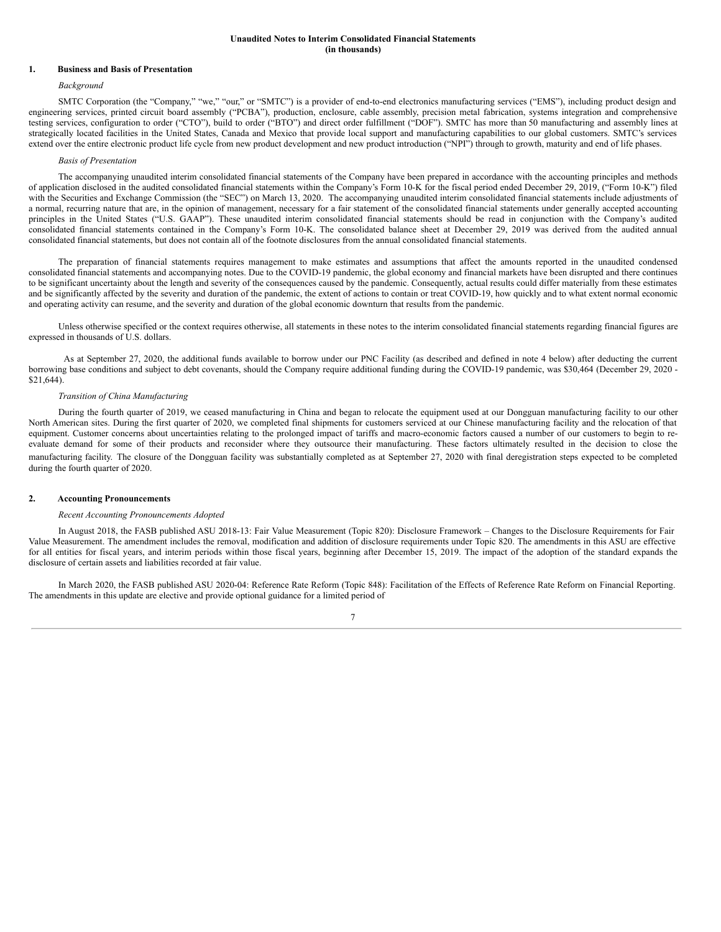## **Unaudited Notes to Interim Consolidated Financial Statements (in thousands)**

## <span id="page-6-0"></span>**1. Business and Basis of Presentation**

### *Background*

SMTC Corporation (the "Company," "we," "our," or "SMTC") is a provider of end-to-end electronics manufacturing services ("EMS"), including product design and engineering services, printed circuit board assembly ("PCBA"), production, enclosure, cable assembly, precision metal fabrication, systems integration and comprehensive testing services, configuration to order ("CTO"), build to order ("BTO") and direct order fulfillment ("DOF"). SMTC has more than 50 manufacturing and assembly lines at strategically located facilities in the United States, Canada and Mexico that provide local support and manufacturing capabilities to our global customers. SMTC's services extend over the entire electronic product life cycle from new product development and new product introduction ("NPI") through to growth, maturity and end of life phases.

#### *Basis of Presentation*

The accompanying unaudited interim consolidated financial statements of the Company have been prepared in accordance with the accounting principles and methods of application disclosed in the audited consolidated financial statements within the Company's Form 10-K for the fiscal period ended December 29, 2019, ("Form 10-K") filed with the Securities and Exchange Commission (the "SEC") on March 13, 2020. The accompanying unaudited interim consolidated financial statements include adjustments of a normal, recurring nature that are, in the opinion of management, necessary for a fair statement of the consolidated financial statements under generally accepted accounting principles in the United States ("U.S. GAAP"). These unaudited interim consolidated financial statements should be read in conjunction with the Company's audited consolidated financial statements contained in the Company's Form 10-K. The consolidated balance sheet at December 29, 2019 was derived from the audited annual consolidated financial statements, but does not contain all of the footnote disclosures from the annual consolidated financial statements.

The preparation of financial statements requires management to make estimates and assumptions that affect the amounts reported in the unaudited condensed consolidated financial statements and accompanying notes. Due to the COVID-19 pandemic, the global economy and financial markets have been disrupted and there continues to be significant uncertainty about the length and severity of the consequences caused by the pandemic. Consequently, actual results could differ materially from these estimates and be significantly affected by the severity and duration of the pandemic, the extent of actions to contain or treat COVID-19, how quickly and to what extent normal economic and operating activity can resume, and the severity and duration of the global economic downturn that results from the pandemic.

Unless otherwise specified or the context requires otherwise, all statements in these notes to the interim consolidated financial statements regarding financial figures are expressed in thousands of U.S. dollars.

As at September 27, 2020, the additional funds available to borrow under our PNC Facility (as described and defined in note 4 below) after deducting the current borrowing base conditions and subject to debt covenants, should the Company require additional funding during the COVID-19 pandemic, was \$30,464 (December 29, 2020 -\$21,644).

#### *Transition of China Manufacturing*

During the fourth quarter of 2019, we ceased manufacturing in China and began to relocate the equipment used at our Dongguan manufacturing facility to our other North American sites. During the first quarter of 2020, we completed final shipments for customers serviced at our Chinese manufacturing facility and the relocation of that equipment. Customer concerns about uncertainties relating to the prolonged impact of tariffs and macro-economic factors caused a number of our customers to begin to reevaluate demand for some of their products and reconsider where they outsource their manufacturing. These factors ultimately resulted in the decision to close the manufacturing facility. The closure of the Dongguan facility was substantially completed as at September 27, 2020 with final deregistration steps expected to be completed during the fourth quarter of 2020.

### **2. Accounting Pronouncements**

#### *Recent Accounting Pronouncements Adopted*

In August 2018, the FASB published ASU 2018-13: Fair Value Measurement (Topic 820): Disclosure Framework – Changes to the Disclosure Requirements for Fair Value Measurement. The amendment includes the removal, modification and addition of disclosure requirements under Topic 820. The amendments in this ASU are effective for all entities for fiscal years, and interim periods within those fiscal years, beginning after December 15, 2019. The impact of the adoption of the standard expands the disclosure of certain assets and liabilities recorded at fair value.

In March 2020, the FASB published ASU 2020-04: Reference Rate Reform (Topic 848): Facilitation of the Effects of Reference Rate Reform on Financial Reporting. The amendments in this update are elective and provide optional guidance for a limited period of

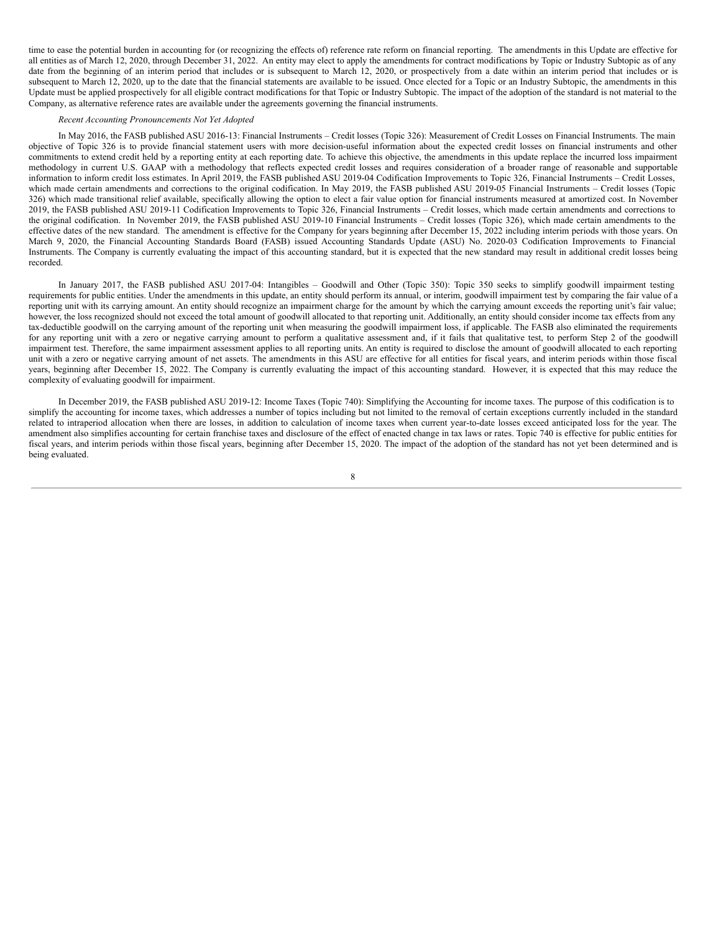time to ease the potential burden in accounting for (or recognizing the effects of) reference rate reform on financial reporting. The amendments in this Update are effective for all entities as of March 12, 2020, through December 31, 2022. An entity may elect to apply the amendments for contract modifications by Topic or Industry Subtopic as of any date from the beginning of an interim period that includes or is subsequent to March 12, 2020, or prospectively from a date within an interim period that includes or is subsequent to March 12, 2020, up to the date that the financial statements are available to be issued. Once elected for a Topic or an Industry Subtopic, the amendments in this Update must be applied prospectively for all eligible contract modifications for that Topic or Industry Subtopic. The impact of the adoption of the standard is not material to the Company, as alternative reference rates are available under the agreements governing the financial instruments.

## *Recent Accounting Pronouncements Not Yet Adopted*

In May 2016, the FASB published ASU 2016-13: Financial Instruments – Credit losses (Topic 326): Measurement of Credit Losses on Financial Instruments. The main objective of Topic 326 is to provide financial statement users with more decision-useful information about the expected credit losses on financial instruments and other commitments to extend credit held by a reporting entity at each reporting date. To achieve this objective, the amendments in this update replace the incurred loss impairment methodology in current U.S. GAAP with a methodology that reflects expected credit losses and requires consideration of a broader range of reasonable and supportable information to inform credit loss estimates. In April 2019, the FASB published ASU 2019-04 Codification Improvements to Topic 326, Financial Instruments – Credit Losses, which made certain amendments and corrections to the original codification. In May 2019, the FASB published ASU 2019-05 Financial Instruments - Credit losses (Topic 326) which made transitional relief available, specifically allowing the option to elect a fair value option for financial instruments measured at amortized cost. In November 2019, the FASB published ASU 2019-11 Codification Improvements to Topic 326, Financial Instruments – Credit losses, which made certain amendments and corrections to the original codification. In November 2019, the FASB published ASU 2019-10 Financial Instruments – Credit losses (Topic 326), which made certain amendments to the effective dates of the new standard. The amendment is effective for the Company for years beginning after December 15, 2022 including interim periods with those years. On March 9, 2020, the Financial Accounting Standards Board (FASB) issued Accounting Standards Update (ASU) No. 2020-03 Codification Improvements to Financial Instruments. The Company is currently evaluating the impact of this accounting standard, but it is expected that the new standard may result in additional credit losses being recorded.

In January 2017, the FASB published ASU 2017-04: Intangibles – Goodwill and Other (Topic 350): Topic 350 seeks to simplify goodwill impairment testing requirements for public entities. Under the amendments in this update, an entity should perform its annual, or interim, goodwill impairment test by comparing the fair value of a reporting unit with its carrying amount. An entity should recognize an impairment charge for the amount by which the carrying amount exceeds the reporting unit's fair value; however, the loss recognized should not exceed the total amount of goodwill allocated to that reporting unit. Additionally, an entity should consider income tax effects from any tax-deductible goodwill on the carrying amount of the reporting unit when measuring the goodwill impairment loss, if applicable. The FASB also eliminated the requirements for any reporting unit with a zero or negative carrying amount to perform a qualitative assessment and, if it fails that qualitative test, to perform Step 2 of the goodwill impairment test. Therefore, the same impairment assessment applies to all reporting units. An entity is required to disclose the amount of goodwill allocated to each reporting unit with a zero or negative carrying amount of net assets. The amendments in this ASU are effective for all entities for fiscal years, and interim periods within those fiscal years, beginning after December 15, 2022. The Company is currently evaluating the impact of this accounting standard. However, it is expected that this may reduce the complexity of evaluating goodwill for impairment.

In December 2019, the FASB published ASU 2019-12: Income Taxes (Topic 740): Simplifying the Accounting for income taxes. The purpose of this codification is to simplify the accounting for income taxes, which addresses a number of topics including but not limited to the removal of certain exceptions currently included in the standard related to intraperiod allocation when there are losses, in addition to calculation of income taxes when current year-to-date losses exceed anticipated loss for the year. The amendment also simplifies accounting for certain franchise taxes and disclosure of the effect of enacted change in tax laws or rates. Topic 740 is effective for public entities for fiscal years, and interim periods within those fiscal years, beginning after December 15, 2020. The impact of the adoption of the standard has not yet been determined and is being evaluated.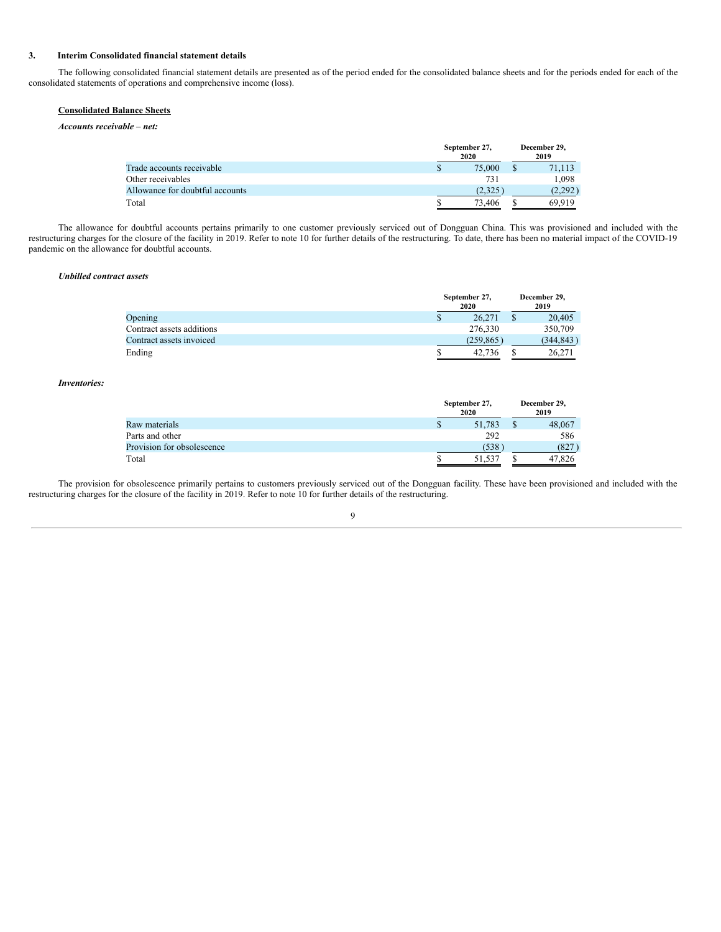## **3. Interim Consolidated financial statement details**

The following consolidated financial statement details are presented as of the period ended for the consolidated balance sheets and for the periods ended for each of the consolidated statements of operations and comprehensive income (loss).

# **Consolidated Balance Sheets**

*Accounts receivable – net:*

|                                 |   | September 27,<br>2020 | December 29,<br>2019 |
|---------------------------------|---|-----------------------|----------------------|
| Trade accounts receivable       | S | 75,000                | 71.113               |
| Other receivables               |   | 731                   | 1,098                |
| Allowance for doubtful accounts |   | (2.325)               | (2.292)              |
| Total                           |   | 73,406                | 69.919               |

The allowance for doubtful accounts pertains primarily to one customer previously serviced out of Dongguan China. This was provisioned and included with the restructuring charges for the closure of the facility in 2019. Refer to note 10 for further details of the restructuring. To date, there has been no material impact of the COVID-19 pandemic on the allowance for doubtful accounts.

#### *Unbilled contract assets*

|                           |   | September 27,<br>2020 | December 29,<br>2019 |
|---------------------------|---|-----------------------|----------------------|
| Opening                   | S | 26,271                | 20,405               |
| Contract assets additions |   | 276.330               | 350,709              |
| Contract assets invoiced  |   | (259, 865)            | (344, 843)           |
| Ending                    |   | 42,736                | 26.271               |

## *Inventories:*

|                            |   | September 27,<br>2020 |  |        |  |
|----------------------------|---|-----------------------|--|--------|--|
| Raw materials              | S | 51,783                |  | 48,067 |  |
| Parts and other            |   | 292                   |  | 586    |  |
| Provision for obsolescence |   | (538)                 |  | (827)  |  |
| Total                      |   | 51.537                |  | 47.826 |  |

The provision for obsolescence primarily pertains to customers previously serviced out of the Dongguan facility. These have been provisioned and included with the restructuring charges for the closure of the facility in 2019. Refer to note 10 for further details of the restructuring.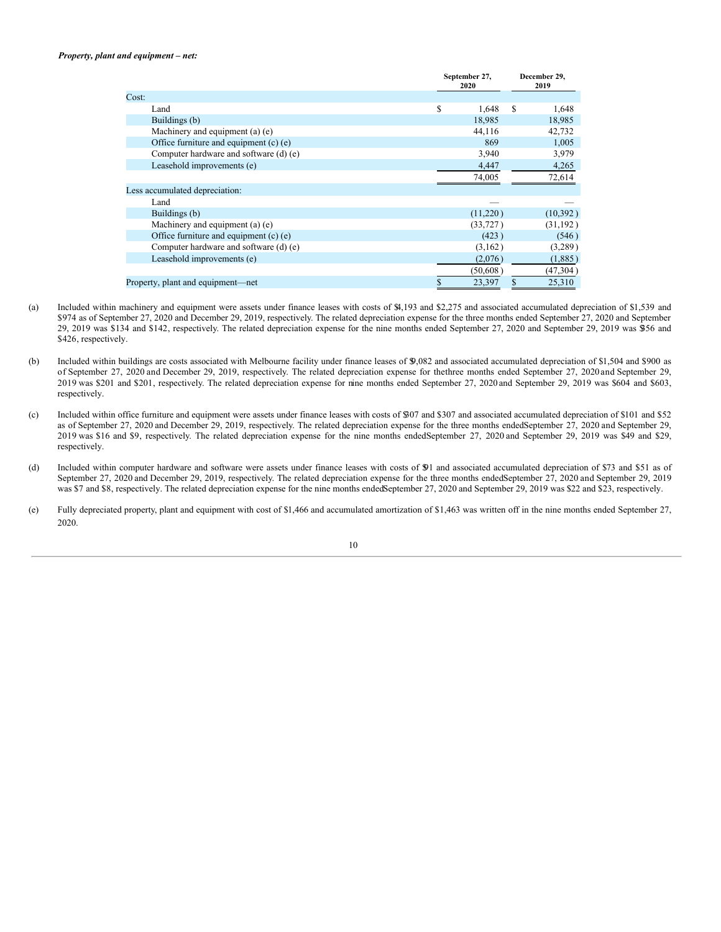## *Property, plant and equipment – net:*

|       |                                        | September 27,<br>2020 |           | December 29,<br>2019 |           |
|-------|----------------------------------------|-----------------------|-----------|----------------------|-----------|
| Cost: |                                        |                       |           |                      |           |
|       | Land                                   | \$                    | 1,648     | S                    | 1,648     |
|       | Buildings (b)                          |                       | 18,985    |                      | 18,985    |
|       | Machinery and equipment (a) (e)        |                       | 44,116    |                      | 42,732    |
|       | Office furniture and equipment (c) (e) |                       | 869       |                      | 1,005     |
|       | Computer hardware and software (d) (e) |                       | 3,940     |                      | 3,979     |
|       | Leasehold improvements (e)             |                       | 4,447     |                      | 4,265     |
|       |                                        |                       | 74,005    |                      | 72,614    |
|       | Less accumulated depreciation:         |                       |           |                      |           |
|       | Land                                   |                       |           |                      |           |
|       | Buildings (b)                          |                       | (11,220)  |                      | (10,392)  |
|       | Machinery and equipment (a) (e)        |                       | (33, 727) |                      | (31, 192) |
|       | Office furniture and equipment (c) (e) |                       | (423)     |                      | (546)     |
|       | Computer hardware and software (d) (e) |                       | (3,162)   |                      | (3,289)   |
|       | Leasehold improvements (e)             |                       | (2,076)   |                      | (1,885)   |
|       |                                        |                       | (50,608)  |                      | (47, 304) |
|       | Property, plant and equipment—net      | \$                    | 23,397    | \$                   | 25,310    |
|       |                                        |                       |           |                      |           |

- (a) Included within machinery and equipment were assets under finance leases with costs of \$4,193 and \$2,275 and associated accumulated depreciation of \$1,539 and \$974 as of September 27, 2020 and December 29, 2019, respectively. The related depreciation expense for the three months ended September 27, 2020 and September 29, 2019 was \$134 and \$142, respectively. The related depreciation expense for the nine months ended September 27, 2020 and September 29, 2019 was \$356 and \$426, respectively.
- (b) Included within buildings are costs associated with Melbourne facility under finance leases of \$9,082 and associated accumulated depreciation of \$1,504 and \$900 as of September 27, 2020 and December 29, 2019, respectively. The related depreciation expense for thethree months ended September 27, 2020 and September 29, 2019 was \$201 and \$201, respectively. The related depreciation expense for nine months ended September 27, 2020 and September 29, 2019 was \$604 and \$603, respectively.
- (c) Included within office furniture and equipment were assets under finance leases with costs of \$307 and \$307 and associated accumulated depreciation of \$101 and \$52 as of September 27, 2020 and December 29, 2019, respectively. The related depreciation expense for the three months endedSeptember 27, 2020 and September 29, 2019 was \$16 and \$9, respectively. The related depreciation expense for the nine months endedSeptember 27, 2020 and September 29, 2019 was \$49 and \$29, respectively.
- (d) Included within computer hardware and software were assets under finance leases with costs of \$91 and associated accumulated depreciation of \$73 and \$51 as of September 27, 2020 and December 29, 2019, respectively. The related depreciation expense for the three months endedSeptember 27, 2020 and September 29, 2019 was \$7 and \$8, respectively. The related depreciation expense for the nine months endedSeptember 27, 2020 and September 29, 2019 was \$22 and \$23, respectively.
- (e) Fully depreciated property, plant and equipment with cost of \$1,466 and accumulated amortization of \$1,463 was written off in the nine months ended September 27, 2020.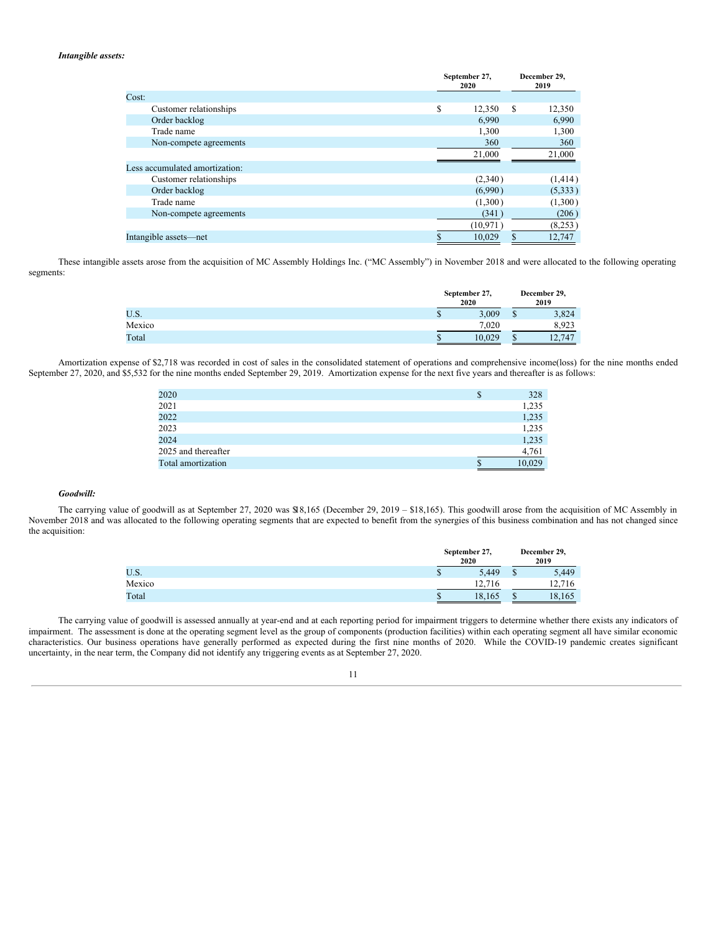## *Intangible assets:*

|                                | September 27,<br>2020 | December 29,<br>2019 |  |
|--------------------------------|-----------------------|----------------------|--|
| Cost:                          |                       |                      |  |
| Customer relationships         | S<br>12,350           | S<br>12,350          |  |
| Order backlog                  | 6,990                 | 6,990                |  |
| Trade name                     | 1,300                 | 1,300                |  |
| Non-compete agreements         | 360                   | 360                  |  |
|                                | 21,000                | 21,000               |  |
| Less accumulated amortization: |                       |                      |  |
| Customer relationships         | (2,340)               | (1,414)              |  |
| Order backlog                  | (6,990)               | (5, 333)             |  |
| Trade name                     | (1,300)               | (1,300)              |  |
| Non-compete agreements         | (341)                 | (206)                |  |
|                                | (10, 971)             | (8,253)              |  |
| Intangible assets—net          | 10.029                | 12,747<br>S          |  |

These intangible assets arose from the acquisition of MC Assembly Holdings Inc. ("MC Assembly") in November 2018 and were allocated to the following operating segments:

|        | September 27,<br>2020 |        | December 29,<br>2019 |        |  |
|--------|-----------------------|--------|----------------------|--------|--|
| U.S.   | D                     | 3,009  | D                    | 3,824  |  |
| Mexico |                       | 7.020  |                      | 8.923  |  |
| Total  |                       | 10.029 | ۰D                   | 12,747 |  |

Amortization expense of \$2,718 was recorded in cost of sales in the consolidated statement of operations and comprehensive income(loss) for the nine months ended September 27, 2020, and \$5,532 for the nine months ended September 29, 2019. Amortization expense for the next five years and thereafter is as follows:

| 2020                | S | 328    |
|---------------------|---|--------|
| 2021                |   | 1,235  |
| 2022                |   | 1,235  |
| 2023                |   | 1,235  |
| 2024                |   | 1,235  |
| 2025 and thereafter |   | 4,761  |
| Total amortization  |   | 10,029 |

## *Goodwill:*

The carrying value of goodwill as at September 27, 2020 was \$18,165 (December 29, 2019 – \$18,165). This goodwill arose from the acquisition of MC Assembly in November 2018 and was allocated to the following operating segments that are expected to benefit from the synergies of this business combination and has not changed since the acquisition:

|        | September 27,<br>2020 |    | December 29,<br>2019 |  |  |
|--------|-----------------------|----|----------------------|--|--|
| U.S.   | 5,449<br>۰Ŀ           | ۰υ | 5,449                |  |  |
| Mexico | 12.716<br>1/2         |    | 12,716               |  |  |
| Total  | 18,165                | ۰D | 18,165               |  |  |

The carrying value of goodwill is assessed annually at year-end and at each reporting period for impairment triggers to determine whether there exists any indicators of impairment. The assessment is done at the operating segment level as the group of components (production facilities) within each operating segment all have similar economic characteristics. Our business operations have generally performed as expected during the first nine months of 2020. While the COVID-19 pandemic creates significant uncertainty, in the near term, the Company did not identify any triggering events as at September 27, 2020.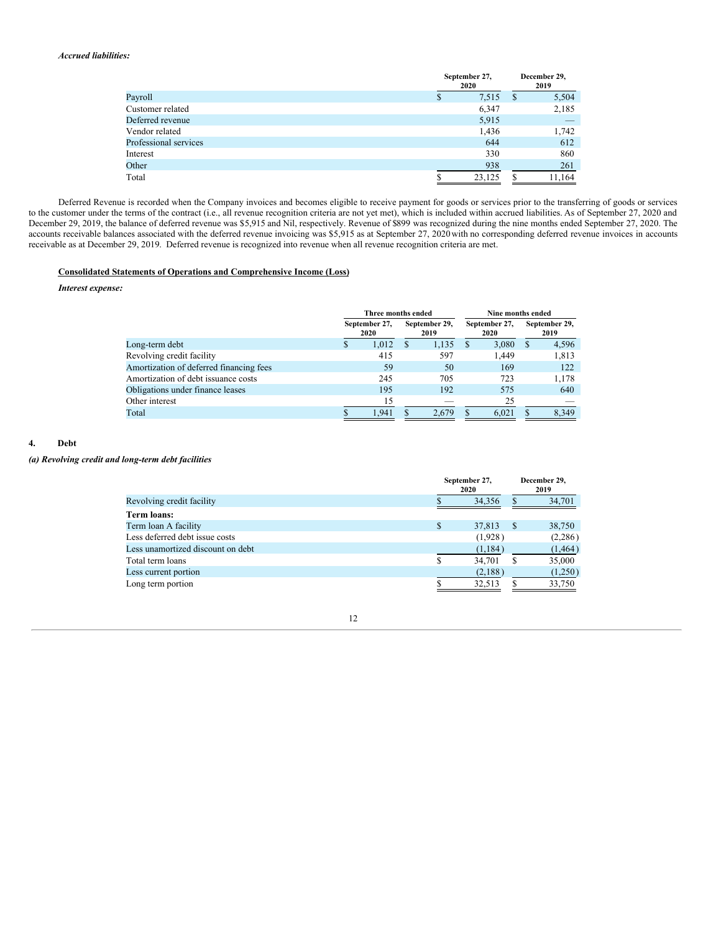## *Accrued liabilities:*

|                       |   | September 27,<br>2020 | December 29,<br>2019 |        |  |
|-----------------------|---|-----------------------|----------------------|--------|--|
| Payroll               | Φ | 7,515                 | -S                   | 5,504  |  |
| Customer related      |   | 6,347                 |                      | 2,185  |  |
| Deferred revenue      |   | 5,915                 |                      |        |  |
| Vendor related        |   | 1,436                 |                      | 1,742  |  |
| Professional services |   | 644                   |                      | 612    |  |
| Interest              |   | 330                   |                      | 860    |  |
| Other                 |   | 938                   |                      | 261    |  |
| Total                 |   | 23,125                |                      | 11,164 |  |

Deferred Revenue is recorded when the Company invoices and becomes eligible to receive payment for goods or services prior to the transferring of goods or services to the customer under the terms of the contract (i.e., all revenue recognition criteria are not yet met), which is included within accrued liabilities. As of September 27, 2020 and December 29, 2019, the balance of deferred revenue was \$5,915 and Nil, respectively. Revenue of \$899 was recognized during the nine months ended September 27, 2020. The accounts receivable balances associated with the deferred revenue invoicing was \$5,915 as at September 27, 2020 with no corresponding deferred revenue invoices in accounts receivable as at December 29, 2019. Deferred revenue is recognized into revenue when all revenue recognition criteria are met.

## **Consolidated Statements of Operations and Comprehensive Income (Loss)**

## *Interest expense:*

|                                         | Three months ended |                       | Nine months ended        |  |                       |   |                       |
|-----------------------------------------|--------------------|-----------------------|--------------------------|--|-----------------------|---|-----------------------|
|                                         |                    | September 27,<br>2020 | September 29,<br>2019    |  | September 27,<br>2020 |   | September 29,<br>2019 |
| Long-term debt                          | S                  | 1,012                 | 1,135                    |  | 3,080                 | S | 4,596                 |
| Revolving credit facility               |                    | 415                   | 597                      |  | 1.449                 |   | 1,813                 |
| Amortization of deferred financing fees |                    | 59                    | 50                       |  | 169                   |   | 122                   |
| Amortization of debt issuance costs     |                    | 245                   | 705                      |  | 723                   |   | 1,178                 |
| Obligations under finance leases        |                    | 195                   | 192                      |  | 575                   |   | 640                   |
| Other interest                          |                    | 15                    | $\overline{\phantom{a}}$ |  | 25                    |   |                       |
| Total                                   |                    | 1.941                 | 2.679                    |  | 6.021                 |   | 8,349                 |

## **4. Debt**

*(a) Revolving credit and long-term debt facilities*

|                                   |    | September 27,<br>2020 |    | December 29,<br>2019 |  |
|-----------------------------------|----|-----------------------|----|----------------------|--|
| Revolving credit facility         |    | 34.356                |    | 34,701               |  |
| <b>Term loans:</b>                |    |                       |    |                      |  |
| Term loan A facility              | \$ | 37,813                | -S | 38,750               |  |
| Less deferred debt issue costs    |    | (1,928)               |    | (2,286)              |  |
| Less unamortized discount on debt |    | (1,184)               |    | (1, 464)             |  |
| Total term loans                  | S  | 34,701                | S  | 35,000               |  |
| Less current portion              |    | (2,188)               |    | (1,250)              |  |
| Long term portion                 |    | 32,513                |    | 33,750               |  |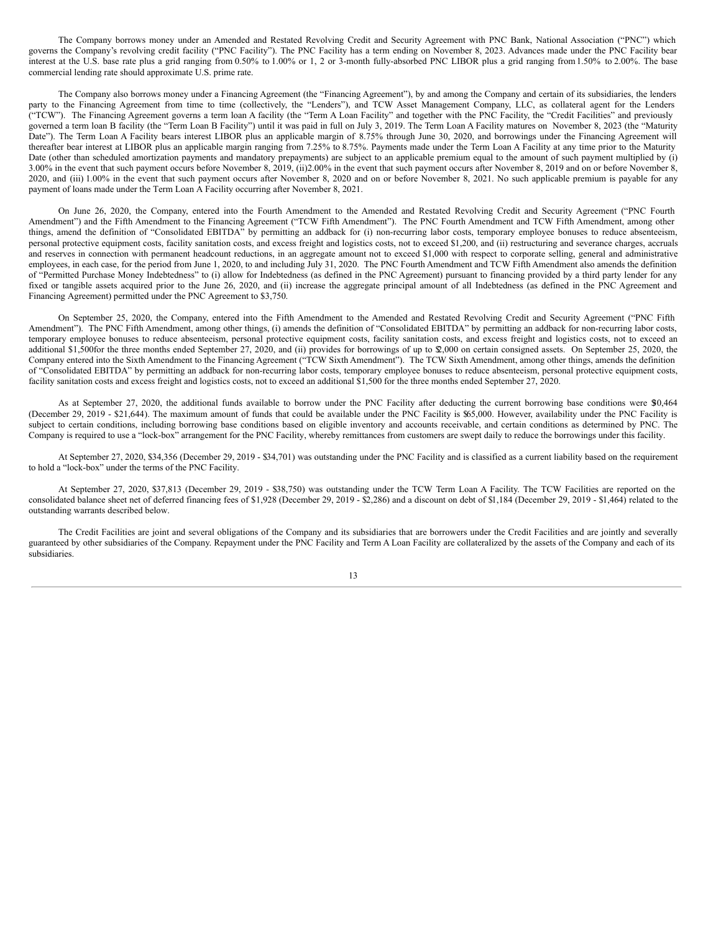The Company borrows money under an Amended and Restated Revolving Credit and Security Agreement with PNC Bank, National Association ("PNC") which governs the Company's revolving credit facility ("PNC Facility"). The PNC Facility has a term ending on November 8, 2023. Advances made under the PNC Facility bear interest at the U.S. base rate plus a grid ranging from 0.50% to 1.00% or 1, 2 or 3-month fully-absorbed PNC LIBOR plus a grid ranging from1.50% to 2.00%. The base commercial lending rate should approximate U.S. prime rate.

The Company also borrows money under a Financing Agreement (the "Financing Agreement"), by and among the Company and certain of its subsidiaries, the lenders party to the Financing Agreement from time to time (collectively, the "Lenders"), and TCW Asset Management Company, LLC, as collateral agent for the Lenders ("TCW"). The Financing Agreement governs a term loan A facility (the "Term A Loan Facility" and together with the PNC Facility, the "Credit Facilities" and previously governed a term loan B facility (the "Term Loan B Facility") until it was paid in full on July 3, 2019. The Term Loan A Facility matures on November 8, 2023 (the "Maturity Date"). The Term Loan A Facility bears interest LIBOR plus an applicable margin of 8.75% through June 30, 2020, and borrowings under the Financing Agreement will thereafter bear interest at LIBOR plus an applicable margin ranging from 7.25% to 8.75%. Payments made under the Term Loan A Facility at any time prior to the Maturity Date (other than scheduled amortization payments and mandatory prepayments) are subject to an applicable premium equal to the amount of such payment multiplied by (i) 3.00% in the event that such payment occurs before November 8, 2019, (ii)2.00% in the event that such payment occurs after November 8, 2019 and on or before November 8, 2020, and (iii) 1.00% in the event that such payment occurs after November 8, 2020 and on or before November 8, 2021. No such applicable premium is payable for any payment of loans made under the Term Loan A Facility occurring after November 8, 2021.

On June 26, 2020, the Company, entered into the Fourth Amendment to the Amended and Restated Revolving Credit and Security Agreement ("PNC Fourth Amendment") and the Fifth Amendment to the Financing Agreement ("TCW Fifth Amendment"). The PNC Fourth Amendment and TCW Fifth Amendment, among other things, amend the definition of "Consolidated EBITDA" by permitting an addback for (i) non-recurring labor costs, temporary employee bonuses to reduce absenteeism, personal protective equipment costs, facility sanitation costs, and excess freight and logistics costs, not to exceed \$1,200, and (ii) restructuring and severance charges, accruals and reserves in connection with permanent headcount reductions, in an aggregate amount not to exceed \$1,000 with respect to corporate selling, general and administrative employees, in each case, for the period from June 1, 2020, to and including July 31, 2020. The PNC Fourth Amendment and TCW Fifth Amendment also amends the definition of "Permitted Purchase Money Indebtedness" to (i) allow for Indebtedness (as defined in the PNC Agreement) pursuant to financing provided by a third party lender for any fixed or tangible assets acquired prior to the June 26, 2020, and (ii) increase the aggregate principal amount of all Indebtedness (as defined in the PNC Agreement and Financing Agreement) permitted under the PNC Agreement to \$3,750.

On September 25, 2020, the Company, entered into the Fifth Amendment to the Amended and Restated Revolving Credit and Security Agreement ("PNC Fifth Amendment"). The PNC Fifth Amendment, among other things, (i) amends the definition of "Consolidated EBITDA" by permitting an addback for non-recurring labor costs, temporary employee bonuses to reduce absenteeism, personal protective equipment costs, facility sanitation costs, and excess freight and logistics costs, not to exceed an additional \$1,500for the three months ended September 27, 2020, and (ii) provides for borrowings of up to \$2,000 on certain consigned assets. On September 25, 2020, the Company entered into the Sixth Amendment to the Financing Agreement ("TCW Sixth Amendment"). The TCW Sixth Amendment, among other things, amends the definition of "Consolidated EBITDA" by permitting an addback for non-recurring labor costs, temporary employee bonuses to reduce absenteeism, personal protective equipment costs, facility sanitation costs and excess freight and logistics costs, not to exceed an additional \$1,500 for the three months ended September 27, 2020.

As at September 27, 2020, the additional funds available to borrow under the PNC Facility after deducting the current borrowing base conditions were \$0,464 (December 29, 2019 - \$21,644). The maximum amount of funds that could be available under the PNC Facility is \$65,000. However, availability under the PNC Facility is subject to certain conditions, including borrowing base conditions based on eligible inventory and accounts receivable, and certain conditions as determined by PNC. The Company is required to use a "lock-box" arrangement for the PNC Facility, whereby remittances from customers are swept daily to reduce the borrowings under this facility.

At September 27, 2020, \$34,356 (December 29, 2019 - \$34,701) was outstanding under the PNC Facility and is classified as a current liability based on the requirement to hold a "lock-box" under the terms of the PNC Facility.

At September 27, 2020, \$37,813 (December 29, 2019 - \$38,750) was outstanding under the TCW Term Loan A Facility. The TCW Facilities are reported on the consolidated balance sheet net of deferred financing fees of \$1,928 (December 29, 2019 - \$2,286) and a discount on debt of \$1,184 (December 29, 2019 - \$1,464) related to the outstanding warrants described below.

The Credit Facilities are joint and several obligations of the Company and its subsidiaries that are borrowers under the Credit Facilities and are jointly and severally guaranteed by other subsidiaries of the Company. Repayment under the PNC Facility and Term A Loan Facility are collateralized by the assets of the Company and each of its subsidiaries.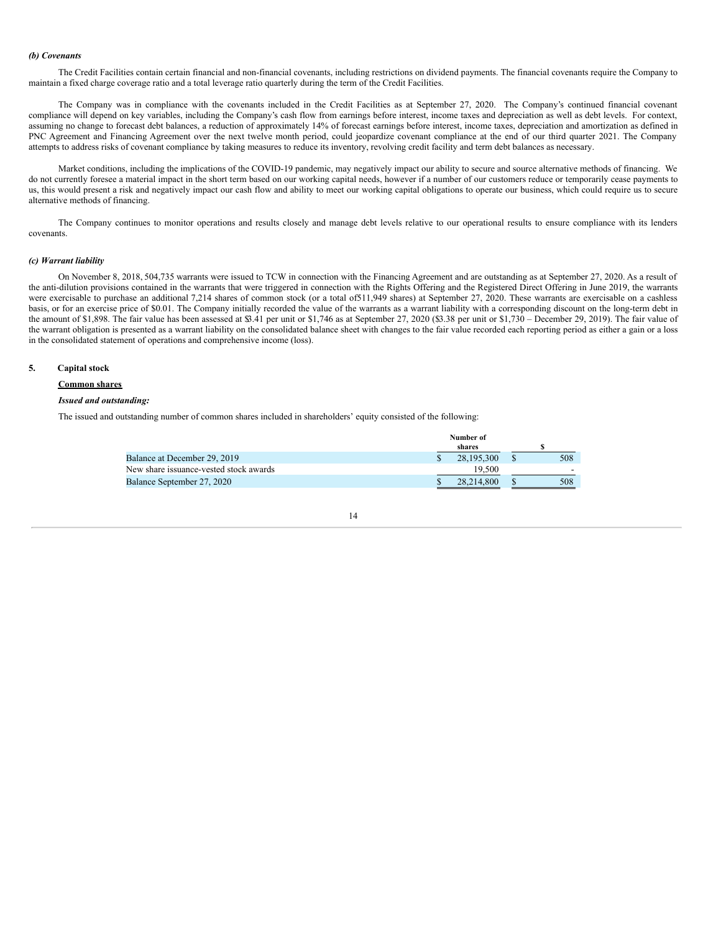## *(b) Covenants*

The Credit Facilities contain certain financial and non-financial covenants, including restrictions on dividend payments. The financial covenants require the Company to maintain a fixed charge coverage ratio and a total leverage ratio quarterly during the term of the Credit Facilities.

The Company was in compliance with the covenants included in the Credit Facilities as at September 27, 2020. The Company's continued financial covenant compliance will depend on key variables, including the Company's cash flow from earnings before interest, income taxes and depreciation as well as debt levels. For context, assuming no change to forecast debt balances, a reduction of approximately 14% of forecast earnings before interest, income taxes, depreciation and amortization as defined in PNC Agreement and Financing Agreement over the next twelve month period, could jeopardize covenant compliance at the end of our third quarter 2021. The Company attempts to address risks of covenant compliance by taking measures to reduce its inventory, revolving credit facility and term debt balances as necessary.

Market conditions, including the implications of the COVID-19 pandemic, may negatively impact our ability to secure and source alternative methods of financing. We do not currently foresee a material impact in the short term based on our working capital needs, however if a number of our customers reduce or temporarily cease payments to us, this would present a risk and negatively impact our cash flow and ability to meet our working capital obligations to operate our business, which could require us to secure alternative methods of financing.

The Company continues to monitor operations and results closely and manage debt levels relative to our operational results to ensure compliance with its lenders covenants.

## *(c) Warrant liability*

On November 8, 2018, 504,735 warrants were issued to TCW in connection with the Financing Agreement and are outstanding as at September 27, 2020. As a result of the anti-dilution provisions contained in the warrants that were triggered in connection with the Rights Offering and the Registered Direct Offering in June 2019, the warrants were exercisable to purchase an additional 7,214 shares of common stock (or a total of511,949 shares) at September 27, 2020. These warrants are exercisable on a cashless basis, or for an exercise price of \$0.01. The Company initially recorded the value of the warrants as a warrant liability with a corresponding discount on the long-term debt in the amount of \$1,898. The fair value has been assessed at \$3.41 per unit or \$1,746 as at September 27, 2020 (\$3.38 per unit or \$1,730 – December 29, 2019). The fair value of the warrant obligation is presented as a warrant liability on the consolidated balance sheet with changes to the fair value recorded each reporting period as either a gain or a loss in the consolidated statement of operations and comprehensive income (loss).

## **5. Capital stock**

#### **Common shares**

## *Issued and outstanding:*

The issued and outstanding number of common shares included in shareholders' equity consisted of the following:

|                                        | Number of  |     |
|----------------------------------------|------------|-----|
|                                        | shares     |     |
| Balance at December 29, 2019           | 28,195,300 | 508 |
| New share issuance-vested stock awards | 19.500     |     |
| Balance September 27, 2020             | 28.214.800 | 508 |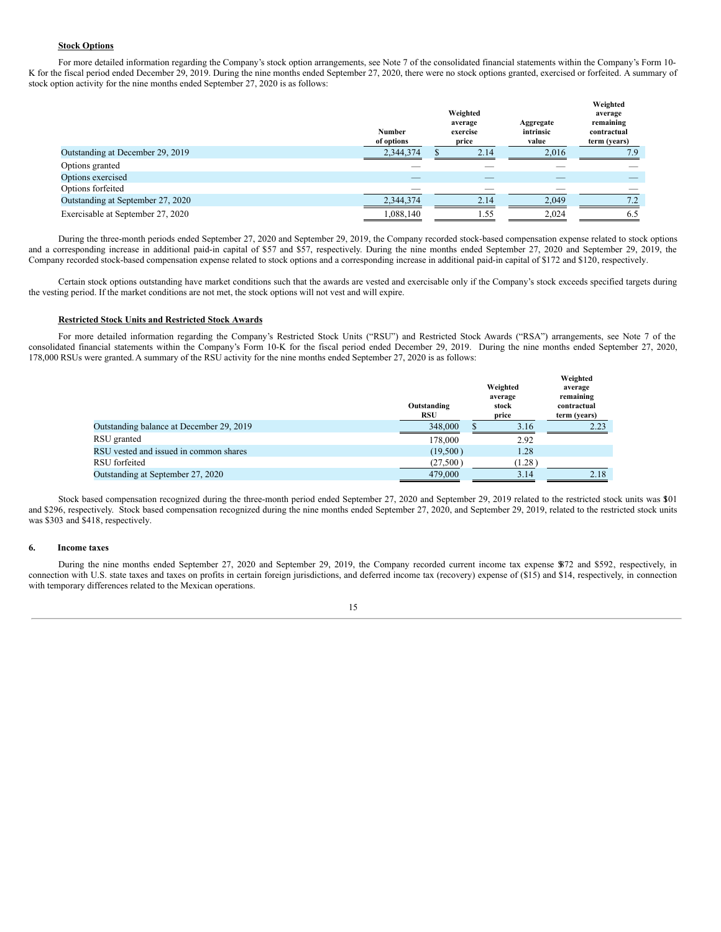## **Stock Options**

For more detailed information regarding the Company's stock option arrangements, see Note 7 of the consolidated financial statements within the Company's Form 10-K for the fiscal period ended December 29, 2019. During the nine months ended September 27, 2020, there were no stock options granted, exercised or forfeited. A summary of stock option activity for the nine months ended September 27, 2020 is as follows:

|                                   | <b>Number</b><br>of options | Weighted<br>average<br>exercise<br>price | Aggregate<br>intrinsic<br>value | Weighted<br>average<br>remaining<br>contractual<br>term (years) |
|-----------------------------------|-----------------------------|------------------------------------------|---------------------------------|-----------------------------------------------------------------|
| Outstanding at December 29, 2019  | 2,344,374                   | 2.14                                     | 2,016                           | 7.9                                                             |
| Options granted                   |                             |                                          |                                 |                                                                 |
| Options exercised                 |                             |                                          |                                 |                                                                 |
| Options forfeited                 |                             |                                          |                                 |                                                                 |
| Outstanding at September 27, 2020 | 2,344,374                   | 2.14                                     | 2.049                           | 7.2                                                             |
| Exercisable at September 27, 2020 | 1,088,140                   | 1.55                                     | 2,024                           | 6.5                                                             |

During the three-month periods ended September 27, 2020 and September 29, 2019, the Company recorded stock-based compensation expense related to stock options and a corresponding increase in additional paid-in capital of \$57 and \$57, respectively. During the nine months ended September 27, 2020 and September 29, 2019, the Company recorded stock-based compensation expense related to stock options and a corresponding increase in additional paid-in capital of \$172 and \$120, respectively.

Certain stock options outstanding have market conditions such that the awards are vested and exercisable only if the Company's stock exceeds specified targets during the vesting period. If the market conditions are not met, the stock options will not vest and will expire.

## **Restricted Stock Units and Restricted Stock Awards**

For more detailed information regarding the Company's Restricted Stock Units ("RSU") and Restricted Stock Awards ("RSA") arrangements, see Note 7 of the consolidated financial statements within the Company's Form 10-K for the fiscal period ended December 29, 2019. During the nine months ended September 27, 2020, 178,000 RSUs were granted.A summary of the RSU activity for the nine months ended September 27, 2020 is as follows:

|                                          | Outstanding<br><b>RSU</b> | Weighted<br>average<br>stock<br>price | Weighted<br>average<br>remaining<br>contractual<br>term (years) |
|------------------------------------------|---------------------------|---------------------------------------|-----------------------------------------------------------------|
| Outstanding balance at December 29, 2019 | 348,000                   | 3.16                                  | 2.23                                                            |
| RSU granted                              | 178,000                   | 2.92                                  |                                                                 |
| RSU vested and issued in common shares   | (19,500)                  | 1.28                                  |                                                                 |
| RSU forfeited                            | (27,500)                  | (1.28)                                |                                                                 |
| Outstanding at September 27, 2020        | 479,000                   | 3.14                                  | 2.18                                                            |

Stock based compensation recognized during the three-month period ended September 27, 2020 and September 29, 2019 related to the restricted stock units was \$101 and \$296, respectively. Stock based compensation recognized during the nine months ended September 27, 2020, and September 29, 2019, related to the restricted stock units was \$303 and \$418, respectively.

#### **6. Income taxes**

During the nine months ended September 27, 2020 and September 29, 2019, the Company recorded current income tax expense \$872 and \$592, respectively, in connection with U.S. state taxes and taxes on profits in certain foreign jurisdictions, and deferred income tax (recovery) expense of (\$15) and \$14, respectively, in connection with temporary differences related to the Mexican operations.

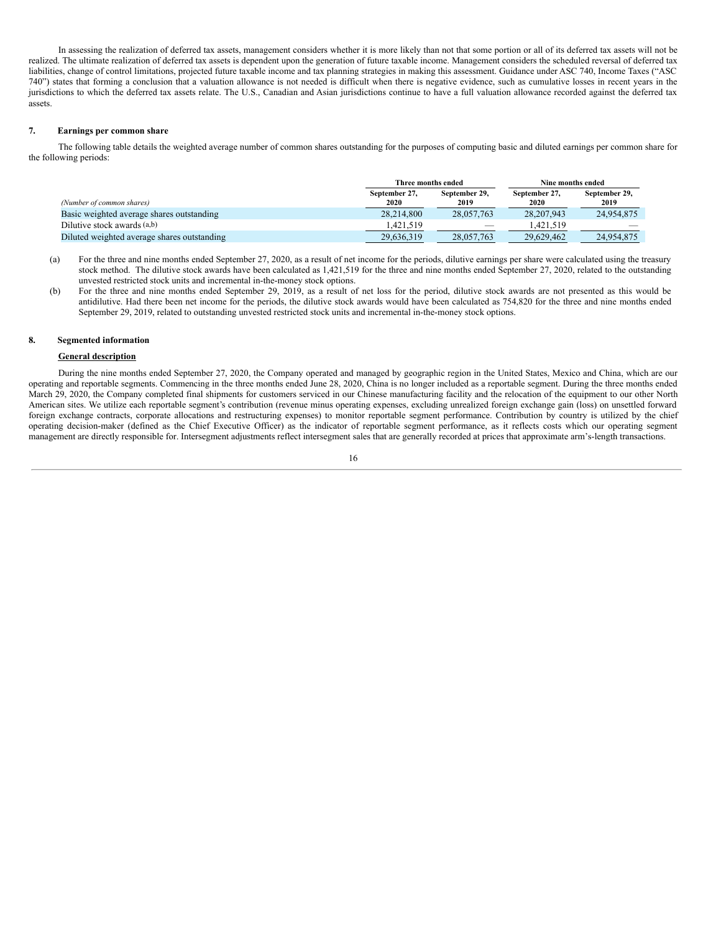In assessing the realization of deferred tax assets, management considers whether it is more likely than not that some portion or all of its deferred tax assets will not be realized. The ultimate realization of deferred tax assets is dependent upon the generation of future taxable income. Management considers the scheduled reversal of deferred tax liabilities, change of control limitations, projected future taxable income and tax planning strategies in making this assessment. Guidance under ASC 740, Income Taxes ("ASC 740") states that forming a conclusion that a valuation allowance is not needed is difficult when there is negative evidence, such as cumulative losses in recent years in the jurisdictions to which the deferred tax assets relate. The U.S., Canadian and Asian jurisdictions continue to have a full valuation allowance recorded against the deferred tax assets.

## **7. Earnings per common share**

The following table details the weighted average number of common shares outstanding for the purposes of computing basic and diluted earnings per common share for the following periods:

|                                             | Three months ended                             |            | Nine months ended     |                       |
|---------------------------------------------|------------------------------------------------|------------|-----------------------|-----------------------|
| (Number of common shares)                   | September 29,<br>September 27,<br>2020<br>2019 |            | September 27.<br>2020 | September 29,<br>2019 |
| Basic weighted average shares outstanding   | 28.214.800                                     | 28,057,763 | 28,207,943            | 24,954,875            |
| Dilutive stock awards $(a,b)$               | 1.421.519                                      |            | 1.421.519             |                       |
| Diluted weighted average shares outstanding | 29,636,319                                     | 28,057,763 | 29.629.462            | 24.954.875            |

- (a) For the three and nine months ended September 27, 2020, as a result of net income for the periods, dilutive earnings per share were calculated using the treasury stock method. The dilutive stock awards have been calculated as 1,421,519 for the three and nine months ended September 27, 2020, related to the outstanding unvested restricted stock units and incremental in-the-money stock options.
- (b) For the three and nine months ended September 29, 2019, as a result of net loss for the period, dilutive stock awards are not presented as this would be antidilutive. Had there been net income for the periods, the dilutive stock awards would have been calculated as 754,820 for the three and nine months ended September 29, 2019, related to outstanding unvested restricted stock units and incremental in-the-money stock options.

## **8. Segmented information**

## **General description**

During the nine months ended September 27, 2020, the Company operated and managed by geographic region in the United States, Mexico and China, which are our operating and reportable segments. Commencing in the three months ended June 28, 2020, China is no longer included as a reportable segment. During the three months ended March 29, 2020, the Company completed final shipments for customers serviced in our Chinese manufacturing facility and the relocation of the equipment to our other North American sites. We utilize each reportable segment's contribution (revenue minus operating expenses, excluding unrealized foreign exchange gain (loss) on unsettled forward foreign exchange contracts, corporate allocations and restructuring expenses) to monitor reportable segment performance. Contribution by country is utilized by the chief operating decision-maker (defined as the Chief Executive Officer) as the indicator of reportable segment performance, as it reflects costs which our operating segment management are directly responsible for. Intersegment adjustments reflect intersegment sales that are generally recorded at prices that approximate arm's-length transactions.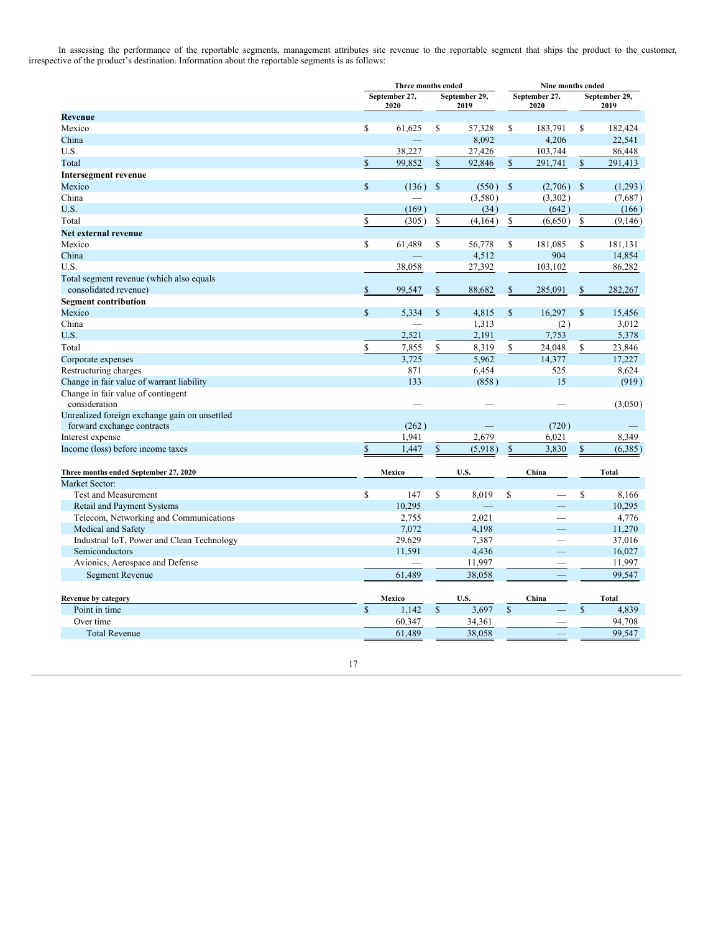In assessing the performance of the reportable segments, management attributes site revenue to the reportable segment that ships the product to the customer, irrespective of the product's destination. Information about the reportable segments is as follows:

|                                               |               |                       | Three months ended<br>Nine months ended |                       |              |                       |              |                       |
|-----------------------------------------------|---------------|-----------------------|-----------------------------------------|-----------------------|--------------|-----------------------|--------------|-----------------------|
|                                               |               | September 27,<br>2020 |                                         | September 29,<br>2019 |              | September 27,<br>2020 |              | September 29,<br>2019 |
| <b>Revenue</b>                                |               |                       |                                         |                       |              |                       |              |                       |
| Mexico                                        | \$            | 61,625                | \$                                      | 57,328                | \$           | 183,791               | \$           | 182,424               |
| China                                         |               |                       |                                         | 8,092                 |              | 4,206                 |              | 22,541                |
| U.S.                                          |               | 38,227                |                                         | 27,426                |              | 103,744               |              | 86,448                |
| Total                                         | $\mathbb{S}$  | 99,852                | \$                                      | 92,846                | \$           | 291,741               | \$           | 291,413               |
| <b>Intersegment revenue</b>                   |               |                       |                                         |                       |              |                       |              |                       |
| Mexico                                        | $\mathbb{S}$  | (136)                 | \$                                      | (550)                 | $\mathbb{S}$ | (2,706)               | -S           | (1,293)               |
| China                                         |               |                       |                                         | (3,580)               |              | (3,302)               |              | (7,687)               |
| U.S.                                          |               | (169)                 |                                         | (34)                  |              | (642)                 |              | (166)                 |
| Total                                         | \$            | (305)                 | \$                                      | (4, 164)              | $\mathbb S$  | (6,650)               | \$           | (9,146)               |
| Net external revenue                          |               |                       |                                         |                       |              |                       |              |                       |
| Mexico                                        | $\mathbb{S}$  | 61,489                | \$                                      | 56,778                | $\mathbb{S}$ | 181,085               | $\mathbb{S}$ | 181,131               |
| China                                         |               |                       |                                         | 4,512                 |              | 904                   |              | 14,854                |
| U.S.                                          |               | 38,058                |                                         | 27,392                |              | 103,102               |              | 86,282                |
| Total segment revenue (which also equals      |               |                       |                                         |                       |              |                       |              |                       |
| consolidated revenue)                         | \$            | 99,547                | \$                                      | 88,682                | \$           | 285,091               | \$           | 282,267               |
| <b>Segment contribution</b>                   |               |                       |                                         |                       |              |                       |              |                       |
| Mexico                                        | $\mathbf S$   | 5.334                 | \$                                      | 4.815                 | $\mathbb{S}$ | 16.297                | $\mathbf S$  | 15,456                |
| China                                         |               |                       |                                         | 1,313                 |              | (2)                   |              | 3,012                 |
| U.S.                                          |               | 2,521                 |                                         | 2,191                 |              | 7,753                 |              | 5,378                 |
| Total                                         | \$            | 7,855                 | \$                                      | 8,319                 | \$           | 24,048                | \$           | 23,846                |
| Corporate expenses                            |               | 3,725                 |                                         | 5,962                 |              | 14,377                |              | 17,227                |
| Restructuring charges                         |               | 871                   |                                         | 6,454                 |              | 525                   |              | 8,624                 |
| Change in fair value of warrant liability     |               | 133                   |                                         | (858)                 |              | 15                    |              | (919)                 |
| Change in fair value of contingent            |               |                       |                                         |                       |              |                       |              |                       |
| consideration                                 |               |                       |                                         |                       |              |                       |              | (3,050)               |
| Unrealized foreign exchange gain on unsettled |               |                       |                                         |                       |              |                       |              |                       |
| forward exchange contracts                    |               | (262)                 |                                         |                       |              | (720)                 |              |                       |
| Interest expense                              |               | 1,941                 |                                         | 2,679                 |              | 6,021                 |              | 8,349                 |
| Income (loss) before income taxes             | \$            | 1,447                 | \$                                      | (5,918)               | \$           | 3,830                 | \$           | (6,385)               |
|                                               |               |                       |                                         |                       |              |                       |              |                       |
| Three months ended September 27, 2020         |               | Mexico                |                                         | U.S.                  |              | China                 |              | <b>Total</b>          |
| Market Sector:                                |               |                       |                                         |                       |              |                       |              |                       |
| <b>Test and Measurement</b>                   | \$            | 147                   | \$                                      | 8.019                 | \$           |                       | $\mathbf S$  | 8.166                 |
| <b>Retail and Payment Systems</b>             |               | 10,295                |                                         |                       |              |                       |              | 10,295                |
| Telecom, Networking and Communications        |               | 2,755                 |                                         | 2,021                 |              |                       |              | 4,776                 |
| Medical and Safety                            |               | 7,072                 |                                         | 4,198                 |              |                       |              | 11,270                |
| Industrial IoT, Power and Clean Technology    |               | 29,629                |                                         | 7,387                 |              |                       |              | 37,016                |
| Semiconductors                                |               | 11,591                |                                         | 4,436                 |              |                       |              | 16,027                |
| Avionics, Aerospace and Defense               |               |                       |                                         | 11,997                |              |                       |              | 11,997                |
| <b>Segment Revenue</b>                        |               | 61,489                |                                         | 38,058                |              |                       |              | 99,547                |
|                                               |               |                       |                                         |                       |              |                       |              |                       |
| Revenue by category                           |               | Mexico                |                                         | U.S.                  |              | China                 |              | <b>Total</b>          |
| Point in time                                 | $\mathsf{\$}$ | 1,142                 | $\mathbb{S}$                            | 3,697                 | $\mathbf S$  |                       | $\mathbf S$  | 4,839                 |
| Over time                                     |               | 60,347                |                                         | 34,361                |              |                       |              | 94,708                |
| <b>Total Revenue</b>                          |               | 61,489                |                                         | 38,058                |              |                       |              | 99,547                |
|                                               |               |                       |                                         |                       |              |                       |              |                       |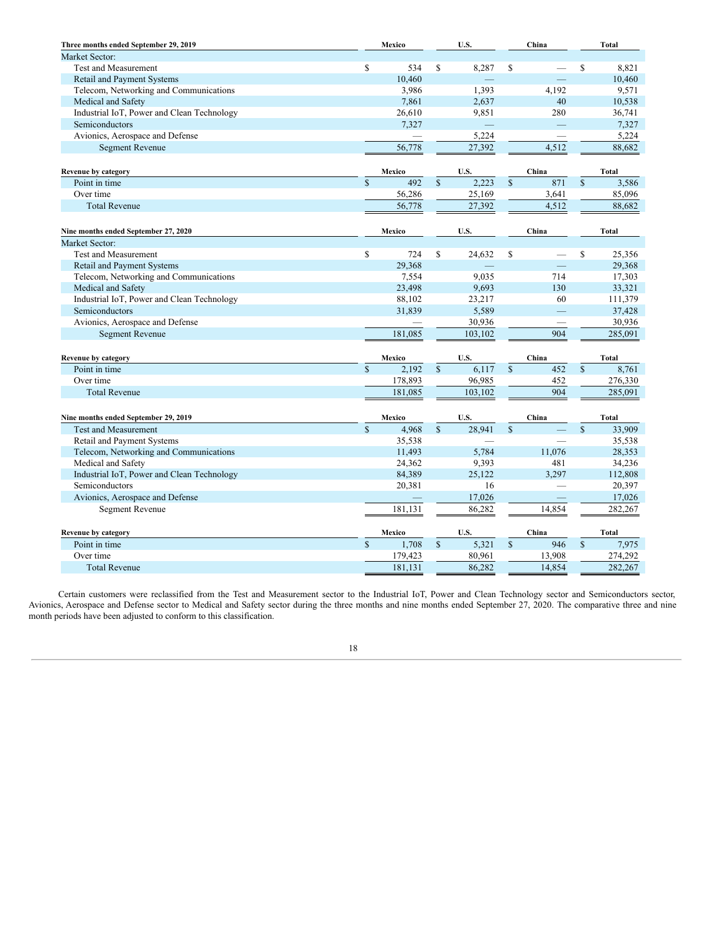| Three months ended September 29, 2019      |                    | Mexico  |               | U.S.    |              | China                    |                    | <b>Total</b> |
|--------------------------------------------|--------------------|---------|---------------|---------|--------------|--------------------------|--------------------|--------------|
| Market Sector:                             |                    |         |               |         |              |                          |                    |              |
| <b>Test and Measurement</b>                | \$                 | 534     | S             | 8,287   | \$           |                          | \$                 | 8,821        |
| <b>Retail and Payment Systems</b>          |                    | 10,460  |               |         |              |                          |                    | 10,460       |
| Telecom, Networking and Communications     |                    | 3,986   |               | 1.393   |              | 4.192                    |                    | 9,571        |
| Medical and Safety                         |                    | 7,861   |               | 2,637   |              | 40                       |                    | 10,538       |
| Industrial IoT, Power and Clean Technology |                    | 26,610  |               | 9,851   |              | 280                      |                    | 36,741       |
| Semiconductors                             |                    | 7,327   |               |         |              |                          |                    | 7,327        |
| Avionics, Aerospace and Defense            |                    |         |               | 5,224   |              | $\overline{\phantom{0}}$ |                    | 5,224        |
| <b>Segment Revenue</b>                     |                    | 56,778  |               | 27,392  |              | 4,512                    |                    | 88,682       |
| Revenue by category                        |                    | Mexico  |               | U.S.    |              | China                    |                    | <b>Total</b> |
| Point in time                              | $\mathbf S$        | 492     | $\mathbf S$   | 2,223   | $\mathbb{S}$ | 871                      | $\mathbb{S}$       | 3,586        |
| Over time                                  |                    | 56,286  |               | 25,169  |              | 3,641                    |                    | 85,096       |
| <b>Total Revenue</b>                       |                    | 56,778  |               | 27,392  |              | 4,512                    |                    | 88,682       |
| Nine months ended September 27, 2020       |                    | Mexico  |               | U.S.    |              | China                    |                    | <b>Total</b> |
| Market Sector:                             |                    |         |               |         |              |                          |                    |              |
| <b>Test and Measurement</b>                | \$                 | 724     | S             | 24,632  | \$           | $\overline{\phantom{0}}$ | \$                 | 25,356       |
| Retail and Payment Systems                 |                    | 29,368  |               |         |              |                          |                    | 29,368       |
| Telecom, Networking and Communications     |                    | 7,554   |               | 9,035   |              | 714                      |                    | 17,303       |
| Medical and Safety                         |                    | 23,498  |               | 9,693   |              | 130                      |                    | 33,321       |
| Industrial IoT, Power and Clean Technology |                    | 88,102  |               | 23,217  |              | 60                       |                    | 111,379      |
| Semiconductors                             |                    | 31,839  |               | 5,589   |              |                          |                    | 37,428       |
| Avionics, Aerospace and Defense            |                    |         |               | 30,936  |              |                          |                    | 30,936       |
| <b>Segment Revenue</b>                     |                    | 181,085 |               | 103,102 |              | 904                      |                    | 285,091      |
|                                            |                    |         |               |         |              |                          |                    |              |
| Revenue by category                        |                    | Mexico  |               | U.S.    |              | China                    |                    | <b>Total</b> |
| Point in time                              | $\mathbf S$        | 2,192   | $\mathbf S$   | 6,117   | $\mathbb{S}$ | 452                      | $\mathbb{S}$       | 8,761        |
| Over time                                  |                    | 178,893 |               | 96,985  |              | 452                      |                    | 276,330      |
| <b>Total Revenue</b>                       |                    | 181,085 |               | 103,102 |              | 904                      |                    | 285,091      |
| Nine months ended September 29, 2019       |                    | Mexico  |               | U.S.    |              | China                    |                    | <b>Total</b> |
| <b>Test and Measurement</b>                | $\mathbf S$        | 4,968   | $\mathbf S$   | 28.941  | $\mathbf S$  |                          | $\mathbf S$        | 33,909       |
| Retail and Payment Systems                 |                    | 35,538  |               | ÷.      |              |                          |                    | 35,538       |
| Telecom, Networking and Communications     |                    | 11,493  |               | 5,784   |              | 11,076                   |                    | 28,353       |
| Medical and Safety                         |                    | 24,362  |               | 9,393   |              | 481                      |                    | 34,236       |
| Industrial IoT, Power and Clean Technology |                    | 84,389  |               | 25,122  |              | 3,297                    |                    | 112,808      |
| Semiconductors                             |                    | 20,381  |               | 16      |              |                          |                    | 20,397       |
| Avionics, Aerospace and Defense            |                    |         |               | 17,026  |              |                          |                    | 17,026       |
| <b>Segment Revenue</b>                     |                    | 181,131 |               | 86,282  |              | 14,854                   |                    | 282,267      |
| <b>Revenue by category</b>                 |                    | Mexico  |               | U.S.    |              | China                    |                    | <b>Total</b> |
| Point in time                              | $\mathbf{\hat{s}}$ | 1,708   | <sup>\$</sup> | 5,321   | $\mathbf S$  | 946                      | $\mathbf{\hat{s}}$ | 7,975        |
| Over time                                  |                    | 179,423 |               | 80,961  |              | 13,908                   |                    | 274,292      |
| <b>Total Revenue</b>                       |                    | 181,131 |               | 86,282  |              | 14,854                   |                    | 282,267      |
|                                            |                    |         |               |         |              |                          |                    |              |

Certain customers were reclassified from the Test and Measurement sector to the Industrial IoT, Power and Clean Technology sector and Semiconductors sector, Avionics, Aerospace and Defense sector to Medical and Safety sector during the three months and nine months ended September 27, 2020. The comparative three and nine month periods have been adjusted to conform to this classification.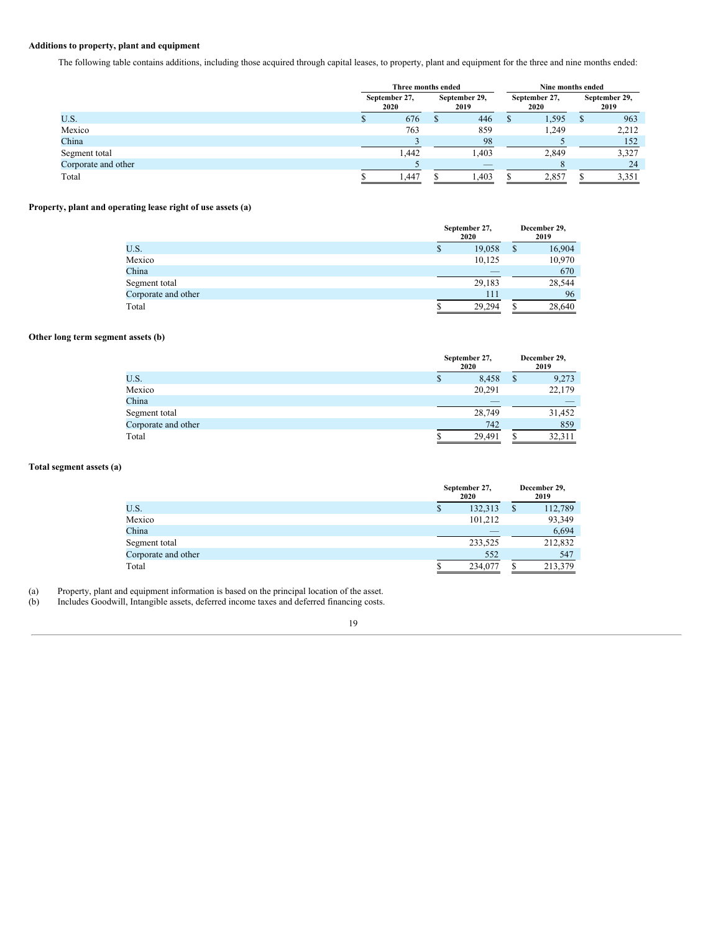## **Additions to property, plant and equipment**

The following table contains additions, including those acquired through capital leases, to property, plant and equipment for the three and nine months ended:

|                     | Three months ended                             |       |                       |       |  | Nine months ended |  |       |                       |
|---------------------|------------------------------------------------|-------|-----------------------|-------|--|-------------------|--|-------|-----------------------|
|                     | September 29,<br>September 27,<br>2020<br>2019 |       | September 27,<br>2020 |       |  |                   |  |       | September 29,<br>2019 |
| U.S.                |                                                | 676   | ъ                     | 446   |  | 1,595             |  | 963   |                       |
| Mexico              |                                                | 763   |                       | 859   |  | 1,249             |  | 2,212 |                       |
| China               |                                                |       |                       | 98    |  |                   |  | 152   |                       |
| Segment total       |                                                | 1.442 |                       | 1.403 |  | 2,849             |  | 3,327 |                       |
| Corporate and other |                                                |       |                       | ___   |  |                   |  | 24    |                       |
| Total               |                                                | 1,447 |                       | 1.403 |  | 2.857             |  | 3,351 |                       |

# **Property, plant and operating lease right of use assets (a)**

|                     | September 27,<br>2020 | December 29,<br>2019 |
|---------------------|-----------------------|----------------------|
| U.S.                | 19,058<br>Ф           | 16,904               |
| Mexico              | 10,125                | 10,970               |
| China               |                       | 670                  |
| Segment total       | 29,183                | 28,544               |
| Corporate and other |                       | 96<br>111            |
| Total               | 29.294                | 28,640               |

# **Other long term segment assets (b)**

|                     |   | September 27,<br>2020 | December 29,<br>2019 |  |  |
|---------------------|---|-----------------------|----------------------|--|--|
| U.S.                | P | 8,458                 | \$<br>9,273          |  |  |
| Mexico              |   | 20,291                | 22,179               |  |  |
| China               |   |                       |                      |  |  |
| Segment total       |   | 28,749                | 31,452               |  |  |
| Corporate and other |   | 742                   | 859                  |  |  |
| Total               | J | 29.491                | 32.311               |  |  |

# **Total segment assets (a)**

|                     | September 27,<br>2020 | December 29,<br>2019 |
|---------------------|-----------------------|----------------------|
| U.S.                | 132,313<br>S          | 112,789              |
| Mexico              | 101.212               | 93,349               |
| China               | _                     | 6,694                |
| Segment total       | 233,525               | 212,832              |
| Corporate and other | 552                   | 547                  |
| Total               | 234,077               | 213,379              |

(a) Property, plant and equipment information is based on the principal location of the asset.

(b) Includes Goodwill, Intangible assets, deferred income taxes and deferred financing costs.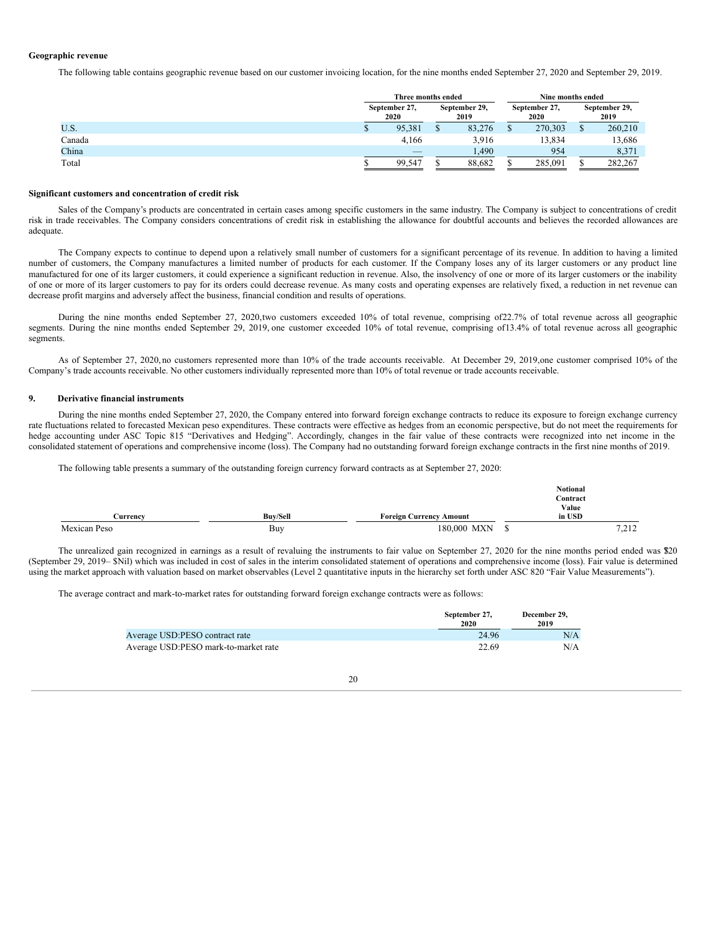## **Geographic revenue**

The following table contains geographic revenue based on our customer invoicing location, for the nine months ended September 27, 2020 and September 29, 2019.

|        |  | Three months ended       |  |        | Nine months ended |                       |  |         |                       |  |                       |  |
|--------|--|--------------------------|--|--------|-------------------|-----------------------|--|---------|-----------------------|--|-----------------------|--|
|        |  | September 27,<br>2020    |  |        |                   | September 29,<br>2019 |  |         | September 27,<br>2020 |  | September 29,<br>2019 |  |
| U.S.   |  | 95,381                   |  | 83,276 |                   | 270,303               |  | 260,210 |                       |  |                       |  |
| Canada |  | 4.166                    |  | 3.916  |                   | 13,834                |  | 13,686  |                       |  |                       |  |
| China  |  | $\overline{\phantom{a}}$ |  | .490   |                   | 954                   |  | 8,371   |                       |  |                       |  |
| Total  |  | 99.547                   |  | 88,682 |                   | 285,091               |  | 282,267 |                       |  |                       |  |

#### **Significant customers and concentration of credit risk**

Sales of the Company's products are concentrated in certain cases among specific customers in the same industry. The Company is subject to concentrations of credit risk in trade receivables. The Company considers concentrations of credit risk in establishing the allowance for doubtful accounts and believes the recorded allowances are adequate.

The Company expects to continue to depend upon a relatively small number of customers for a significant percentage of its revenue. In addition to having a limited number of customers, the Company manufactures a limited number of products for each customer. If the Company loses any of its larger customers or any product line manufactured for one of its larger customers, it could experience a significant reduction in revenue. Also, the insolvency of one or more of its larger customers or the inability of one or more of its larger customers to pay for its orders could decrease revenue. As many costs and operating expenses are relatively fixed, a reduction in net revenue can decrease profit margins and adversely affect the business, financial condition and results of operations.

During the nine months ended September 27, 2020,two customers exceeded 10% of total revenue, comprising of22.7% of total revenue across all geographic segments. During the nine months ended September 29, 2019, one customer exceeded 10% of total revenue, comprising of13.4% of total revenue across all geographic segments.

As of September 27, 2020, no customers represented more than 10% of the trade accounts receivable. At December 29, 2019,one customer comprised 10% of the Company's trade accounts receivable. No other customers individually represented more than 10% of total revenue or trade accounts receivable.

## **9. Derivative financial instruments**

During the nine months ended September 27, 2020, the Company entered into forward foreign exchange contracts to reduce its exposure to foreign exchange currency rate fluctuations related to forecasted Mexican peso expenditures. These contracts were effective as hedges from an economic perspective, but do not meet the requirements for hedge accounting under ASC Topic 815 "Derivatives and Hedging". Accordingly, changes in the fair value of these contracts were recognized into net income in the consolidated statement of operations and comprehensive income (loss). The Company had no outstanding forward foreign exchange contracts in the first nine months of 2019.

The following table presents a summary of the outstanding foreign currency forward contracts as at September 27, 2020:

|              |                 |                                | <b>Notional</b> |       |
|--------------|-----------------|--------------------------------|-----------------|-------|
|              |                 |                                | Contract        |       |
|              |                 |                                | Value           |       |
| Currencv     | <b>Buv/Sell</b> | <b>Foreign Currency Amount</b> | in USD          |       |
| Mexican Peso | Buy             | 180,000 MXN                    |                 | 7,212 |

The unrealized gain recognized in earnings as a result of revaluing the instruments to fair value on September 27, 2020 for the nine months period ended was \$20 (September 29, 2019– \$Nil) which was included in cost of sales in the interim consolidated statement of operations and comprehensive income (loss). Fair value is determined using the market approach with valuation based on market observables (Level 2 quantitative inputs in the hierarchy set forth under ASC 820 "Fair Value Measurements").

The average contract and mark-to-market rates for outstanding forward foreign exchange contracts were as follows:

|                                      | September 27,<br>2020 | December 29.<br>2019 |
|--------------------------------------|-----------------------|----------------------|
| Average USD:PESO contract rate       | 24.96                 | N/A                  |
| Average USD:PESO mark-to-market rate | 22.69                 | N/A                  |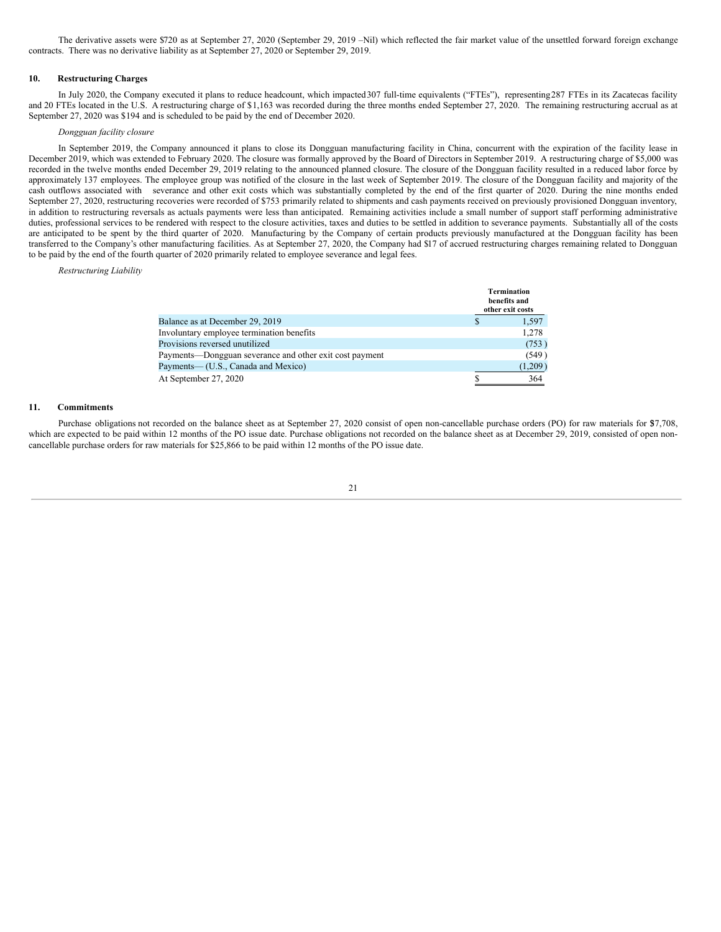The derivative assets were \$720 as at September 27, 2020 (September 29, 2019 –Nil) which reflected the fair market value of the unsettled forward foreign exchange contracts. There was no derivative liability as at September 27, 2020 or September 29, 2019.

## **10. Restructuring Charges**

In July 2020, the Company executed it plans to reduce headcount, which impacted307 full-time equivalents ("FTEs"), representing287 FTEs in its Zacatecas facility and 20 FTEs located in the U.S. A restructuring charge of \$1,163 was recorded during the three months ended September 27, 2020. The remaining restructuring accrual as at September 27, 2020 was \$194 and is scheduled to be paid by the end of December 2020.

#### *Dongguan facility closure*

In September 2019, the Company announced it plans to close its Dongguan manufacturing facility in China, concurrent with the expiration of the facility lease in December 2019, which was extended to February 2020. The closure was formally approved by the Board of Directors in September 2019. A restructuring charge of \$5,000 was recorded in the twelve months ended December 29, 2019 relating to the announced planned closure. The closure of the Dongguan facility resulted in a reduced labor force by approximately 137 employees. The employee group was notified of the closure in the last week of September 2019. The closure of the Dongguan facility and majority of the cash outflows associated with severance and other exit costs which was substantially completed by the end of the first quarter of 2020. During the nine months ended September 27, 2020, restructuring recoveries were recorded of \$753 primarily related to shipments and cash payments received on previously provisioned Dongguan inventory, in addition to restructuring reversals as actuals payments were less than anticipated. Remaining activities include a small number of support staff performing administrative duties, professional services to be rendered with respect to the closure activities, taxes and duties to be settled in addition to severance payments. Substantially all of the costs are anticipated to be spent by the third quarter of 2020. Manufacturing by the Company of certain products previously manufactured at the Dongguan facility has been transferred to the Company's other manufacturing facilities. As at September 27, 2020, the Company had \$17 of accrued restructuring charges remaining related to Dongguan to be paid by the end of the fourth quarter of 2020 primarily related to employee severance and legal fees.

*Restructuring Liability*

|                                                         | <b>Termination</b><br>benefits and<br>other exit costs |
|---------------------------------------------------------|--------------------------------------------------------|
| Balance as at December 29, 2019                         | 1,597                                                  |
| Involuntary employee termination benefits               | 1,278                                                  |
| Provisions reversed unutilized                          | (753)                                                  |
| Payments—Dongguan severance and other exit cost payment | (549)                                                  |
| Payments— (U.S., Canada and Mexico)                     | (1,209)                                                |
| At September 27, 2020                                   | 364                                                    |

#### **11. Commitments**

Purchase obligations not recorded on the balance sheet as at September 27, 2020 consist of open non-cancellable purchase orders (PO) for raw materials for \$7,708, which are expected to be paid within 12 months of the PO issue date. Purchase obligations not recorded on the balance sheet as at December 29, 2019, consisted of open noncancellable purchase orders for raw materials for \$25,866 to be paid within 12 months of the PO issue date.

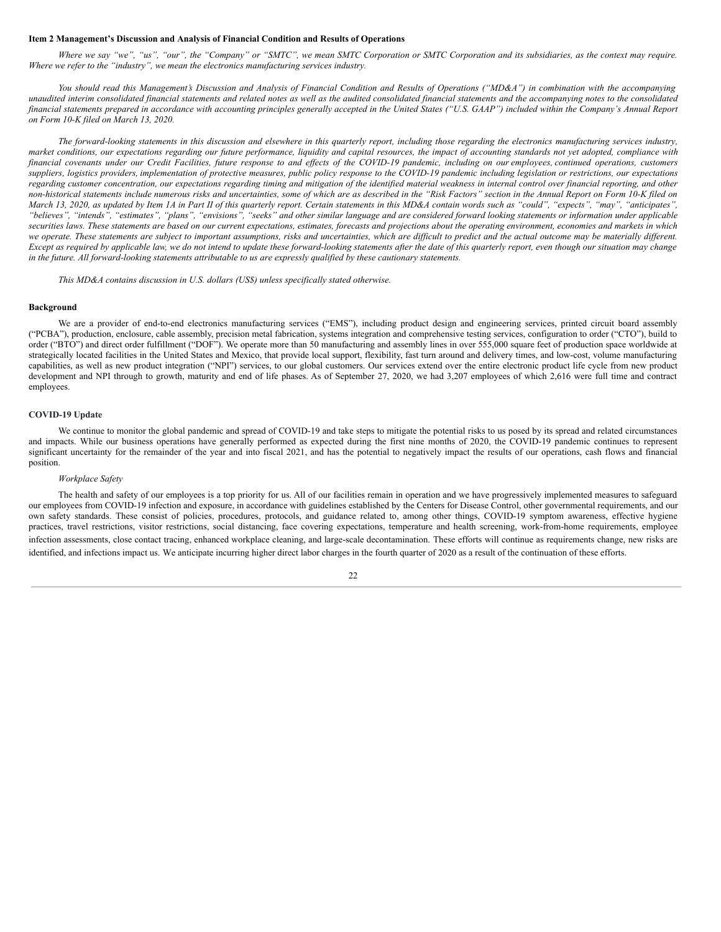#### <span id="page-21-0"></span>**Item 2 Management's Discussion and Analysis of Financial Condition and Results of Operations**

Where we say "we", "us", "our", the "Company" or "SMTC", we mean SMTC Corporation or SMTC Corporation and its subsidiaries, as the context may require. *Where we refer to the "industry", we mean the electronics manufacturing services industry.*

You should read this Management's Discussion and Analysis of Financial Condition and Results of Operations ("MD&A") in combination with the accompanying unaudited interim consolidated financial statements and related notes as well as the audited consolidated financial statements and the accompanying notes to the consolidated financial statements prepared in accordance with accounting principles generally accepted in the United States ("U.S. GAAP") included within the Company's Annual Report *on Form 10-K filed on March 13, 2020.*

The forward-looking statements in this discussion and elsewhere in this quarterly report, including those regarding the electronics manufacturing services industry, market conditions, our expectations regarding our future performance, liquidity and capital resources, the impact of accounting standards not yet adopted, compliance with financial covenants under our Credit Facilities, future response to and effects of the COVID-19 pandemic, including on our employees, continued operations, customers suppliers, logistics providers, implementation of protective measures, public policy response to the COVID-19 pandemic including legislation or restrictions, our expectations regarding customer concentration, our expectations regarding timing and mitigation of the identified material weakness in internal control over financial reporting, and other non-historical statements include numerous risks and uncertainties, some of which are as described in the "Risk Factors" section in the Annual Report on Form 10-K filed on March 13, 2020, as updated by Item 1A in Part II of this quarterly report. Certain statements in this MD&A contain words such as "could", "expects", "may", "anticipates", "believes", "intends", "estimates", "plans", "envisions", "seeks" and other similar language and are considered forward looking statements or information under applicable securities laws. These statements are based on our current expectations, estimates, forecasts and projections about the operating environment, economies and markets in which we operate. These statements are subject to important assumptions, risks and uncertainties, which are difficult to predict and the actual outcome may be materially different. Except as required by applicable law, we do not intend to update these forward-looking statements after the date of this quarterly report, even though our situation may change in the future. All forward-looking statements attributable to us are expressly qualified by these cautionary statements.

*This MD&A contains discussion in U.S. dollars (US\$) unless specifically stated otherwise.*

## **Background**

We are a provider of end-to-end electronics manufacturing services ("EMS"), including product design and engineering services, printed circuit board assembly ("PCBA"), production, enclosure, cable assembly, precision metal fabrication, systems integration and comprehensive testing services, configuration to order ("CTO"), build to order ("BTO") and direct order fulfillment ("DOF"). We operate more than 50 manufacturing and assembly lines in over 555,000 square feet of production space worldwide at strategically located facilities in the United States and Mexico, that provide local support, flexibility, fast turn around and delivery times, and low-cost, volume manufacturing capabilities, as well as new product integration ("NPI") services, to our global customers. Our services extend over the entire electronic product life cycle from new product development and NPI through to growth, maturity and end of life phases. As of September 27, 2020, we had 3,207 employees of which 2,616 were full time and contract employees.

## **COVID-19 Update**

We continue to monitor the global pandemic and spread of COVID-19 and take steps to mitigate the potential risks to us posed by its spread and related circumstances and impacts. While our business operations have generally performed as expected during the first nine months of 2020, the COVID-19 pandemic continues to represent significant uncertainty for the remainder of the year and into fiscal 2021, and has the potential to negatively impact the results of our operations, cash flows and financial position.

#### *Workplace Safety*

The health and safety of our employees is a top priority for us. All of our facilities remain in operation and we have progressively implemented measures to safeguard our employees from COVID-19 infection and exposure, in accordance with guidelines established by the Centers for Disease Control, other governmental requirements, and our own safety standards. These consist of policies, procedures, protocols, and guidance related to, among other things, COVID-19 symptom awareness, effective hygiene practices, travel restrictions, visitor restrictions, social distancing, face covering expectations, temperature and health screening, work-from-home requirements, employee infection assessments, close contact tracing, enhanced workplace cleaning, and large-scale decontamination. These efforts will continue as requirements change, new risks are identified, and infections impact us. We anticipate incurring higher direct labor charges in the fourth quarter of 2020 as a result of the continuation of these efforts.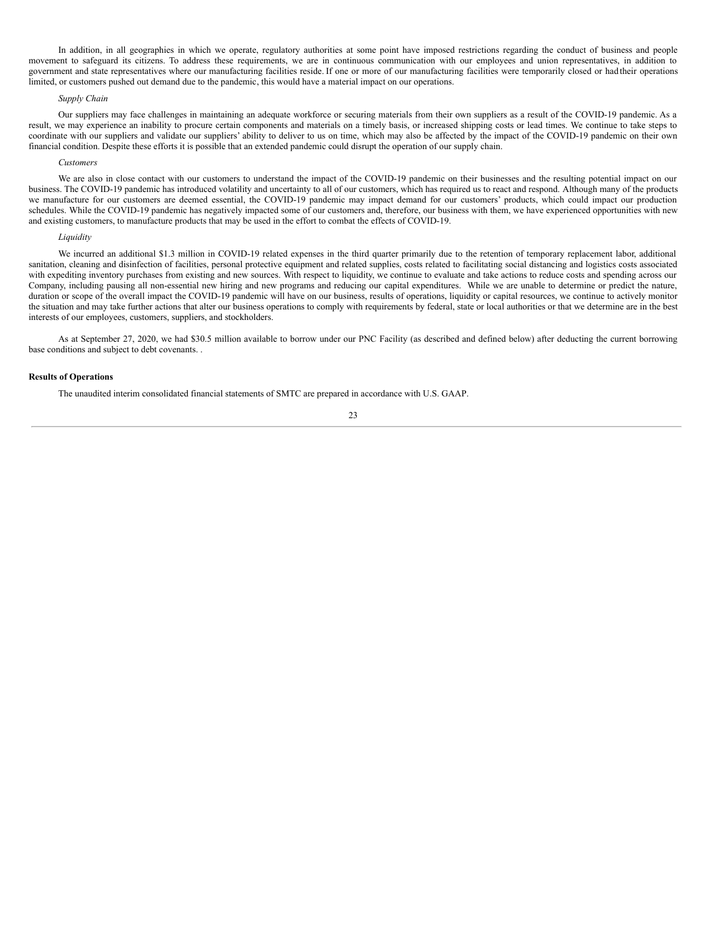In addition, in all geographies in which we operate, regulatory authorities at some point have imposed restrictions regarding the conduct of business and people movement to safeguard its citizens. To address these requirements, we are in continuous communication with our employees and union representatives, in addition to government and state representatives where our manufacturing facilities reside. If one or more of our manufacturing facilities were temporarily closed or had their operations limited, or customers pushed out demand due to the pandemic, this would have a material impact on our operations.

#### *Supply Chain*

Our suppliers may face challenges in maintaining an adequate workforce or securing materials from their own suppliers as a result of the COVID-19 pandemic. As a result, we may experience an inability to procure certain components and materials on a timely basis, or increased shipping costs or lead times. We continue to take steps to coordinate with our suppliers and validate our suppliers' ability to deliver to us on time, which may also be affected by the impact of the COVID-19 pandemic on their own financial condition. Despite these efforts it is possible that an extended pandemic could disrupt the operation of our supply chain.

#### *Customers*

We are also in close contact with our customers to understand the impact of the COVID-19 pandemic on their businesses and the resulting potential impact on our business. The COVID-19 pandemic has introduced volatility and uncertainty to all of our customers, which has required us to react and respond. Although many of the products we manufacture for our customers are deemed essential, the COVID-19 pandemic may impact demand for our customers' products, which could impact our production schedules. While the COVID-19 pandemic has negatively impacted some of our customers and, therefore, our business with them, we have experienced opportunities with new and existing customers, to manufacture products that may be used in the effort to combat the effects of COVID-19.

#### *Liquidity*

We incurred an additional \$1.3 million in COVID-19 related expenses in the third quarter primarily due to the retention of temporary replacement labor, additional sanitation, cleaning and disinfection of facilities, personal protective equipment and related supplies, costs related to facilitating social distancing and logistics costs associated with expediting inventory purchases from existing and new sources. With respect to liquidity, we continue to evaluate and take actions to reduce costs and spending across our Company, including pausing all non-essential new hiring and new programs and reducing our capital expenditures. While we are unable to determine or predict the nature, duration or scope of the overall impact the COVID-19 pandemic will have on our business, results of operations, liquidity or capital resources, we continue to actively monitor the situation and may take further actions that alter our business operations to comply with requirements by federal, state or local authorities or that we determine are in the best interests of our employees, customers, suppliers, and stockholders.

As at September 27, 2020, we had \$30.5 million available to borrow under our PNC Facility (as described and defined below) after deducting the current borrowing base conditions and subject to debt covenants. .

#### **Results of Operations**

The unaudited interim consolidated financial statements of SMTC are prepared in accordance with U.S. GAAP.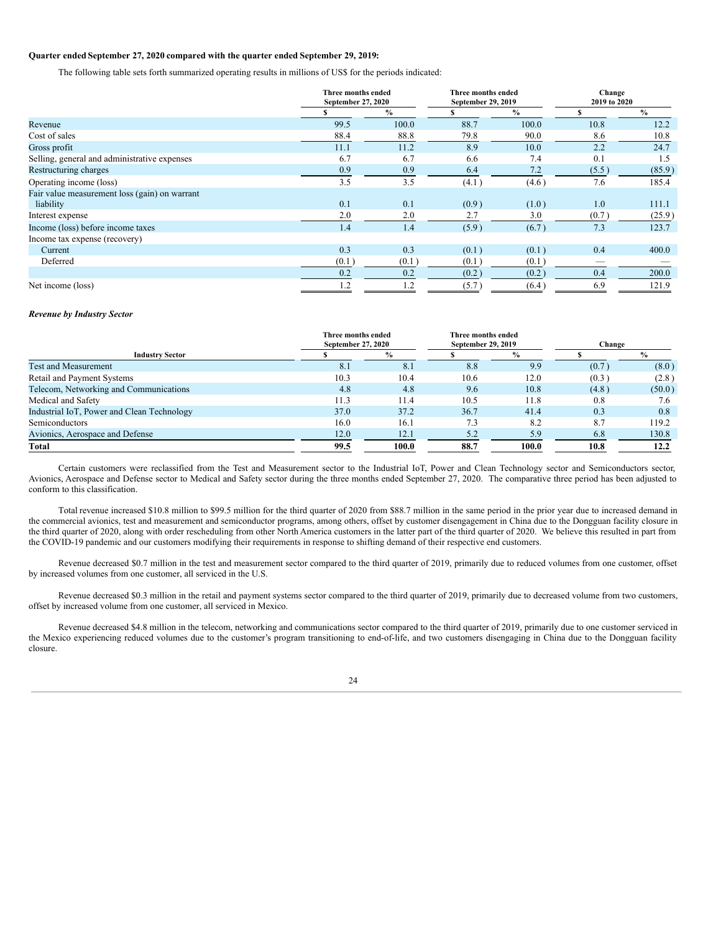## **Quarter ended September 27, 2020 compared with the quarter ended September 29, 2019:**

The following table sets forth summarized operating results in millions of US\$ for the periods indicated:

|                                               |       | Three months ended<br>September 27, 2020 |       | Three months ended<br>September 29, 2019 | Change<br>2019 to 2020   |               |
|-----------------------------------------------|-------|------------------------------------------|-------|------------------------------------------|--------------------------|---------------|
|                                               |       | $\frac{6}{9}$                            |       | $\frac{0}{0}$                            |                          | $\frac{0}{0}$ |
| Revenue                                       | 99.5  | 100.0                                    | 88.7  | 100.0                                    | 10.8                     | 12.2          |
| Cost of sales                                 | 88.4  | 88.8                                     | 79.8  | 90.0                                     | 8.6                      | 10.8          |
| Gross profit                                  | 11.1  | 11.2                                     | 8.9   | 10.0                                     | 2.2                      | 24.7          |
| Selling, general and administrative expenses  | 6.7   | 6.7                                      | 6.6   | 7.4                                      | 0.1                      | 1.5           |
| Restructuring charges                         | 0.9   | 0.9                                      | 6.4   | 7.2                                      | (5.5)                    | (85.9)        |
| Operating income (loss)                       | 3.5   | 3.5                                      | (4.1) | (4.6)                                    | 7.6                      | 185.4         |
| Fair value measurement loss (gain) on warrant |       |                                          |       |                                          |                          |               |
| liability                                     | 0.1   | 0.1                                      | (0.9) | (1.0)                                    | 1.0                      | 111.1         |
| Interest expense                              | 2.0   | 2.0                                      | 2.7   | 3.0                                      | (0.7)                    | (25.9)        |
| Income (loss) before income taxes             | 1.4   | 1.4                                      | (5.9) | (6.7)                                    | 7.3                      | 123.7         |
| Income tax expense (recovery)                 |       |                                          |       |                                          |                          |               |
| Current                                       | 0.3   | 0.3                                      | (0.1) | (0.1)                                    | 0.4                      | 400.0         |
| Deferred                                      | (0.1) | (0.1)                                    | (0.1) | (0.1)                                    | $\overline{\phantom{a}}$ |               |
|                                               | 0.2   | 0.2                                      | (0.2) | (0.2)                                    | 0.4                      | 200.0         |
| Net income (loss)                             | 1.2   | 1.2                                      | (5.7) | (6.4)                                    | 6.9                      | 121.9         |

#### *Revenue by Industry Sector*

|                                            | Three months ended<br>September 27, 2020 |               |      | Three months ended<br>September 29, 2019 | Change |        |  |
|--------------------------------------------|------------------------------------------|---------------|------|------------------------------------------|--------|--------|--|
| <b>Industry Sector</b>                     |                                          | $\frac{0}{0}$ |      | $\frac{0}{0}$                            |        |        |  |
| <b>Test and Measurement</b>                | 8.1                                      | 8.1           | 8.8  | 9.9                                      | (0.7)  | (8.0)  |  |
| Retail and Payment Systems                 | 10.3                                     | 10.4          | 10.6 | 12.0                                     | (0.3)  | (2.8)  |  |
| Telecom, Networking and Communications     | 4.8                                      | 4.8           | 9.6  | 10.8                                     | (4.8)  | (50.0) |  |
| Medical and Safety                         | 11.3                                     | 11.4          | 10.5 | 11.8                                     | 0.8    | 7.6    |  |
| Industrial IoT, Power and Clean Technology | 37.0                                     | 37.2          | 36.7 | 41.4                                     | 0.3    | 0.8    |  |
| Semiconductors                             | 16.0                                     | 16.1          | 7.3  | 8.2                                      | 8.7    | 119.2  |  |
| Avionics, Aerospace and Defense            | 12.0                                     | 12.1          | 5.2  | 5.9                                      | 6.8    | 130.8  |  |
| <b>Total</b>                               | 99.5                                     | 100.0         | 88.7 | 100.0                                    | 10.8   | 12.2   |  |

Certain customers were reclassified from the Test and Measurement sector to the Industrial IoT, Power and Clean Technology sector and Semiconductors sector, Avionics, Aerospace and Defense sector to Medical and Safety sector during the three months ended September 27, 2020. The comparative three period has been adjusted to conform to this classification.

Total revenue increased \$10.8 million to \$99.5 million for the third quarter of 2020 from \$88.7 million in the same period in the prior year due to increased demand in the commercial avionics, test and measurement and semiconductor programs, among others, offset by customer disengagement in China due to the Dongguan facility closure in the third quarter of 2020, along with order rescheduling from other North America customers in the latter part of the third quarter of 2020. We believe this resulted in part from the COVID-19 pandemic and our customers modifying their requirements in response to shifting demand of their respective end customers.

Revenue decreased \$0.7 million in the test and measurement sector compared to the third quarter of 2019, primarily due to reduced volumes from one customer, offset by increased volumes from one customer, all serviced in the U.S.

Revenue decreased \$0.3 million in the retail and payment systems sector compared to the third quarter of 2019, primarily due to decreased volume from two customers, offset by increased volume from one customer, all serviced in Mexico.

Revenue decreased \$4.8 million in the telecom, networking and communications sector compared to the third quarter of 2019, primarily due to one customer serviced in the Mexico experiencing reduced volumes due to the customer's program transitioning to end-of-life, and two customers disengaging in China due to the Dongguan facility closure.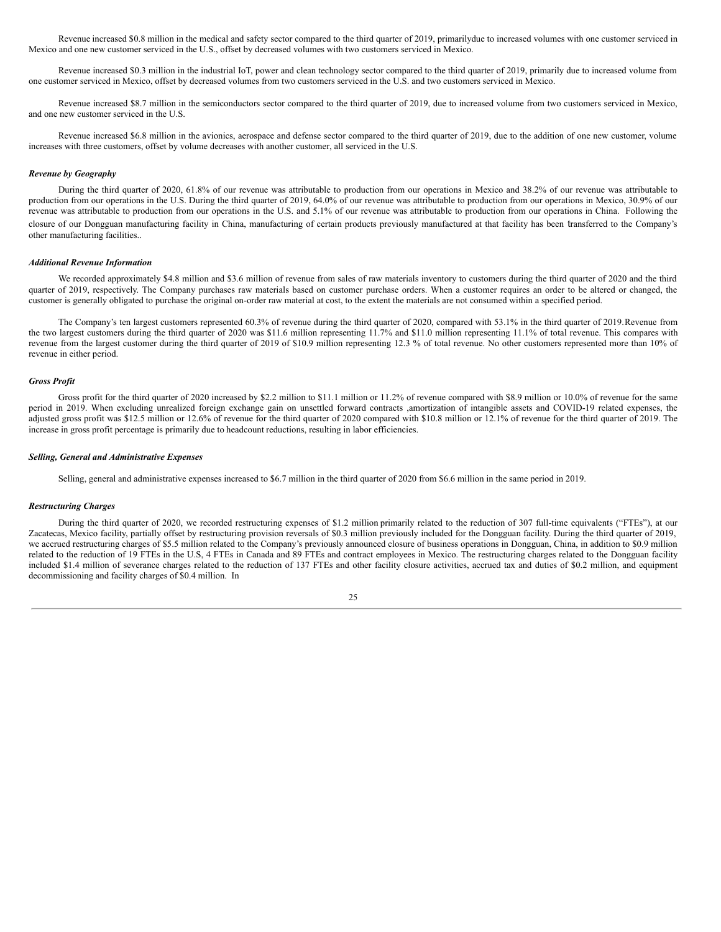Revenue increased \$0.8 million in the medical and safety sector compared to the third quarter of 2019, primarilydue to increased volumes with one customer serviced in Mexico and one new customer serviced in the U.S., offset by decreased volumes with two customers serviced in Mexico.

Revenue increased \$0.3 million in the industrial IoT, power and clean technology sector compared to the third quarter of 2019, primarily due to increased volume from one customer serviced in Mexico, offset by decreased volumes from two customers serviced in the U.S. and two customers serviced in Mexico.

Revenue increased \$8.7 million in the semiconductors sector compared to the third quarter of 2019, due to increased volume from two customers serviced in Mexico, and one new customer serviced in the U.S.

Revenue increased \$6.8 million in the avionics, aerospace and defense sector compared to the third quarter of 2019, due to the addition of one new customer, volume increases with three customers, offset by volume decreases with another customer, all serviced in the U.S.

## *Revenue by Geography*

During the third quarter of 2020, 61.8% of our revenue was attributable to production from our operations in Mexico and 38.2% of our revenue was attributable to production from our operations in the U.S. During the third quarter of 2019, 64.0% of our revenue was attributable to production from our operations in Mexico, 30.9% of our revenue was attributable to production from our operations in the U.S. and 5.1% of our revenue was attributable to production from our operations in China. Following the closure of our Dongguan manufacturing facility in China, manufacturing of certain products previously manufactured at that facility has been transferred to the Company's other manufacturing facilities..

#### *Additional Revenue Information*

We recorded approximately \$4.8 million and \$3.6 million of revenue from sales of raw materials inventory to customers during the third quarter of 2020 and the third quarter of 2019, respectively. The Company purchases raw materials based on customer purchase orders. When a customer requires an order to be altered or changed, the customer is generally obligated to purchase the original on-order raw material at cost, to the extent the materials are not consumed within a specified period.

The Company's ten largest customers represented 60.3% of revenue during the third quarter of 2020, compared with 53.1% in the third quarter of 2019.Revenue from the two largest customers during the third quarter of 2020 was \$11.6 million representing 11.7% and \$11.0 million representing 11.1% of total revenue. This compares with revenue from the largest customer during the third quarter of 2019 of \$10.9 million representing 12.3 % of total revenue. No other customers represented more than 10% of revenue in either period.

## *Gross Profit*

Gross profit for the third quarter of 2020 increased by \$2.2 million to \$11.1 million or 11.2% of revenue compared with \$8.9 million or 10.0% of revenue for the same period in 2019. When excluding unrealized foreign exchange gain on unsettled forward contracts ,amortization of intangible assets and COVID-19 related expenses, the adjusted gross profit was \$12.5 million or 12.6% of revenue for the third quarter of 2020 compared with \$10.8 million or 12.1% of revenue for the third quarter of 2019. The increase in gross profit percentage is primarily due to headcount reductions, resulting in labor efficiencies.

#### *Selling, General and Administrative Expenses*

Selling, general and administrative expenses increased to \$6.7 million in the third quarter of 2020 from \$6.6 million in the same period in 2019.

#### *Restructuring Charges*

During the third quarter of 2020, we recorded restructuring expenses of \$1.2 million primarily related to the reduction of 307 full-time equivalents ("FTEs"), at our Zacatecas, Mexico facility, partially offset by restructuring provision reversals of \$0.3 million previously included for the Dongguan facility. During the third quarter of 2019, we accrued restructuring charges of \$5.5 million related to the Company's previously announced closure of business operations in Dongguan, China, in addition to \$0.9 million related to the reduction of 19 FTEs in the U.S, 4 FTEs in Canada and 89 FTEs and contract employees in Mexico. The restructuring charges related to the Dongguan facility included \$1.4 million of severance charges related to the reduction of 137 FTEs and other facility closure activities, accrued tax and duties of \$0.2 million, and equipment decommissioning and facility charges of \$0.4 million. In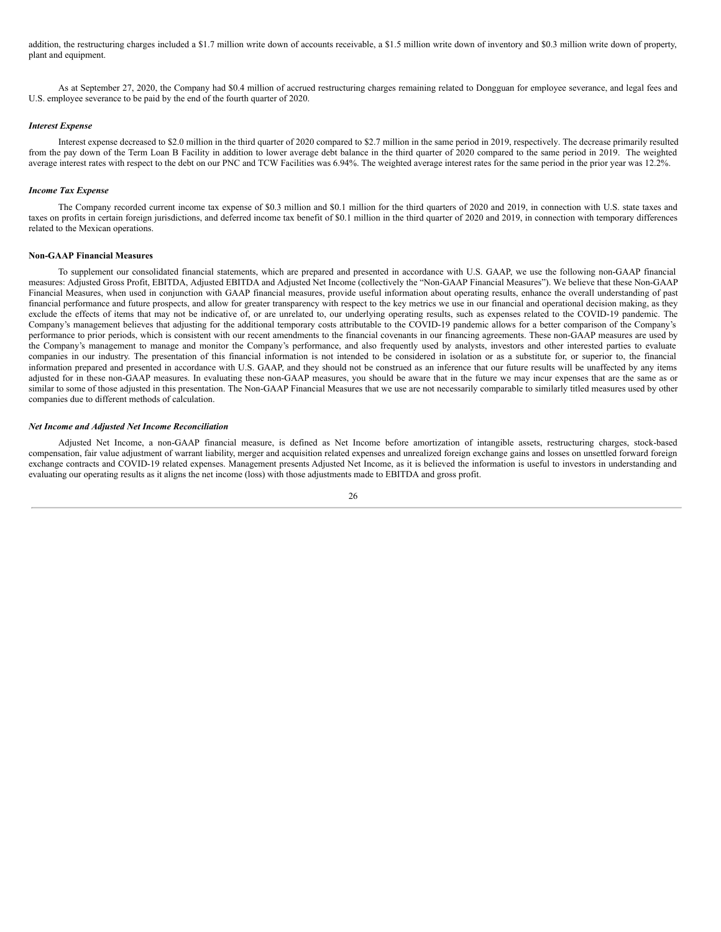addition, the restructuring charges included a \$1.7 million write down of accounts receivable, a \$1.5 million write down of inventory and \$0.3 million write down of property, plant and equipment.

As at September 27, 2020, the Company had \$0.4 million of accrued restructuring charges remaining related to Dongguan for employee severance, and legal fees and U.S. employee severance to be paid by the end of the fourth quarter of 2020.

#### *Interest Expense*

Interest expense decreased to \$2.0 million in the third quarter of 2020 compared to \$2.7 million in the same period in 2019, respectively. The decrease primarily resulted from the pay down of the Term Loan B Facility in addition to lower average debt balance in the third quarter of 2020 compared to the same period in 2019. The weighted average interest rates with respect to the debt on our PNC and TCW Facilities was 6.94%. The weighted average interest rates for the same period in the prior year was 12.2%.

## *Income Tax Expense*

The Company recorded current income tax expense of \$0.3 million and \$0.1 million for the third quarters of 2020 and 2019, in connection with U.S. state taxes and taxes on profits in certain foreign jurisdictions, and deferred income tax benefit of \$0.1 million in the third quarter of 2020 and 2019, in connection with temporary differences related to the Mexican operations.

## **Non-GAAP Financial Measures**

To supplement our consolidated financial statements, which are prepared and presented in accordance with U.S. GAAP, we use the following non-GAAP financial measures: Adjusted Gross Profit, EBITDA, Adjusted EBITDA and Adjusted Net Income (collectively the "Non-GAAP Financial Measures"). We believe that these Non-GAAP Financial Measures, when used in conjunction with GAAP financial measures, provide useful information about operating results, enhance the overall understanding of past financial performance and future prospects, and allow for greater transparency with respect to the key metrics we use in our financial and operational decision making, as they exclude the effects of items that may not be indicative of, or are unrelated to, our underlying operating results, such as expenses related to the COVID-19 pandemic. The Company's management believes that adjusting for the additional temporary costs attributable to the COVID-19 pandemic allows for a better comparison of the Company's performance to prior periods, which is consistent with our recent amendments to the financial covenants in our financing agreements. These non-GAAP measures are used by the Company's management to manage and monitor the Company's performance, and also frequently used by analysts, investors and other interested parties to evaluate companies in our industry. The presentation of this financial information is not intended to be considered in isolation or as a substitute for, or superior to, the financial information prepared and presented in accordance with U.S. GAAP, and they should not be construed as an inference that our future results will be unaffected by any items adjusted for in these non-GAAP measures. In evaluating these non-GAAP measures, you should be aware that in the future we may incur expenses that are the same as or similar to some of those adjusted in this presentation. The Non-GAAP Financial Measures that we use are not necessarily comparable to similarly titled measures used by other companies due to different methods of calculation.

#### *Net Income and Adjusted Net Income Reconciliation*

Adjusted Net Income, a non-GAAP financial measure, is defined as Net Income before amortization of intangible assets, restructuring charges, stock-based compensation, fair value adjustment of warrant liability, merger and acquisition related expenses and unrealized foreign exchange gains and losses on unsettled forward foreign exchange contracts and COVID-19 related expenses. Management presents Adjusted Net Income, as it is believed the information is useful to investors in understanding and evaluating our operating results as it aligns the net income (loss) with those adjustments made to EBITDA and gross profit.

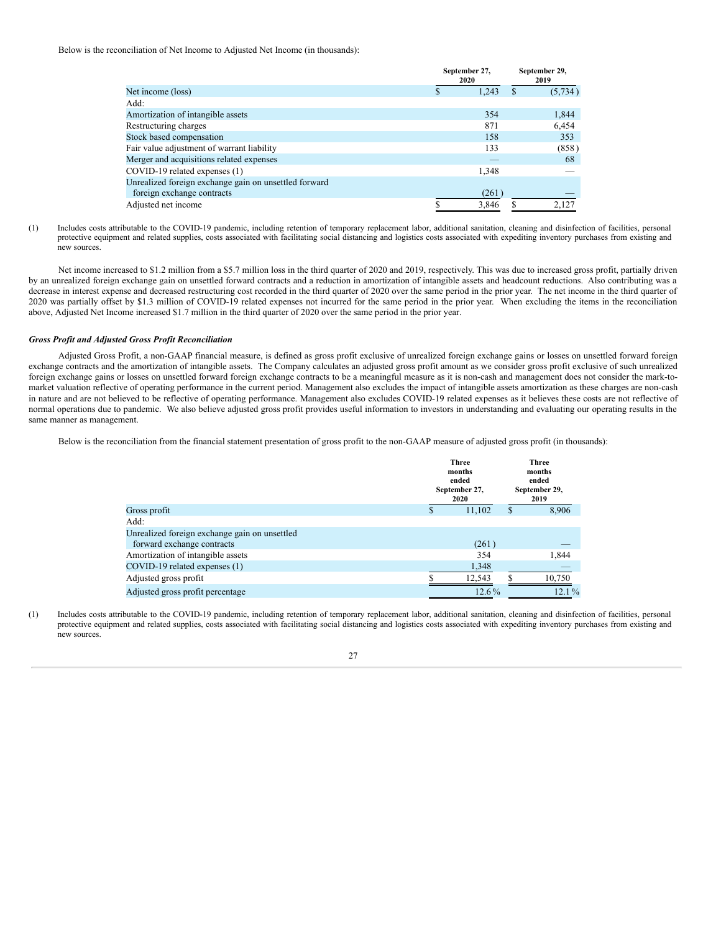Below is the reconciliation of Net Income to Adjusted Net Income (in thousands):

|                                                       |  | September 27,<br>2020 | September 29,<br>2019 |          |
|-------------------------------------------------------|--|-----------------------|-----------------------|----------|
| Net income (loss)                                     |  | 1.243                 | S                     | (5, 734) |
| Add:                                                  |  |                       |                       |          |
| Amortization of intangible assets                     |  | 354                   |                       | 1,844    |
| Restructuring charges                                 |  | 871                   |                       | 6,454    |
| Stock based compensation                              |  | 158                   |                       | 353      |
| Fair value adjustment of warrant liability            |  | 133                   |                       | (858)    |
| Merger and acquisitions related expenses              |  |                       |                       | 68       |
| COVID-19 related expenses (1)                         |  | 1,348                 |                       |          |
| Unrealized foreign exchange gain on unsettled forward |  |                       |                       |          |
| foreign exchange contracts                            |  | (261)                 |                       |          |
| Adjusted net income                                   |  | 3.846                 |                       | 2.127    |

(1) Includes costs attributable to the COVID-19 pandemic, including retention of temporary replacement labor, additional sanitation, cleaning and disinfection of facilities, personal protective equipment and related supplies, costs associated with facilitating social distancing and logistics costs associated with expediting inventory purchases from existing and new sources.

Net income increased to \$1.2 million from a \$5.7 million loss in the third quarter of 2020 and 2019, respectively. This was due to increased gross profit, partially driven by an unrealized foreign exchange gain on unsettled forward contracts and a reduction in amortization of intangible assets and headcount reductions. Also contributing was a decrease in interest expense and decreased restructuring cost recorded in the third quarter of 2020 over the same period in the prior year. The net income in the third quarter of 2020 was partially offset by \$1.3 million of COVID-19 related expenses not incurred for the same period in the prior year. When excluding the items in the reconciliation above, Adjusted Net Income increased \$1.7 million in the third quarter of 2020 over the same period in the prior year.

## *Gross Profit and Adjusted Gross Profit Reconciliation*

Adjusted Gross Profit, a non-GAAP financial measure, is defined as gross profit exclusive of unrealized foreign exchange gains or losses on unsettled forward foreign exchange contracts and the amortization of intangible assets. The Company calculates an adjusted gross profit amount as we consider gross profit exclusive of such unrealized foreign exchange gains or losses on unsettled forward foreign exchange contracts to be a meaningful measure as it is non-cash and management does not consider the mark-tomarket valuation reflective of operating performance in the current period. Management also excludes the impact of intangible assets amortization as these charges are non-cash in nature and are not believed to be reflective of operating performance. Management also excludes COVID-19 related expenses as it believes these costs are not reflective of normal operations due to pandemic. We also believe adjusted gross profit provides useful information to investors in understanding and evaluating our operating results in the same manner as management.

Below is the reconciliation from the financial statement presentation of gross profit to the non-GAAP measure of adjusted gross profit (in thousands):

|                                               |   | <b>Three</b><br>months<br>ended<br>September 27,<br>2020 | <b>Three</b><br>months<br>ended<br>September 29,<br>2019 |          |  |
|-----------------------------------------------|---|----------------------------------------------------------|----------------------------------------------------------|----------|--|
| Gross profit                                  | S | 11,102                                                   | S                                                        | 8,906    |  |
| Add:                                          |   |                                                          |                                                          |          |  |
| Unrealized foreign exchange gain on unsettled |   |                                                          |                                                          |          |  |
| forward exchange contracts                    |   | (261)                                                    |                                                          | _        |  |
| Amortization of intangible assets             |   | 354                                                      |                                                          | 1,844    |  |
| COVID-19 related expenses (1)                 |   | 1,348                                                    |                                                          | __       |  |
| Adjusted gross profit                         |   | 12,543                                                   |                                                          | 10,750   |  |
| Adjusted gross profit percentage              |   | $12.6\%$                                                 |                                                          | $12.1\%$ |  |

(1) Includes costs attributable to the COVID-19 pandemic, including retention of temporary replacement labor, additional sanitation, cleaning and disinfection of facilities, personal protective equipment and related supplies, costs associated with facilitating social distancing and logistics costs associated with expediting inventory purchases from existing and new sources.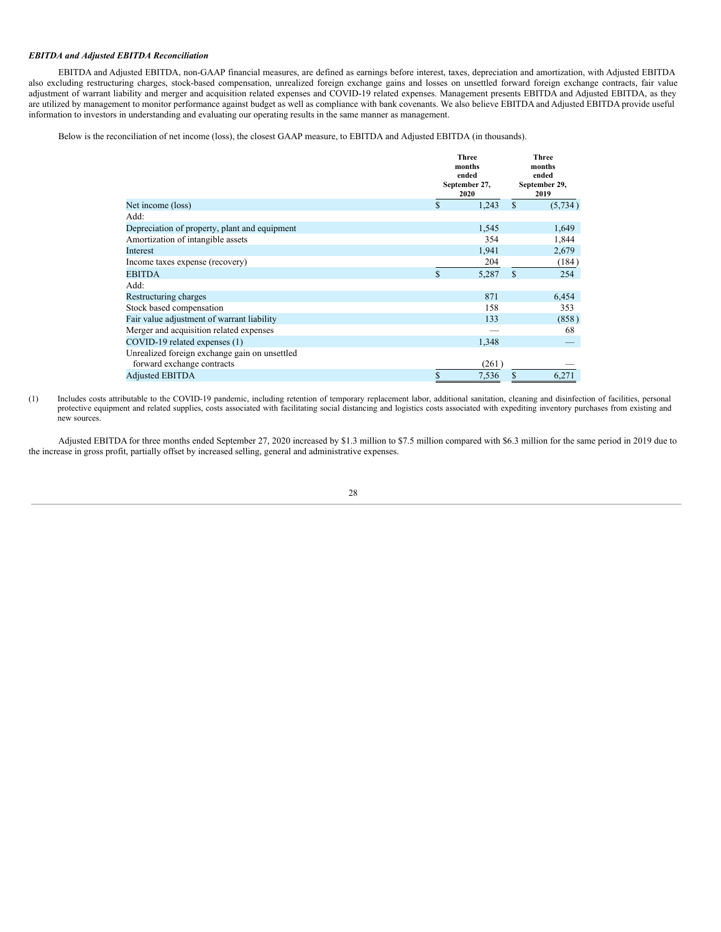## *EBITDA and Adjusted EBITDA Reconciliation*

EBITDA and Adjusted EBITDA, non-GAAP financial measures, are defined as earnings before interest, taxes, depreciation and amortization, with Adjusted EBITDA also excluding restructuring charges, stock-based compensation, unrealized foreign exchange gains and losses on unsettled forward foreign exchange contracts, fair value adjustment of warrant liability and merger and acquisition related expenses and COVID-19 related expenses. Management presents EBITDA and Adjusted EBITDA, as they are utilized by management to monitor performance against budget as well as compliance with bank covenants. We also believe EBITDA and Adjusted EBITDA provide useful information to investors in understanding and evaluating our operating results in the same manner as management.

Below is the reconciliation of net income (loss), the closest GAAP measure, to EBITDA and Adjusted EBITDA (in thousands).

|                                               | <b>Three</b><br>months<br>ended<br>September 27,<br>2020 |   |          |
|-----------------------------------------------|----------------------------------------------------------|---|----------|
| Net income (loss)                             | \$<br>1,243                                              | S | (5, 734) |
| Add:                                          |                                                          |   |          |
| Depreciation of property, plant and equipment | 1,545                                                    |   | 1,649    |
| Amortization of intangible assets             | 354                                                      |   | 1,844    |
| Interest                                      | 1,941                                                    |   | 2,679    |
| Income taxes expense (recovery)               | 204                                                      |   | (184)    |
| <b>EBITDA</b>                                 | \$<br>5,287                                              | S | 254      |
| Add:                                          |                                                          |   |          |
| Restructuring charges                         | 871                                                      |   | 6,454    |
| Stock based compensation                      | 158                                                      |   | 353      |
| Fair value adjustment of warrant liability    | 133                                                      |   | (858)    |
| Merger and acquisition related expenses       |                                                          |   | 68       |
| COVID-19 related expenses (1)                 | 1,348                                                    |   |          |
| Unrealized foreign exchange gain on unsettled |                                                          |   |          |
| forward exchange contracts                    | (261)                                                    |   |          |
| <b>Adjusted EBITDA</b>                        | \$<br>7,536                                              | S | 6,271    |

(1) Includes costs attributable to the COVID-19 pandemic, including retention of temporary replacement labor, additional sanitation, cleaning and disinfection of facilities, personal protective equipment and related supplies, costs associated with facilitating social distancing and logistics costs associated with expediting inventory purchases from existing and new sources.

Adjusted EBITDA for three months ended September 27, 2020 increased by \$1.3 million to \$7.5 million compared with \$6.3 million for the same period in 2019 due to the increase in gross profit, partially offset by increased selling, general and administrative expenses.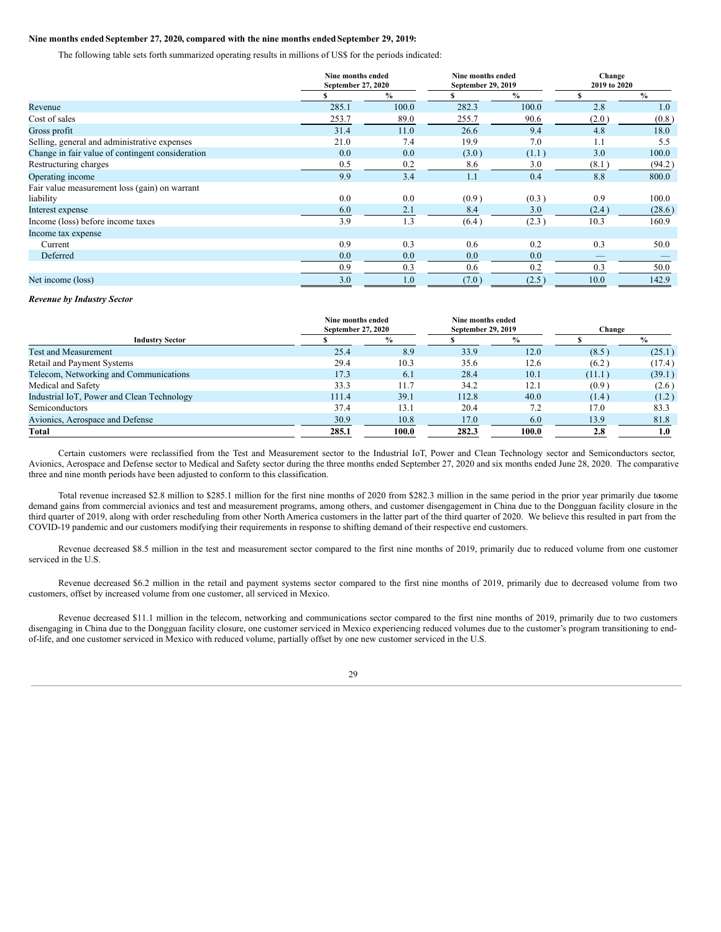## **Nine months ended September 27, 2020, compared with the nine months ended September 29, 2019:**

The following table sets forth summarized operating results in millions of US\$ for the periods indicated:

|                                                  |       | Nine months ended<br>September 27, 2020 |       | Nine months ended<br>September 29, 2019 | Change<br>2019 to 2020 |               |
|--------------------------------------------------|-------|-----------------------------------------|-------|-----------------------------------------|------------------------|---------------|
|                                                  |       | $\frac{0}{0}$                           |       | $\frac{0}{0}$                           |                        | $\frac{0}{0}$ |
| Revenue                                          | 285.1 | 100.0                                   | 282.3 | 100.0                                   | 2.8                    | 1.0           |
| Cost of sales                                    | 253.7 | 89.0                                    | 255.7 | 90.6                                    | (2.0)                  | (0.8)         |
| Gross profit                                     | 31.4  | 11.0                                    | 26.6  | 9.4                                     | 4.8                    | 18.0          |
| Selling, general and administrative expenses     | 21.0  | 7.4                                     | 19.9  | 7.0                                     | 1.1                    | 5.5           |
| Change in fair value of contingent consideration | 0.0   | 0.0                                     | (3.0) | (1.1)                                   | 3.0                    | 100.0         |
| Restructuring charges                            | 0.5   | 0.2                                     | 8.6   | 3.0                                     | (8.1)                  | (94.2)        |
| Operating income                                 | 9.9   | 3.4                                     | 1.1   | 0.4                                     | 8.8                    | 800.0         |
| Fair value measurement loss (gain) on warrant    |       |                                         |       |                                         |                        |               |
| liability                                        | 0.0   | 0.0                                     | (0.9) | (0.3)                                   | 0.9                    | 100.0         |
| Interest expense                                 | 6.0   | 2.1                                     | 8.4   | 3.0                                     | (2.4)                  | (28.6)        |
| Income (loss) before income taxes                | 3.9   | 1.3                                     | (6.4) | (2.3)                                   | 10.3                   | 160.9         |
| Income tax expense                               |       |                                         |       |                                         |                        |               |
| Current                                          | 0.9   | 0.3                                     | 0.6   | 0.2                                     | 0.3                    | 50.0          |
| Deferred                                         | 0.0   | 0.0                                     | 0.0   | 0.0                                     |                        |               |
|                                                  | 0.9   | 0.3                                     | 0.6   | 0.2                                     | 0.3                    | 50.0          |
| Net income (loss)                                | 3.0   | 1.0                                     | (7.0) | (2.5)                                   | 10.0                   | 142.9         |

#### *Revenue by Industry Sector*

|                                            | Nine months ended<br>Nine months ended<br>September 27, 2020<br>September 29, 2019 |               | Change |               |        |               |
|--------------------------------------------|------------------------------------------------------------------------------------|---------------|--------|---------------|--------|---------------|
| <b>Industry Sector</b>                     |                                                                                    | $\frac{9}{6}$ |        | $\frac{6}{9}$ |        | $\frac{0}{0}$ |
| <b>Test and Measurement</b>                | 25.4                                                                               | 8.9           | 33.9   | 12.0          | (8.5)  | (25.1)        |
| Retail and Payment Systems                 | 29.4                                                                               | 10.3          | 35.6   | 12.6          | (6.2)  | (17.4)        |
| Telecom, Networking and Communications     | 17.3                                                                               | 6.1           | 28.4   | 10.1          | (11.1) | (39.1)        |
| Medical and Safety                         | 33.3                                                                               | 11.7          | 34.2   | 12.1          | (0.9)  | (2.6)         |
| Industrial IoT, Power and Clean Technology | 111.4                                                                              | 39.1          | 112.8  | 40.0          | (1.4)  | (1.2)         |
| Semiconductors                             | 37.4                                                                               | 13.1          | 20.4   | 7.2           | 17.0   | 83.3          |
| Avionics, Aerospace and Defense            | 30.9                                                                               | 10.8          | 17.0   | 6.0           | 13.9   | 81.8          |
| Total                                      | 285.1                                                                              | 100.0         | 282.3  | 100.0         | 2.8    | 1.0           |

Certain customers were reclassified from the Test and Measurement sector to the Industrial IoT, Power and Clean Technology sector and Semiconductors sector, Avionics, Aerospace and Defense sector to Medical and Safety sector during the three months ended September 27, 2020 and six months ended June 28, 2020. The comparative three and nine month periods have been adjusted to conform to this classification.

Total revenue increased \$2.8 million to \$285.1 million for the first nine months of 2020 from \$282.3 million in the same period in the prior year primarily due tosome demand gains from commercial avionics and test and measurement programs, among others, and customer disengagement in China due to the Dongguan facility closure in the third quarter of 2019, along with order rescheduling from other North America customers in the latter part of the third quarter of 2020. We believe this resulted in part from the COVID-19 pandemic and our customers modifying their requirements in response to shifting demand of their respective end customers.

Revenue decreased \$8.5 million in the test and measurement sector compared to the first nine months of 2019, primarily due to reduced volume from one customer serviced in the U.S.

Revenue decreased \$6.2 million in the retail and payment systems sector compared to the first nine months of 2019, primarily due to decreased volume from two customers, offset by increased volume from one customer, all serviced in Mexico.

Revenue decreased \$11.1 million in the telecom, networking and communications sector compared to the first nine months of 2019, primarily due to two customers disengaging in China due to the Dongguan facility closure, one customer serviced in Mexico experiencing reduced volumes due to the customer's program transitioning to endof-life, and one customer serviced in Mexico with reduced volume, partially offset by one new customer serviced in the U.S.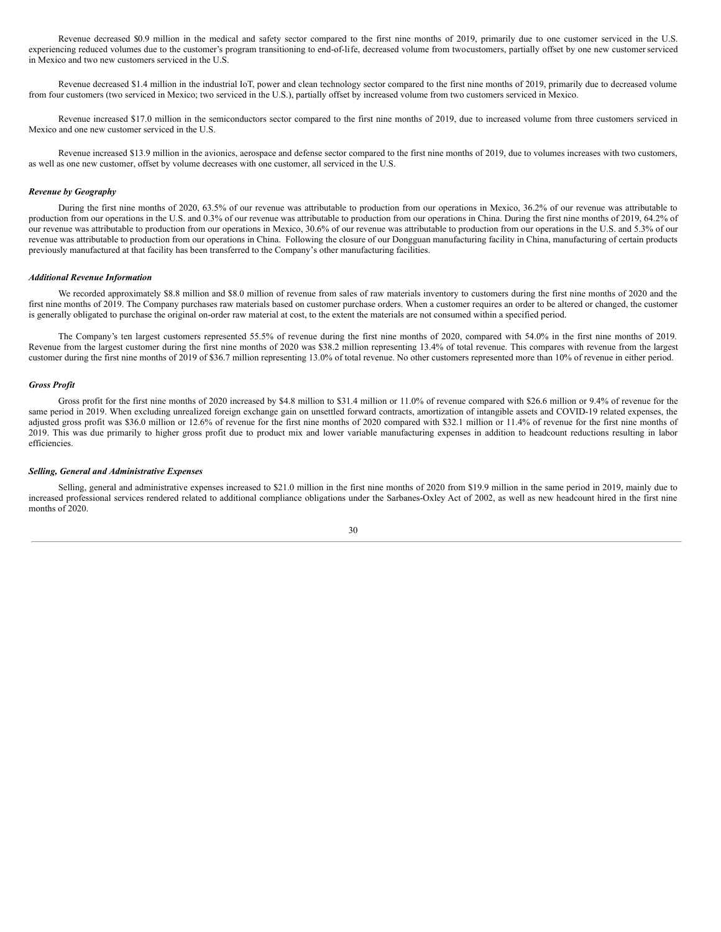Revenue decreased \$0.9 million in the medical and safety sector compared to the first nine months of 2019, primarily due to one customer serviced in the U.S. experiencing reduced volumes due to the customer's program transitioning to end-of-life, decreased volume from twocustomers, partially offset by one new customer serviced in Mexico and two new customers serviced in the U.S.

Revenue decreased \$1.4 million in the industrial IoT, power and clean technology sector compared to the first nine months of 2019, primarily due to decreased volume from four customers (two serviced in Mexico; two serviced in the U.S.), partially offset by increased volume from two customers serviced in Mexico.

Revenue increased \$17.0 million in the semiconductors sector compared to the first nine months of 2019, due to increased volume from three customers serviced in Mexico and one new customer serviced in the U.S.

Revenue increased \$13.9 million in the avionics, aerospace and defense sector compared to the first nine months of 2019, due to volumes increases with two customers, as well as one new customer, offset by volume decreases with one customer, all serviced in the U.S.

#### *Revenue by Geography*

During the first nine months of 2020, 63.5% of our revenue was attributable to production from our operations in Mexico, 36.2% of our revenue was attributable to production from our operations in the U.S. and 0.3% of our revenue was attributable to production from our operations in China. During the first nine months of 2019, 64.2% of our revenue was attributable to production from our operations in Mexico, 30.6% of our revenue was attributable to production from our operations in the U.S. and 5.3% of our revenue was attributable to production from our operations in China. Following the closure of our Dongguan manufacturing facility in China, manufacturing of certain products previously manufactured at that facility has been transferred to the Company's other manufacturing facilities.

#### *Additional Revenue Information*

We recorded approximately \$8.8 million and \$8.0 million of revenue from sales of raw materials inventory to customers during the first nine months of 2020 and the first nine months of 2019. The Company purchases raw materials based on customer purchase orders. When a customer requires an order to be altered or changed, the customer is generally obligated to purchase the original on-order raw material at cost, to the extent the materials are not consumed within a specified period.

The Company's ten largest customers represented 55.5% of revenue during the first nine months of 2020, compared with 54.0% in the first nine months of 2019. Revenue from the largest customer during the first nine months of 2020 was \$38.2 million representing 13.4% of total revenue. This compares with revenue from the largest customer during the first nine months of 2019 of \$36.7 million representing 13.0% of total revenue. No other customers represented more than 10% of revenue in either period.

## *Gross Profit*

Gross profit for the first nine months of 2020 increased by \$4.8 million to \$31.4 million or 11.0% of revenue compared with \$26.6 million or 9.4% of revenue for the same period in 2019. When excluding unrealized foreign exchange gain on unsettled forward contracts, amortization of intangible assets and COVID-19 related expenses, the adjusted gross profit was \$36.0 million or 12.6% of revenue for the first nine months of 2020 compared with \$32.1 million or 11.4% of revenue for the first nine months of 2019. This was due primarily to higher gross profit due to product mix and lower variable manufacturing expenses in addition to headcount reductions resulting in labor efficiencies.

#### *Selling, General and Administrative Expenses*

Selling, general and administrative expenses increased to \$21.0 million in the first nine months of 2020 from \$19.9 million in the same period in 2019, mainly due to increased professional services rendered related to additional compliance obligations under the Sarbanes-Oxley Act of 2002, as well as new headcount hired in the first nine months of 2020.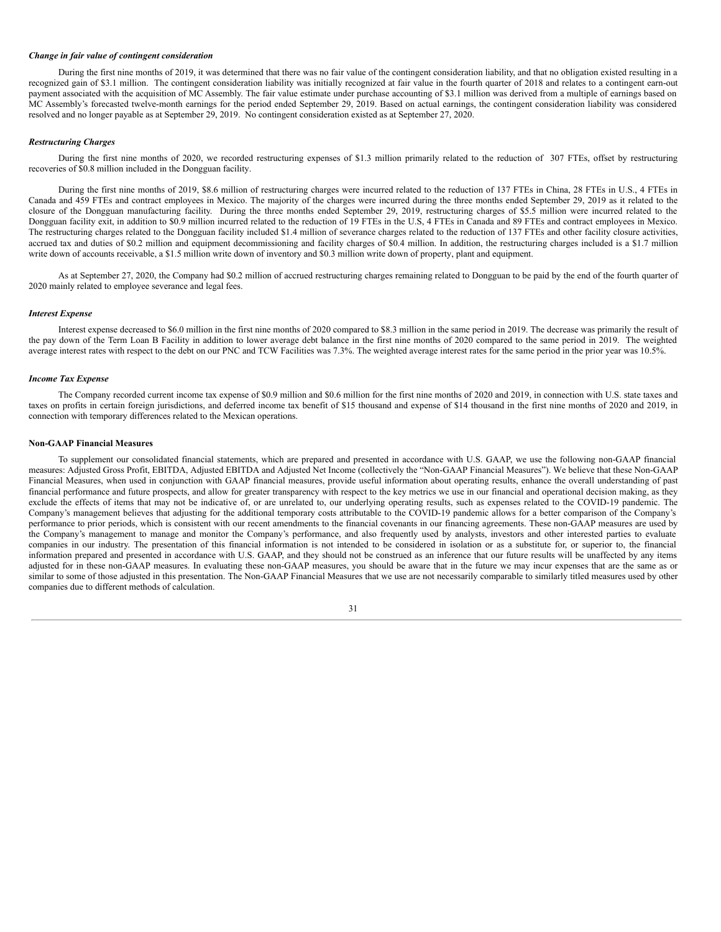## *Change in fair value of contingent consideration*

During the first nine months of 2019, it was determined that there was no fair value of the contingent consideration liability, and that no obligation existed resulting in a recognized gain of \$3.1 million. The contingent consideration liability was initially recognized at fair value in the fourth quarter of 2018 and relates to a contingent earn-out payment associated with the acquisition of MC Assembly. The fair value estimate under purchase accounting of \$3.1 million was derived from a multiple of earnings based on MC Assembly's forecasted twelve-month earnings for the period ended September 29, 2019. Based on actual earnings, the contingent consideration liability was considered resolved and no longer payable as at September 29, 2019. No contingent consideration existed as at September 27, 2020.

#### *Restructuring Charges*

During the first nine months of 2020, we recorded restructuring expenses of \$1.3 million primarily related to the reduction of 307 FTEs, offset by restructuring recoveries of \$0.8 million included in the Dongguan facility.

During the first nine months of 2019, \$8.6 million of restructuring charges were incurred related to the reduction of 137 FTEs in China, 28 FTEs in U.S., 4 FTEs in Canada and 459 FTEs and contract employees in Mexico. The majority of the charges were incurred during the three months ended September 29, 2019 as it related to the closure of the Dongguan manufacturing facility. During the three months ended September 29, 2019, restructuring charges of \$5.5 million were incurred related to the Dongguan facility exit, in addition to \$0.9 million incurred related to the reduction of 19 FTEs in the U.S, 4 FTEs in Canada and 89 FTEs and contract employees in Mexico. The restructuring charges related to the Dongguan facility included \$1.4 million of severance charges related to the reduction of 137 FTEs and other facility closure activities, accrued tax and duties of \$0.2 million and equipment decommissioning and facility charges of \$0.4 million. In addition, the restructuring charges included is a \$1.7 million write down of accounts receivable, a \$1.5 million write down of inventory and \$0.3 million write down of property, plant and equipment.

As at September 27, 2020, the Company had \$0.2 million of accrued restructuring charges remaining related to Dongguan to be paid by the end of the fourth quarter of 2020 mainly related to employee severance and legal fees.

#### *Interest Expense*

Interest expense decreased to \$6.0 million in the first nine months of 2020 compared to \$8.3 million in the same period in 2019. The decrease was primarily the result of the pay down of the Term Loan B Facility in addition to lower average debt balance in the first nine months of 2020 compared to the same period in 2019. The weighted average interest rates with respect to the debt on our PNC and TCW Facilities was 7.3%. The weighted average interest rates for the same period in the prior year was 10.5%.

#### *Income Tax Expense*

The Company recorded current income tax expense of \$0.9 million and \$0.6 million for the first nine months of 2020 and 2019, in connection with U.S. state taxes and taxes on profits in certain foreign jurisdictions, and deferred income tax benefit of \$15 thousand and expense of \$14 thousand in the first nine months of 2020 and 2019, in connection with temporary differences related to the Mexican operations.

#### **Non-GAAP Financial Measures**

To supplement our consolidated financial statements, which are prepared and presented in accordance with U.S. GAAP, we use the following non-GAAP financial measures: Adjusted Gross Profit, EBITDA, Adjusted EBITDA and Adjusted Net Income (collectively the "Non-GAAP Financial Measures"). We believe that these Non-GAAP Financial Measures, when used in conjunction with GAAP financial measures, provide useful information about operating results, enhance the overall understanding of past financial performance and future prospects, and allow for greater transparency with respect to the key metrics we use in our financial and operational decision making, as they exclude the effects of items that may not be indicative of, or are unrelated to, our underlying operating results, such as expenses related to the COVID-19 pandemic. The Company's management believes that adjusting for the additional temporary costs attributable to the COVID-19 pandemic allows for a better comparison of the Company's performance to prior periods, which is consistent with our recent amendments to the financial covenants in our financing agreements. These non-GAAP measures are used by the Company's management to manage and monitor the Company's performance, and also frequently used by analysts, investors and other interested parties to evaluate companies in our industry. The presentation of this financial information is not intended to be considered in isolation or as a substitute for, or superior to, the financial information prepared and presented in accordance with U.S. GAAP, and they should not be construed as an inference that our future results will be unaffected by any items adjusted for in these non-GAAP measures. In evaluating these non-GAAP measures, you should be aware that in the future we may incur expenses that are the same as or similar to some of those adjusted in this presentation. The Non-GAAP Financial Measures that we use are not necessarily comparable to similarly titled measures used by other companies due to different methods of calculation.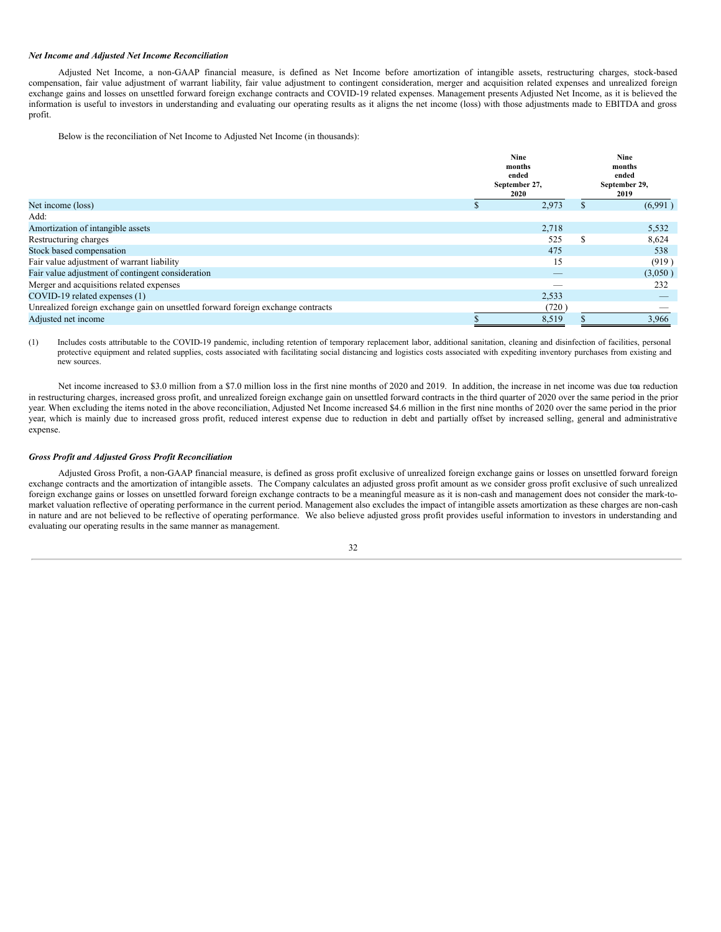## *Net Income and Adjusted Net Income Reconciliation*

Adjusted Net Income, a non-GAAP financial measure, is defined as Net Income before amortization of intangible assets, restructuring charges, stock-based compensation, fair value adjustment of warrant liability, fair value adjustment to contingent consideration, merger and acquisition related expenses and unrealized foreign exchange gains and losses on unsettled forward foreign exchange contracts and COVID-19 related expenses. Management presents Adjusted Net Income, as it is believed the information is useful to investors in understanding and evaluating our operating results as it aligns the net income (loss) with those adjustments made to EBITDA and gross profit.

Below is the reconciliation of Net Income to Adjusted Net Income (in thousands):

|                                                                                  | <b>Nine</b><br>months<br>ended<br>September 27,<br>2020 |          | <b>Nine</b><br>months<br>ended<br>September 29,<br>2019 |
|----------------------------------------------------------------------------------|---------------------------------------------------------|----------|---------------------------------------------------------|
| Net income (loss)                                                                | 2,973                                                   |          | (6,991)                                                 |
| Add:                                                                             |                                                         |          |                                                         |
| Amortization of intangible assets                                                | 2,718                                                   |          | 5,532                                                   |
| Restructuring charges                                                            | 525                                                     | <b>S</b> | 8,624                                                   |
| Stock based compensation                                                         | 475                                                     |          | 538                                                     |
| Fair value adjustment of warrant liability                                       | 15                                                      |          | (919)                                                   |
| Fair value adjustment of contingent consideration                                |                                                         |          | (3,050)                                                 |
| Merger and acquisitions related expenses                                         |                                                         |          | 232                                                     |
| COVID-19 related expenses (1)                                                    | 2,533                                                   |          |                                                         |
| Unrealized foreign exchange gain on unsettled forward foreign exchange contracts | (720)                                                   |          |                                                         |
| Adjusted net income                                                              | 8,519                                                   |          | 3.966                                                   |

(1) Includes costs attributable to the COVID-19 pandemic, including retention of temporary replacement labor, additional sanitation, cleaning and disinfection of facilities, personal protective equipment and related supplies, costs associated with facilitating social distancing and logistics costs associated with expediting inventory purchases from existing and new sources.

Net income increased to \$3.0 million from a \$7.0 million loss in the first nine months of 2020 and 2019. In addition, the increase in net income was due toa reduction in restructuring charges, increased gross profit, and unrealized foreign exchange gain on unsettled forward contracts in the third quarter of 2020 over the same period in the prior year. When excluding the items noted in the above reconciliation, Adjusted Net Income increased \$4.6 million in the first nine months of 2020 over the same period in the prior year, which is mainly due to increased gross profit, reduced interest expense due to reduction in debt and partially offset by increased selling, general and administrative expense.

## *Gross Profit and Adjusted Gross Profit Reconciliation*

Adjusted Gross Profit, a non-GAAP financial measure, is defined as gross profit exclusive of unrealized foreign exchange gains or losses on unsettled forward foreign exchange contracts and the amortization of intangible assets. The Company calculates an adjusted gross profit amount as we consider gross profit exclusive of such unrealized foreign exchange gains or losses on unsettled forward foreign exchange contracts to be a meaningful measure as it is non-cash and management does not consider the mark-tomarket valuation reflective of operating performance in the current period. Management also excludes the impact of intangible assets amortization as these charges are non-cash in nature and are not believed to be reflective of operating performance. We also believe adjusted gross profit provides useful information to investors in understanding and evaluating our operating results in the same manner as management.

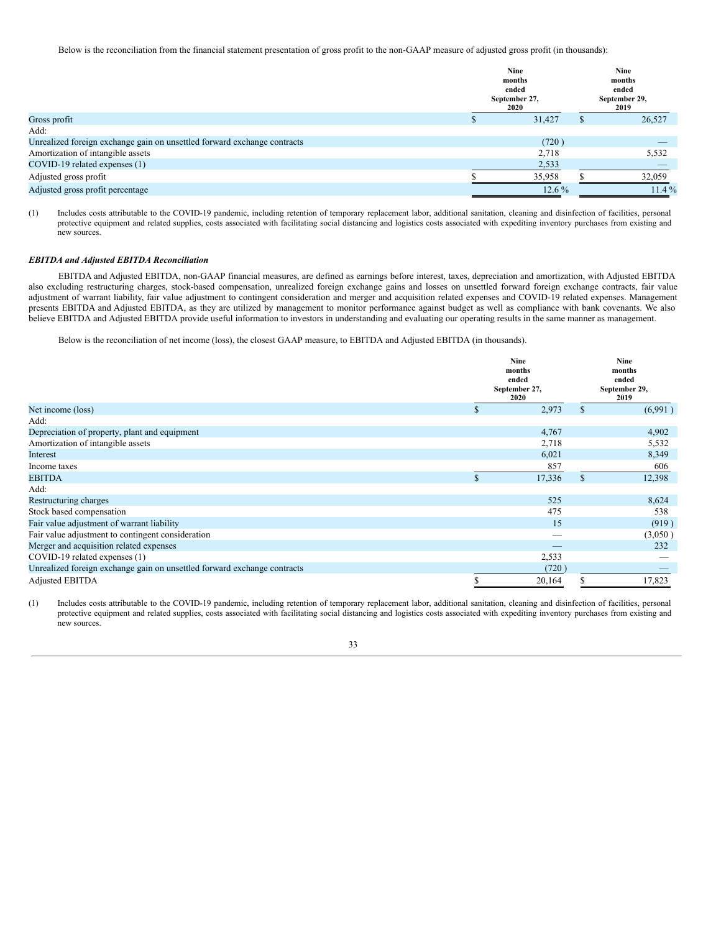Below is the reconciliation from the financial statement presentation of gross profit to the non-GAAP measure of adjusted gross profit (in thousands):

|                                                                          | <b>Nine</b><br>months<br>ended<br>September 27,<br>2020 | Nine<br>months<br>ended<br>September 29,<br>2019 |          |  |
|--------------------------------------------------------------------------|---------------------------------------------------------|--------------------------------------------------|----------|--|
| Gross profit                                                             | 31.427                                                  |                                                  | 26,527   |  |
| Add:                                                                     |                                                         |                                                  |          |  |
| Unrealized foreign exchange gain on unsettled forward exchange contracts | (720)                                                   |                                                  | _        |  |
| Amortization of intangible assets                                        | 2,718                                                   |                                                  | 5,532    |  |
| COVID-19 related expenses (1)                                            | 2,533                                                   |                                                  |          |  |
| Adjusted gross profit                                                    | 35,958                                                  |                                                  | 32,059   |  |
| Adjusted gross profit percentage                                         | $12.6\%$                                                |                                                  | $11.4\%$ |  |

(1) Includes costs attributable to the COVID-19 pandemic, including retention of temporary replacement labor, additional sanitation, cleaning and disinfection of facilities, personal protective equipment and related supplies, costs associated with facilitating social distancing and logistics costs associated with expediting inventory purchases from existing and new sources.

## *EBITDA and Adjusted EBITDA Reconciliation*

EBITDA and Adjusted EBITDA, non-GAAP financial measures, are defined as earnings before interest, taxes, depreciation and amortization, with Adjusted EBITDA also excluding restructuring charges, stock-based compensation, unrealized foreign exchange gains and losses on unsettled forward foreign exchange contracts, fair value adjustment of warrant liability, fair value adjustment to contingent consideration and merger and acquisition related expenses and COVID-19 related expenses. Management presents EBITDA and Adjusted EBITDA, as they are utilized by management to monitor performance against budget as well as compliance with bank covenants. We also believe EBITDA and Adjusted EBITDA provide useful information to investors in understanding and evaluating our operating results in the same manner as management.

Below is the reconciliation of net income (loss), the closest GAAP measure, to EBITDA and Adjusted EBITDA (in thousands).

|                                                                          |   | <b>Nine</b><br>months<br>ended<br>September 27,<br>2020 | <b>Nine</b><br>months<br>ended<br>September 29,<br>2019 |         |  |
|--------------------------------------------------------------------------|---|---------------------------------------------------------|---------------------------------------------------------|---------|--|
| Net income (loss)                                                        | S | 2,973                                                   | \$                                                      | (6,991) |  |
| Add:                                                                     |   |                                                         |                                                         |         |  |
| Depreciation of property, plant and equipment                            |   | 4,767                                                   |                                                         | 4,902   |  |
| Amortization of intangible assets                                        |   | 2,718                                                   |                                                         | 5,532   |  |
| Interest                                                                 |   | 6,021                                                   |                                                         | 8,349   |  |
| Income taxes                                                             |   | 857                                                     |                                                         | 606     |  |
| <b>EBITDA</b>                                                            |   | 17,336                                                  | $\mathcal{S}$                                           | 12,398  |  |
| Add:                                                                     |   |                                                         |                                                         |         |  |
| Restructuring charges                                                    |   | 525                                                     |                                                         | 8,624   |  |
| Stock based compensation                                                 |   | 475                                                     |                                                         | 538     |  |
| Fair value adjustment of warrant liability                               |   | 15                                                      |                                                         | (919)   |  |
| Fair value adjustment to contingent consideration                        |   | $\hspace{0.1mm}-\hspace{0.1mm}$                         |                                                         | (3,050) |  |
| Merger and acquisition related expenses                                  |   |                                                         |                                                         | 232     |  |
| COVID-19 related expenses (1)                                            |   | 2,533                                                   |                                                         |         |  |
| Unrealized foreign exchange gain on unsettled forward exchange contracts |   | (720)                                                   |                                                         |         |  |
| <b>Adjusted EBITDA</b>                                                   |   | 20,164                                                  |                                                         | 17,823  |  |

(1) Includes costs attributable to the COVID-19 pandemic, including retention of temporary replacement labor, additional sanitation, cleaning and disinfection of facilities, personal protective equipment and related supplies, costs associated with facilitating social distancing and logistics costs associated with expediting inventory purchases from existing and new sources.

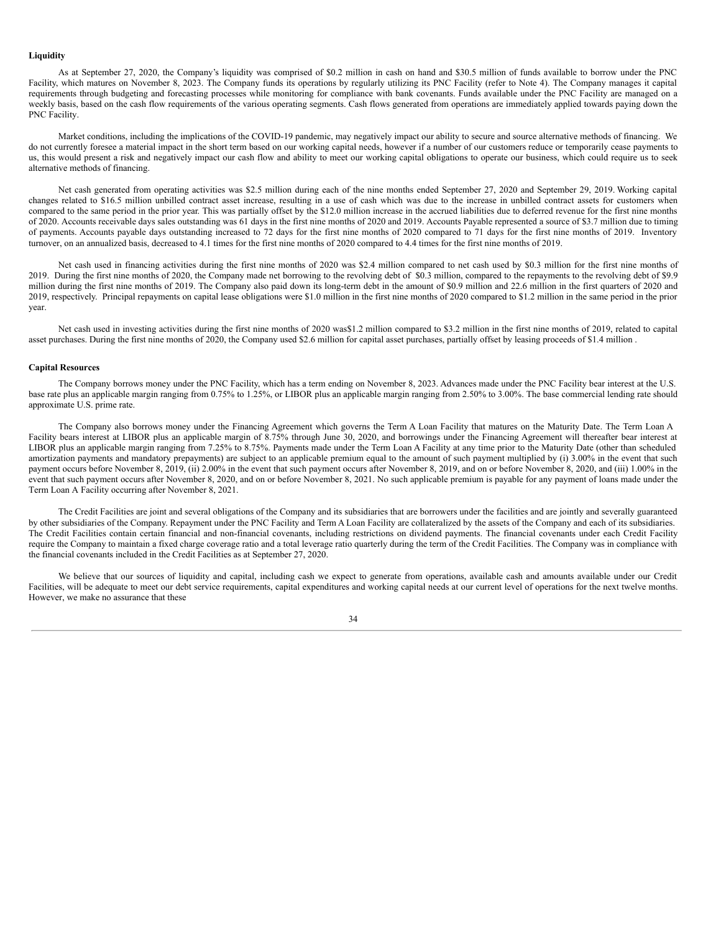## **Liquidity**

As at September 27, 2020, the Company's liquidity was comprised of \$0.2 million in cash on hand and \$30.5 million of funds available to borrow under the PNC Facility, which matures on November 8, 2023. The Company funds its operations by regularly utilizing its PNC Facility (refer to Note 4). The Company manages it capital requirements through budgeting and forecasting processes while monitoring for compliance with bank covenants. Funds available under the PNC Facility are managed on a weekly basis, based on the cash flow requirements of the various operating segments. Cash flows generated from operations are immediately applied towards paying down the PNC Facility.

Market conditions, including the implications of the COVID-19 pandemic, may negatively impact our ability to secure and source alternative methods of financing. We do not currently foresee a material impact in the short term based on our working capital needs, however if a number of our customers reduce or temporarily cease payments to us, this would present a risk and negatively impact our cash flow and ability to meet our working capital obligations to operate our business, which could require us to seek alternative methods of financing.

Net cash generated from operating activities was \$2.5 million during each of the nine months ended September 27, 2020 and September 29, 2019. Working capital changes related to \$16.5 million unbilled contract asset increase, resulting in a use of cash which was due to the increase in unbilled contract assets for customers when compared to the same period in the prior year. This was partially offset by the \$12.0 million increase in the accrued liabilities due to deferred revenue for the first nine months of 2020. Accounts receivable days sales outstanding was 61 days in the first nine months of 2020 and 2019. Accounts Payable represented a source of \$3.7 million due to timing of payments. Accounts payable days outstanding increased to 72 days for the first nine months of 2020 compared to 71 days for the first nine months of 2019. Inventory turnover, on an annualized basis, decreased to 4.1 times for the first nine months of 2020 compared to 4.4 times for the first nine months of 2019.

Net cash used in financing activities during the first nine months of 2020 was \$2.4 million compared to net cash used by \$0.3 million for the first nine months of 2019. During the first nine months of 2020, the Company made net borrowing to the revolving debt of \$0.3 million, compared to the repayments to the revolving debt of \$9.9 million during the first nine months of 2019. The Company also paid down its long-term debt in the amount of \$0.9 million and 22.6 million in the first quarters of 2020 and 2019, respectively. Principal repayments on capital lease obligations were \$1.0 million in the first nine months of 2020 compared to \$1.2 million in the same period in the prior year.

Net cash used in investing activities during the first nine months of 2020 was\$1.2 million compared to \$3.2 million in the first nine months of 2019, related to capital asset purchases. During the first nine months of 2020, the Company used \$2.6 million for capital asset purchases, partially offset by leasing proceeds of \$1.4 million .

### **Capital Resources**

The Company borrows money under the PNC Facility, which has a term ending on November 8, 2023. Advances made under the PNC Facility bear interest at the U.S. base rate plus an applicable margin ranging from 0.75% to 1.25%, or LIBOR plus an applicable margin ranging from 2.50% to 3.00%. The base commercial lending rate should approximate U.S. prime rate.

The Company also borrows money under the Financing Agreement which governs the Term A Loan Facility that matures on the Maturity Date. The Term Loan A Facility bears interest at LIBOR plus an applicable margin of 8.75% through June 30, 2020, and borrowings under the Financing Agreement will thereafter bear interest at LIBOR plus an applicable margin ranging from 7.25% to 8.75%. Payments made under the Term Loan A Facility at any time prior to the Maturity Date (other than scheduled amortization payments and mandatory prepayments) are subject to an applicable premium equal to the amount of such payment multiplied by (i) 3.00% in the event that such payment occurs before November 8, 2019, (ii) 2.00% in the event that such payment occurs after November 8, 2019, and on or before November 8, 2020, and (iii) 1.00% in the event that such payment occurs after November 8, 2020, and on or before November 8, 2021. No such applicable premium is payable for any payment of loans made under the Term Loan A Facility occurring after November 8, 2021.

The Credit Facilities are joint and several obligations of the Company and its subsidiaries that are borrowers under the facilities and are jointly and severally guaranteed by other subsidiaries of the Company. Repayment under the PNC Facility and Term A Loan Facility are collateralized by the assets of the Company and each of its subsidiaries. The Credit Facilities contain certain financial and non-financial covenants, including restrictions on dividend payments. The financial covenants under each Credit Facility require the Company to maintain a fixed charge coverage ratio and a total leverage ratio quarterly during the term of the Credit Facilities. The Company was in compliance with the financial covenants included in the Credit Facilities as at September 27, 2020.

We believe that our sources of liquidity and capital, including cash we expect to generate from operations, available cash and amounts available under our Credit Facilities, will be adequate to meet our debt service requirements, capital expenditures and working capital needs at our current level of operations for the next twelve months. However, we make no assurance that these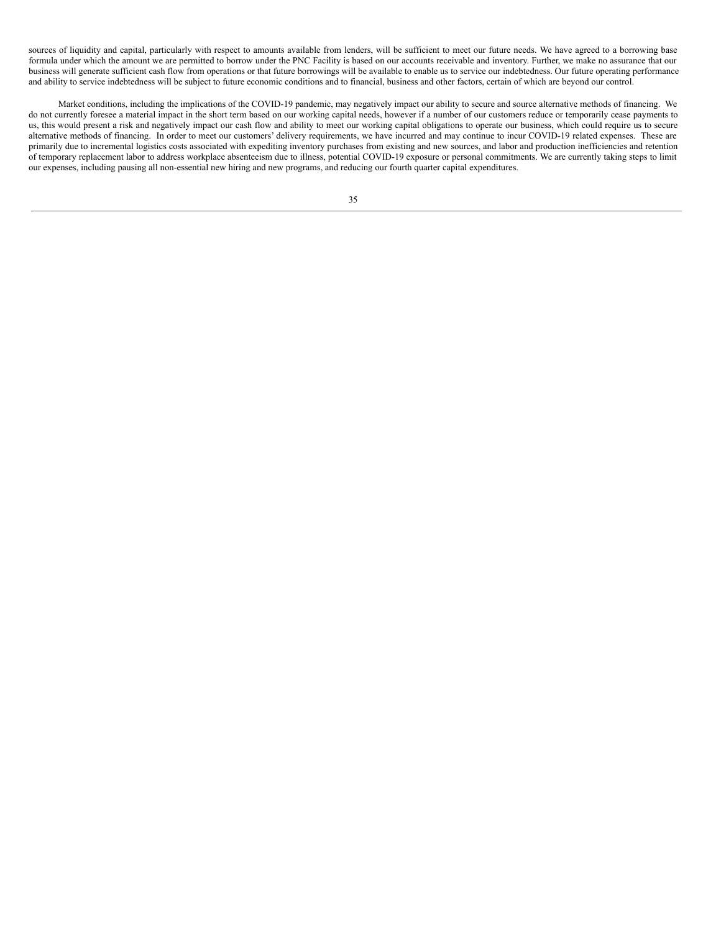sources of liquidity and capital, particularly with respect to amounts available from lenders, will be sufficient to meet our future needs. We have agreed to a borrowing base formula under which the amount we are permitted to borrow under the PNC Facility is based on our accounts receivable and inventory. Further, we make no assurance that our business will generate sufficient cash flow from operations or that future borrowings will be available to enable us to service our indebtedness. Our future operating performance and ability to service indebtedness will be subject to future economic conditions and to financial, business and other factors, certain of which are beyond our control.

Market conditions, including the implications of the COVID-19 pandemic, may negatively impact our ability to secure and source alternative methods of financing. We do not currently foresee a material impact in the short term based on our working capital needs, however if a number of our customers reduce or temporarily cease payments to us, this would present a risk and negatively impact our cash flow and ability to meet our working capital obligations to operate our business, which could require us to secure alternative methods of financing. In order to meet our customers' delivery requirements, we have incurred and may continue to incur COVID-19 related expenses. These are primarily due to incremental logistics costs associated with expediting inventory purchases from existing and new sources, and labor and production inefficiencies and retention of temporary replacement labor to address workplace absenteeism due to illness, potential COVID-19 exposure or personal commitments. We are currently taking steps to limit our expenses, including pausing all non-essential new hiring and new programs, and reducing our fourth quarter capital expenditures.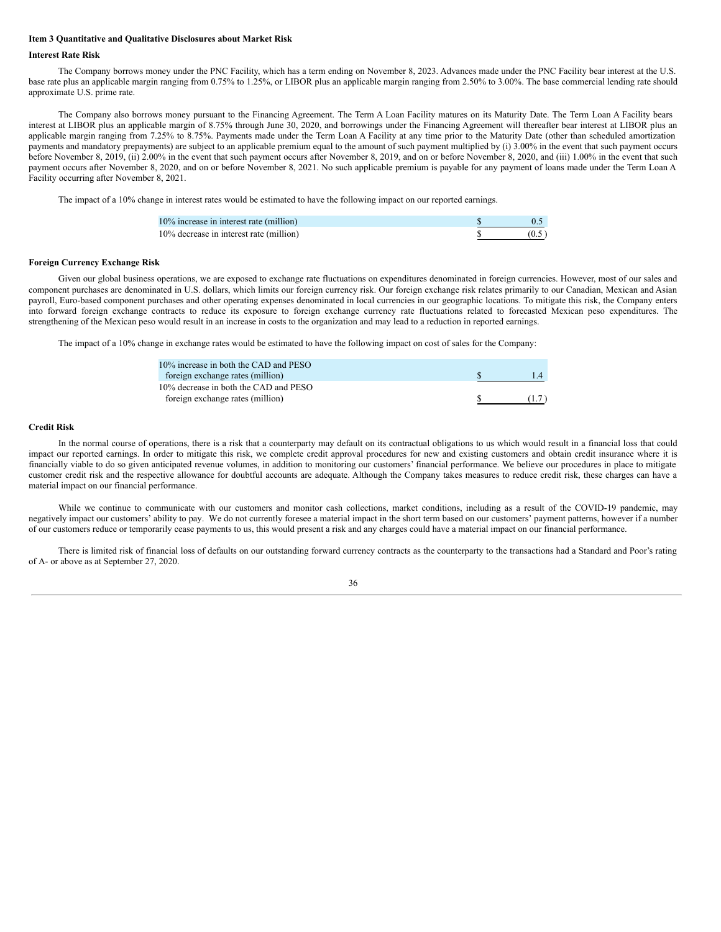#### <span id="page-35-0"></span>**Item 3 Quantitative and Qualitative Disclosures about Market Risk**

#### **Interest Rate Risk**

The Company borrows money under the PNC Facility, which has a term ending on November 8, 2023. Advances made under the PNC Facility bear interest at the U.S. base rate plus an applicable margin ranging from 0.75% to 1.25%, or LIBOR plus an applicable margin ranging from 2.50% to 3.00%. The base commercial lending rate should approximate U.S. prime rate.

The Company also borrows money pursuant to the Financing Agreement. The Term A Loan Facility matures on its Maturity Date. The Term Loan A Facility bears interest at LIBOR plus an applicable margin of 8.75% through June 30, 2020, and borrowings under the Financing Agreement will thereafter bear interest at LIBOR plus an applicable margin ranging from 7.25% to 8.75%. Payments made under the Term Loan A Facility at any time prior to the Maturity Date (other than scheduled amortization payments and mandatory prepayments) are subject to an applicable premium equal to the amount of such payment multiplied by (i) 3.00% in the event that such payment occurs before November 8, 2019, (ii) 2.00% in the event that such payment occurs after November 8, 2019, and on or before November 8, 2020, and (iii) 1.00% in the event that such payment occurs after November 8, 2020, and on or before November 8, 2021. No such applicable premium is payable for any payment of loans made under the Term Loan A Facility occurring after November 8, 2021.

The impact of a 10% change in interest rates would be estimated to have the following impact on our reported earnings.

| 10% increase in interest rate (million) |       |
|-----------------------------------------|-------|
| 10% decrease in interest rate (million) | (0.5) |

#### **Foreign Currency Exchange Risk**

Given our global business operations, we are exposed to exchange rate fluctuations on expenditures denominated in foreign currencies. However, most of our sales and component purchases are denominated in U.S. dollars, which limits our foreign currency risk. Our foreign exchange risk relates primarily to our Canadian, Mexican and Asian payroll, Euro-based component purchases and other operating expenses denominated in local currencies in our geographic locations. To mitigate this risk, the Company enters into forward foreign exchange contracts to reduce its exposure to foreign exchange currency rate fluctuations related to forecasted Mexican peso expenditures. The strengthening of the Mexican peso would result in an increase in costs to the organization and may lead to a reduction in reported earnings.

The impact of a 10% change in exchange rates would be estimated to have the following impact on cost of sales for the Company:

| 10% increase in both the CAD and PESO<br>foreign exchange rates (million) |       |
|---------------------------------------------------------------------------|-------|
| 10% decrease in both the CAD and PESO                                     |       |
| foreign exchange rates (million)                                          | (1.7) |

## **Credit Risk**

In the normal course of operations, there is a risk that a counterparty may default on its contractual obligations to us which would result in a financial loss that could impact our reported earnings. In order to mitigate this risk, we complete credit approval procedures for new and existing customers and obtain credit insurance where it is financially viable to do so given anticipated revenue volumes, in addition to monitoring our customers' financial performance. We believe our procedures in place to mitigate customer credit risk and the respective allowance for doubtful accounts are adequate. Although the Company takes measures to reduce credit risk, these charges can have a material impact on our financial performance.

While we continue to communicate with our customers and monitor cash collections, market conditions, including as a result of the COVID-19 pandemic, may negatively impact our customers' ability to pay. We do not currently foresee a material impact in the short term based on our customers' payment patterns, however if a number of our customers reduce or temporarily cease payments to us, this would present a risk and any charges could have a material impact on our financial performance.

There is limited risk of financial loss of defaults on our outstanding forward currency contracts as the counterparty to the transactions had a Standard and Poor's rating of A- or above as at September 27, 2020.

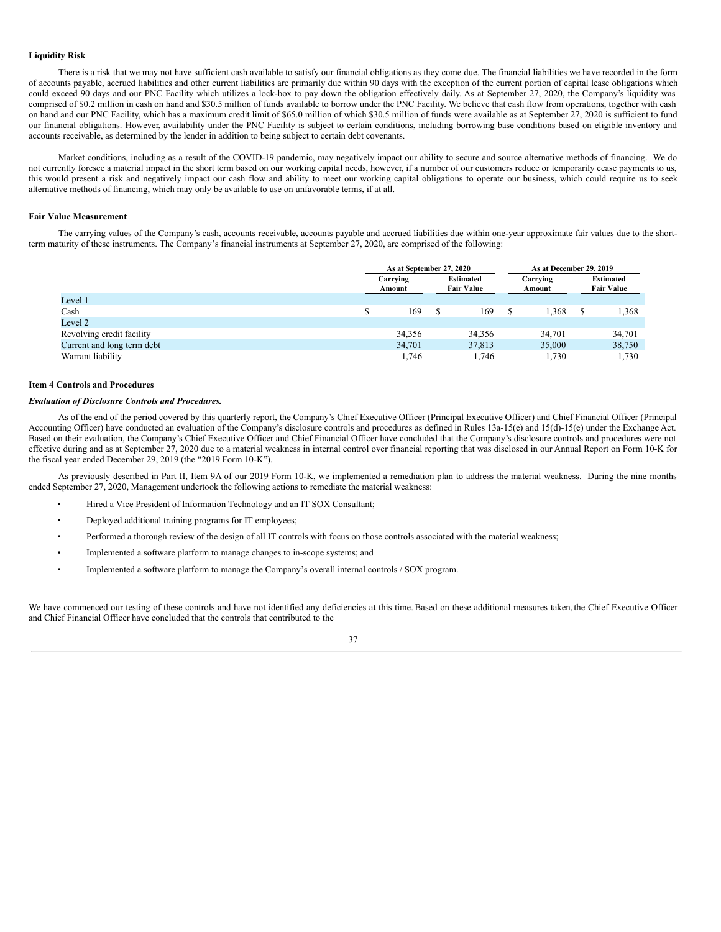## **Liquidity Risk**

There is a risk that we may not have sufficient cash available to satisfy our financial obligations as they come due. The financial liabilities we have recorded in the form of accounts payable, accrued liabilities and other current liabilities are primarily due within 90 days with the exception of the current portion of capital lease obligations which could exceed 90 days and our PNC Facility which utilizes a lock-box to pay down the obligation effectively daily. As at September 27, 2020, the Company's liquidity was comprised of \$0.2 million in cash on hand and \$30.5 million of funds available to borrow under the PNC Facility. We believe that cash flow from operations, together with cash on hand and our PNC Facility, which has a maximum credit limit of \$65.0 million of which \$30.5 million of funds were available as at September 27, 2020 is sufficient to fund our financial obligations. However, availability under the PNC Facility is subject to certain conditions, including borrowing base conditions based on eligible inventory and accounts receivable, as determined by the lender in addition to being subject to certain debt covenants.

Market conditions, including as a result of the COVID-19 pandemic, may negatively impact our ability to secure and source alternative methods of financing. We do not currently foresee a material impact in the short term based on our working capital needs, however, if a number of our customers reduce or temporarily cease payments to us, this would present a risk and negatively impact our cash flow and ability to meet our working capital obligations to operate our business, which could require us to seek alternative methods of financing, which may only be available to use on unfavorable terms, if at all.

#### **Fair Value Measurement**

The carrying values of the Company's cash, accounts receivable, accounts payable and accrued liabilities due within one-year approximate fair values due to the shortterm maturity of these instruments. The Company's financial instruments at September 27, 2020, are comprised of the following:

|                            | As at September 27, 2020 |  |                                       |   | As at December 29, 2019 |  |                    |  |  |                                       |  |
|----------------------------|--------------------------|--|---------------------------------------|---|-------------------------|--|--------------------|--|--|---------------------------------------|--|
|                            | Carrying<br>Amount       |  | <b>Estimated</b><br><b>Fair Value</b> |   |                         |  | Carrying<br>Amount |  |  | <b>Estimated</b><br><b>Fair Value</b> |  |
| Level 1                    |                          |  |                                       |   |                         |  |                    |  |  |                                       |  |
| Cash                       | 169                      |  | 169                                   | S | 1.368                   |  | 1,368              |  |  |                                       |  |
| Level 2                    |                          |  |                                       |   |                         |  |                    |  |  |                                       |  |
| Revolving credit facility  | 34,356                   |  | 34,356                                |   | 34,701                  |  | 34,701             |  |  |                                       |  |
| Current and long term debt | 34,701                   |  | 37,813                                |   | 35,000                  |  | 38,750             |  |  |                                       |  |
| Warrant liability          | 1,746                    |  | 1.746                                 |   | 1,730                   |  | 1,730              |  |  |                                       |  |

## <span id="page-36-0"></span>**Item 4 Controls and Procedures**

## *Evaluation of Disclosure Controls and Procedures.*

As of the end of the period covered by this quarterly report, the Company's Chief Executive Officer (Principal Executive Officer) and Chief Financial Officer (Principal Accounting Officer) have conducted an evaluation of the Company's disclosure controls and procedures as defined in Rules 13a-15(e) and 15(d)-15(e) under the Exchange Act. Based on their evaluation, the Company's Chief Executive Officer and Chief Financial Officer have concluded that the Company's disclosure controls and procedures were not effective during and as at September 27, 2020 due to a material weakness in internal control over financial reporting that was disclosed in our Annual Report on Form 10-K for the fiscal year ended December 29, 2019 (the "2019 Form 10-K").

As previously described in Part II, Item 9A of our 2019 Form 10-K, we implemented a remediation plan to address the material weakness. During the nine months ended September 27, 2020, Management undertook the following actions to remediate the material weakness:

- Hired a Vice President of Information Technology and an IT SOX Consultant;
- Deployed additional training programs for IT employees;
- Performed a thorough review of the design of all IT controls with focus on those controls associated with the material weakness;
- Implemented a software platform to manage changes to in-scope systems; and
- Implemented a software platform to manage the Company's overall internal controls / SOX program.

We have commenced our testing of these controls and have not identified any deficiencies at this time. Based on these additional measures taken, the Chief Executive Officer and Chief Financial Officer have concluded that the controls that contributed to the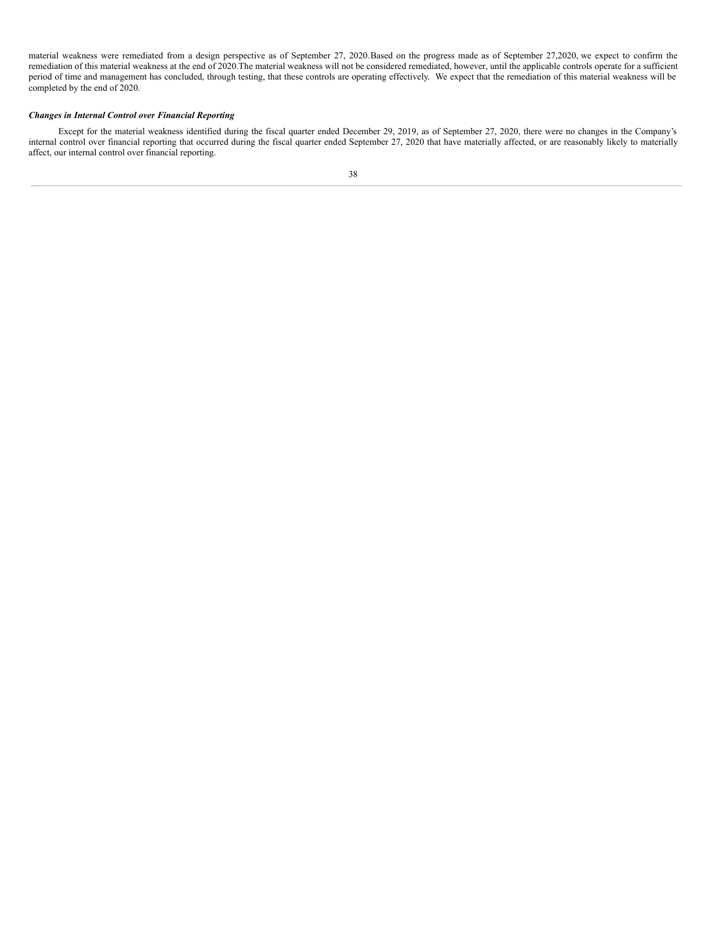material weakness were remediated from a design perspective as of September 27, 2020.Based on the progress made as of September 27,2020, we expect to confirm the remediation of this material weakness at the end of 2020.The material weakness will not be considered remediated, however, until the applicable controls operate for a sufficient period of time and management has concluded, through testing, that these controls are operating effectively. We expect that the remediation of this material weakness will be completed by the end of 2020.

## *Changes in Internal Control over Financial Reporting*

Except for the material weakness identified during the fiscal quarter ended December 29, 2019, as of September 27, 2020, there were no changes in the Company's internal control over financial reporting that occurred during the fiscal quarter ended September 27, 2020 that have materially affected, or are reasonably likely to materially affect, our internal control over financial reporting.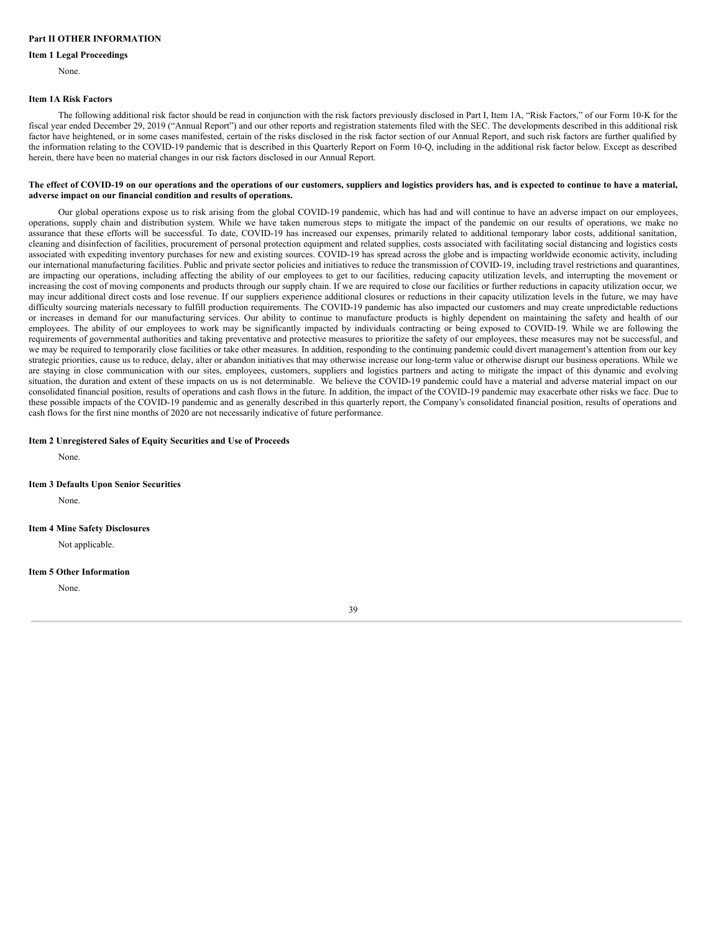# <span id="page-38-0"></span>**Part II OTHER INFORMATION**

#### **Item 1 Legal Proceedings**

None.

#### <span id="page-38-1"></span>**Item 1A Risk Factors**

The following additional risk factor should be read in conjunction with the risk factors previously disclosed in Part I, Item 1A, "Risk Factors," of our Form 10-K for the fiscal year ended December 29, 2019 ("Annual Report") and our other reports and registration statements filed with the SEC. The developments described in this additional risk factor have heightened, or in some cases manifested, certain of the risks disclosed in the risk factor section of our Annual Report, and such risk factors are further qualified by the information relating to the COVID-19 pandemic that is described in this Quarterly Report on Form 10-Q, including in the additional risk factor below. Except as described herein, there have been no material changes in our risk factors disclosed in our Annual Report.

#### The effect of COVID-19 on our operations and the operations of our customers, suppliers and logistics providers has, and is expected to continue to have a material, **adverse impact on our financial condition and results of operations.**

Our global operations expose us to risk arising from the global COVID-19 pandemic, which has had and will continue to have an adverse impact on our employees, operations, supply chain and distribution system. While we have taken numerous steps to mitigate the impact of the pandemic on our results of operations, we make no assurance that these efforts will be successful. To date, COVID-19 has increased our expenses, primarily related to additional temporary labor costs, additional sanitation, cleaning and disinfection of facilities, procurement of personal protection equipment and related supplies, costs associated with facilitating social distancing and logistics costs associated with expediting inventory purchases for new and existing sources. COVID-19 has spread across the globe and is impacting worldwide economic activity, including our international manufacturing facilities. Public and private sector policies and initiatives to reduce the transmission of COVID-19, including travel restrictions and quarantines, are impacting our operations, including affecting the ability of our employees to get to our facilities, reducing capacity utilization levels, and interrupting the movement or increasing the cost of moving components and products through our supply chain. If we are required to close our facilities or further reductions in capacity utilization occur, we may incur additional direct costs and lose revenue. If our suppliers experience additional closures or reductions in their capacity utilization levels in the future, we may have difficulty sourcing materials necessary to fulfill production requirements. The COVID-19 pandemic has also impacted our customers and may create unpredictable reductions or increases in demand for our manufacturing services. Our ability to continue to manufacture products is highly dependent on maintaining the safety and health of our employees. The ability of our employees to work may be significantly impacted by individuals contracting or being exposed to COVID-19. While we are following the requirements of governmental authorities and taking preventative and protective measures to prioritize the safety of our employees, these measures may not be successful, and we may be required to temporarily close facilities or take other measures. In addition, responding to the continuing pandemic could divert management's attention from our key strategic priorities, cause us to reduce, delay, alter or abandon initiatives that may otherwise increase our long-term value or otherwise disrupt our business operations. While we are staying in close communication with our sites, employees, customers, suppliers and logistics partners and acting to mitigate the impact of this dynamic and evolving situation, the duration and extent of these impacts on us is not determinable. We believe the COVID-19 pandemic could have a material and adverse material impact on our consolidated financial position, results of operations and cash flows in the future. In addition, the impact of the COVID-19 pandemic may exacerbate other risks we face. Due to these possible impacts of the COVID-19 pandemic and as generally described in this quarterly report, the Company's consolidated financial position, results of operations and cash flows for the first nine months of 2020 are not necessarily indicative of future performance.

## **Item 2 Unregistered Sales of Equity Securities and Use of Proceeds**

None.

### **Item 3 Defaults Upon Senior Securities**

None.

#### **Item 4 Mine Safety Disclosures**

Not applicable.

#### **Item 5 Other Information**

None.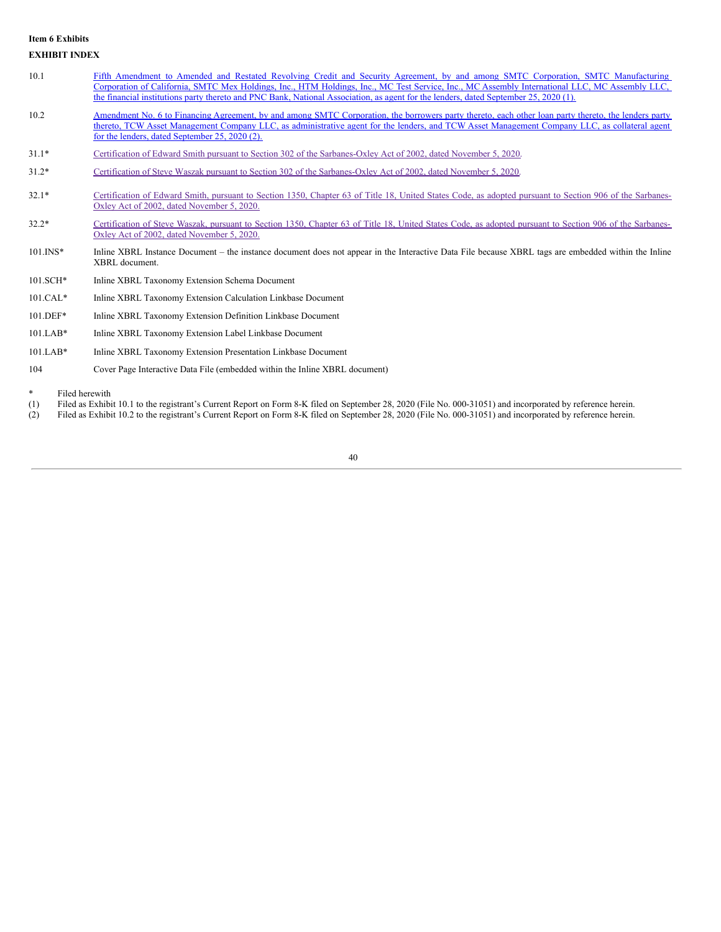# <span id="page-39-0"></span>**Item 6 Exhibits EXHIBIT INDEX**

- 10.1 Fifth Amendment to Amended and Restated Revolving Credit and Security Agreement, by and among SMTC Corporation, SMTC [Manufacturing](http://www.sec.gov/Archives/edgar/data/1108320/000156459020031077/smtx-ex101_7.htm) Corporation of California, SMTC Mex Holdings, Inc., HTM Holdings, Inc., MC Test Service, Inc., MC Assembly International LLC, MC Assembly LLC, the financial institutions party thereto and PNC Bank, National Association, as agent for the lenders, dated September 25, 2020 (1).
- 10.2 Amendment No. 6 to Financing Agreement, by and among SMTC Corporation, the borrowers party thereto, each other loan party thereto, the lenders party thereto, TCW Asset Management Company LLC, as [administrative](http://www.sec.gov/Archives/edgar/data/1108320/000156459020031077/smtx-ex102_6.htm) agent for the lenders, and TCW Asset Management Company LLC, as collateral agent for the lenders, dated September 25, 2020 (2).
- 31.1\* Certification of Edward Smith pursuant to Section 302 of the [Sarbanes-Oxley](#page-41-0) Act of 2002, dated November 5, 2020.
- 31.2\* Certification of Steve Waszak pursuant to Section 302 of the [Sarbanes-Oxley](#page-42-0) Act of 2002, dated November 5, 2020.
- 32.1\* [Certification](#page-43-0) of Edward Smith, pursuant to Section 1350, Chapter 63 of Title 18, United States Code, as adopted pursuant to Section 906 of the Sarbanes-Oxley Act of 2002, dated November 5, 2020.
- 32.2\* [Certification](#page-44-0) of Steve Waszak, pursuant to Section 1350, Chapter 63 of Title 18, United States Code, as adopted pursuant to Section 906 of the Sarbanes-Oxley Act of 2002, dated November 5, 2020.
- 101.INS\* Inline XBRL Instance Document the instance document does not appear in the Interactive Data File because XBRL tags are embedded within the Inline XBRL document.
- 101.SCH\* Inline XBRL Taxonomy Extension Schema Document
- 101.CAL\* Inline XBRL Taxonomy Extension Calculation Linkbase Document
- 101.DEF\* Inline XBRL Taxonomy Extension Definition Linkbase Document
- 101.LAB\* Inline XBRL Taxonomy Extension Label Linkbase Document
- 101.LAB\* Inline XBRL Taxonomy Extension Presentation Linkbase Document
- 104 Cover Page Interactive Data File (embedded within the Inline XBRL document)
- Filed herewith
- (1) Filed as Exhibit 10.1 to the registrant's Current Report on Form 8-K filed on September 28, 2020 (File No. 000-31051) and incorporated by reference herein.
- (2) Filed as Exhibit 10.2 to the registrant's Current Report on Form 8-K filed on September 28, 2020 (File No. 000-31051) and incorporated by reference herein.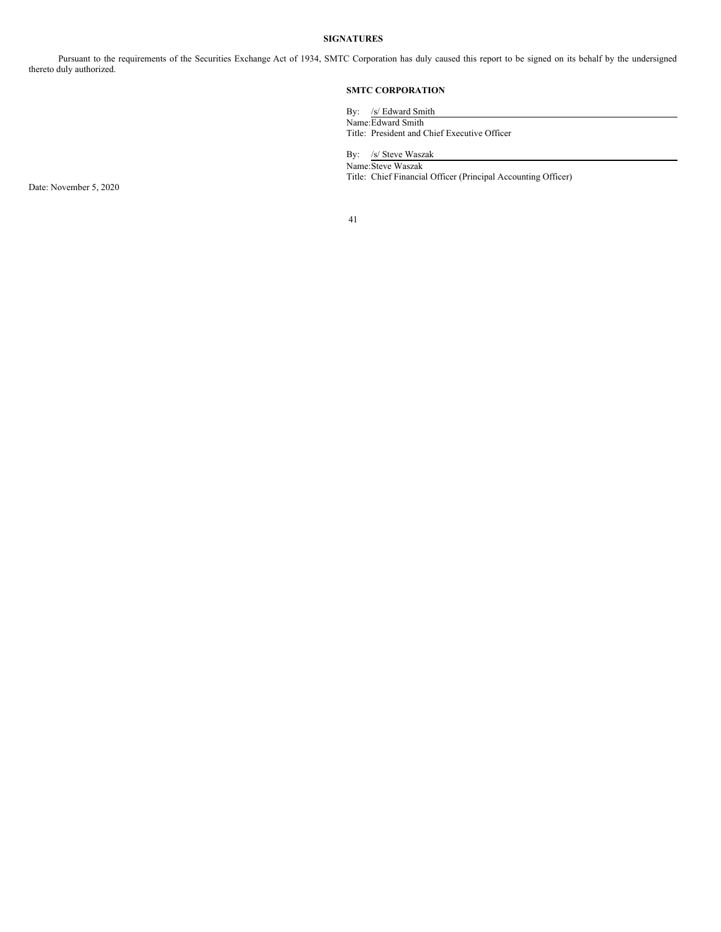# **SIGNATURES**

Pursuant to the requirements of the Securities Exchange Act of 1934, SMTC Corporation has duly caused this report to be signed on its behalf by the undersigned thereto duly authorized.

# **SMTC CORPORATION**

By: /s/ Edward Smith Name:Edward Smith Title: President and Chief Executive Officer

By: /s/ Steve Waszak Name:Steve Waszak Title: Chief Financial Officer (Principal Accounting Officer)

Date: November 5, 2020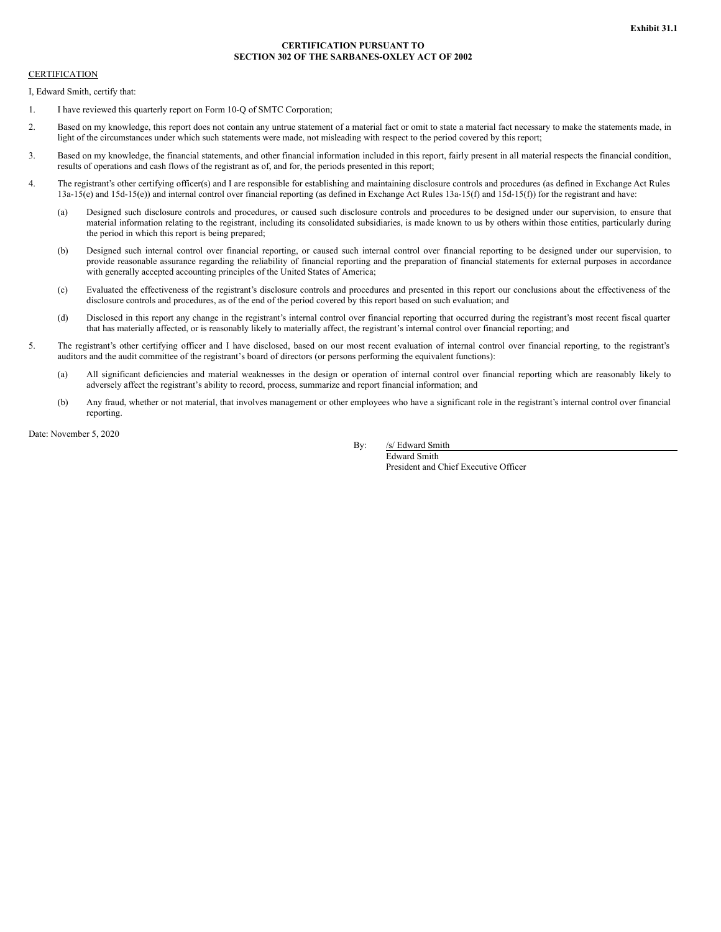## **CERTIFICATION PURSUANT TO SECTION 302 OF THE SARBANES-OXLEY ACT OF 2002**

## <span id="page-41-0"></span>**CERTIFICATION**

I, Edward Smith, certify that:

- 1. I have reviewed this quarterly report on Form 10-Q of SMTC Corporation;
- 2. Based on my knowledge, this report does not contain any untrue statement of a material fact or omit to state a material fact necessary to make the statements made, in light of the circumstances under which such statements were made, not misleading with respect to the period covered by this report;
- 3. Based on my knowledge, the financial statements, and other financial information included in this report, fairly present in all material respects the financial condition, results of operations and cash flows of the registrant as of, and for, the periods presented in this report;
- 4. The registrant's other certifying officer(s) and I are responsible for establishing and maintaining disclosure controls and procedures (as defined in Exchange Act Rules 13a-15(e) and 15d-15(e)) and internal control over financial reporting (as defined in Exchange Act Rules 13a-15(f) and 15d-15(f)) for the registrant and have:
	- (a) Designed such disclosure controls and procedures, or caused such disclosure controls and procedures to be designed under our supervision, to ensure that material information relating to the registrant, including its consolidated subsidiaries, is made known to us by others within those entities, particularly during the period in which this report is being prepared;
	- (b) Designed such internal control over financial reporting, or caused such internal control over financial reporting to be designed under our supervision, to provide reasonable assurance regarding the reliability of financial reporting and the preparation of financial statements for external purposes in accordance with generally accepted accounting principles of the United States of America;
	- (c) Evaluated the effectiveness of the registrant's disclosure controls and procedures and presented in this report our conclusions about the effectiveness of the disclosure controls and procedures, as of the end of the period covered by this report based on such evaluation; and
	- (d) Disclosed in this report any change in the registrant's internal control over financial reporting that occurred during the registrant's most recent fiscal quarter that has materially affected, or is reasonably likely to materially affect, the registrant's internal control over financial reporting; and
- 5. The registrant's other certifying officer and I have disclosed, based on our most recent evaluation of internal control over financial reporting, to the registrant's auditors and the audit committee of the registrant's board of directors (or persons performing the equivalent functions):
	- (a) All significant deficiencies and material weaknesses in the design or operation of internal control over financial reporting which are reasonably likely to adversely affect the registrant's ability to record, process, summarize and report financial information; and
	- (b) Any fraud, whether or not material, that involves management or other employees who have a significant role in the registrant's internal control over financial reporting.

Date: November 5, 2020

By: /s/ Edward Smith

Edward Smith President and Chief Executive Officer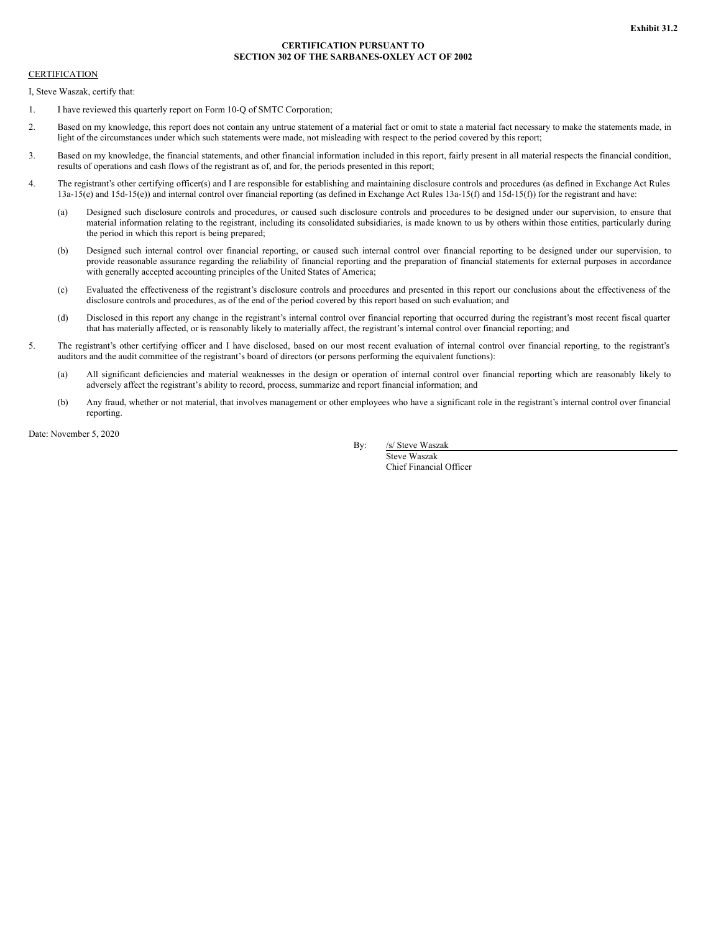## **CERTIFICATION PURSUANT TO SECTION 302 OF THE SARBANES-OXLEY ACT OF 2002**

## <span id="page-42-0"></span>**CERTIFICATION**

I, Steve Waszak, certify that:

- 1. I have reviewed this quarterly report on Form 10-Q of SMTC Corporation;
- 2. Based on my knowledge, this report does not contain any untrue statement of a material fact or omit to state a material fact necessary to make the statements made, in light of the circumstances under which such statements were made, not misleading with respect to the period covered by this report;
- 3. Based on my knowledge, the financial statements, and other financial information included in this report, fairly present in all material respects the financial condition, results of operations and cash flows of the registrant as of, and for, the periods presented in this report;
- 4. The registrant's other certifying officer(s) and I are responsible for establishing and maintaining disclosure controls and procedures (as defined in Exchange Act Rules 13a-15(e) and 15d-15(e)) and internal control over financial reporting (as defined in Exchange Act Rules 13a-15(f) and 15d-15(f)) for the registrant and have:
	- (a) Designed such disclosure controls and procedures, or caused such disclosure controls and procedures to be designed under our supervision, to ensure that material information relating to the registrant, including its consolidated subsidiaries, is made known to us by others within those entities, particularly during the period in which this report is being prepared;
	- (b) Designed such internal control over financial reporting, or caused such internal control over financial reporting to be designed under our supervision, to provide reasonable assurance regarding the reliability of financial reporting and the preparation of financial statements for external purposes in accordance with generally accepted accounting principles of the United States of America;
	- (c) Evaluated the effectiveness of the registrant's disclosure controls and procedures and presented in this report our conclusions about the effectiveness of the disclosure controls and procedures, as of the end of the period covered by this report based on such evaluation; and
	- (d) Disclosed in this report any change in the registrant's internal control over financial reporting that occurred during the registrant's most recent fiscal quarter that has materially affected, or is reasonably likely to materially affect, the registrant's internal control over financial reporting; and
- 5. The registrant's other certifying officer and I have disclosed, based on our most recent evaluation of internal control over financial reporting, to the registrant's auditors and the audit committee of the registrant's board of directors (or persons performing the equivalent functions):
	- (a) All significant deficiencies and material weaknesses in the design or operation of internal control over financial reporting which are reasonably likely to adversely affect the registrant's ability to record, process, summarize and report financial information; and
	- (b) Any fraud, whether or not material, that involves management or other employees who have a significant role in the registrant's internal control over financial reporting.

Date: November 5, 2020

By: /s/ Steve Waszak

Steve Waszak Chief Financial Officer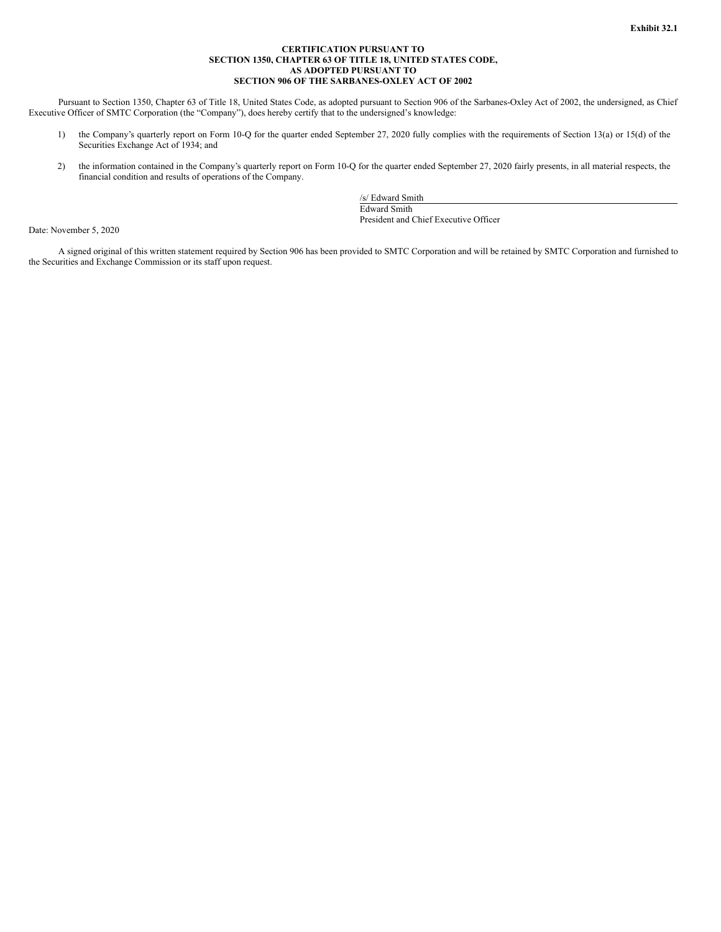## **CERTIFICATION PURSUANT TO SECTION 1350, CHAPTER 63 OF TITLE 18, UNITED STATES CODE, AS ADOPTED PURSUANT TO SECTION 906 OF THE SARBANES-OXLEY ACT OF 2002**

<span id="page-43-0"></span>Pursuant to Section 1350, Chapter 63 of Title 18, United States Code, as adopted pursuant to Section 906 of the Sarbanes-Oxley Act of 2002, the undersigned, as Chief Executive Officer of SMTC Corporation (the "Company"), does hereby certify that to the undersigned's knowledge:

- 1) the Company's quarterly report on Form 10-Q for the quarter ended September 27, 2020 fully complies with the requirements of Section 13(a) or 15(d) of the Securities Exchange Act of 1934; and
- 2) the information contained in the Company's quarterly report on Form 10-Q for the quarter ended September 27, 2020 fairly presents, in all material respects, the financial condition and results of operations of the Company.

/s/ Edward Smith Edward Smith President and Chief Executive Officer

Date: November 5, 2020

A signed original of this written statement required by Section 906 has been provided to SMTC Corporation and will be retained by SMTC Corporation and furnished to the Securities and Exchange Commission or its staff upon request.